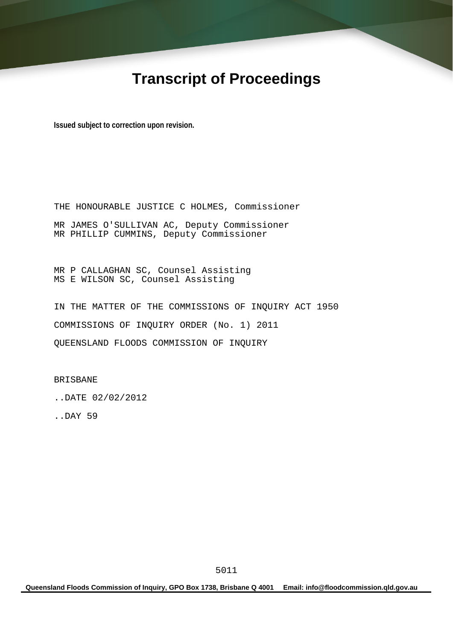# **Transcript of Proceedings**

**Issued subject to correction upon revision.** 

THE HONOURABLE JUSTICE C HOLMES, Commissioner MR JAMES O'SULLIVAN AC, Deputy Commissioner MR PHILLIP CUMMINS, Deputy Commissioner

MR P CALLAGHAN SC, Counsel Assisting MS E WILSON SC, Counsel Assisting

IN THE MATTER OF THE COMMISSIONS OF INQUIRY ACT 1950 COMMISSIONS OF INQUIRY ORDER (No. 1) 2011 QUEENSLAND FLOODS COMMISSION OF INQUIRY

BRISBANE

..DATE 02/02/2012

..DAY 59

**Queensland Floods Commission of Inquiry, GPO Box 1738, Brisbane Q 4001 Email: info@floodcommission.qld.gov.au**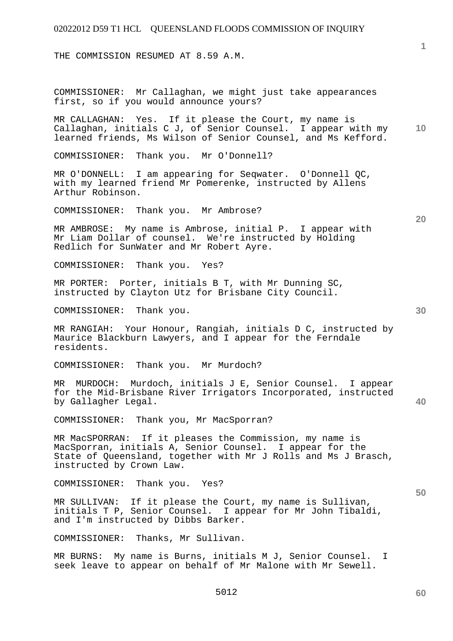THE COMMISSION RESUMED AT 8.59 A.M.

COMMISSIONER: Mr Callaghan, we might just take appearances first, so if you would announce yours?

**10**  MR CALLAGHAN: Yes. If it please the Court, my name is Callaghan, initials C J, of Senior Counsel. I appear with my learned friends, Ms Wilson of Senior Counsel, and Ms Kefford.

COMMISSIONER: Thank you. Mr O'Donnell?

MR O'DONNELL: I am appearing for Seqwater. O'Donnell QC, with my learned friend Mr Pomerenke, instructed by Allens Arthur Robinson.

COMMISSIONER: Thank you. Mr Ambrose?

MR AMBROSE: My name is Ambrose, initial P. I appear with Mr Liam Dollar of counsel. We're instructed by Holding Redlich for SunWater and Mr Robert Ayre.

COMMISSIONER: Thank you. Yes?

MR PORTER: Porter, initials B T, with Mr Dunning SC, instructed by Clayton Utz for Brisbane City Council.

COMMISSIONER: Thank you.

MR RANGIAH: Your Honour, Rangiah, initials D C, instructed by Maurice Blackburn Lawyers, and I appear for the Ferndale residents.

COMMISSIONER: Thank you. Mr Murdoch?

MR MURDOCH: Murdoch, initials J E, Senior Counsel. I appear for the Mid-Brisbane River Irrigators Incorporated, instructed by Gallagher Legal.

COMMISSIONER: Thank you, Mr MacSporran?

MR MacSPORRAN: If it pleases the Commission, my name is MacSporran, initials A, Senior Counsel. I appear for the State of Queensland, together with Mr J Rolls and Ms J Brasch, instructed by Crown Law.

COMMISSIONER: Thank you. Yes?

MR SULLIVAN: If it please the Court, my name is Sullivan, initials T P, Senior Counsel. I appear for Mr John Tibaldi, and I'm instructed by Dibbs Barker.

COMMISSIONER: Thanks, Mr Sullivan.

MR BURNS: My name is Burns, initials M J, Senior Counsel. I seek leave to appear on behalf of Mr Malone with Mr Sewell.

**40** 

**60** 

**50** 

**1**

**30**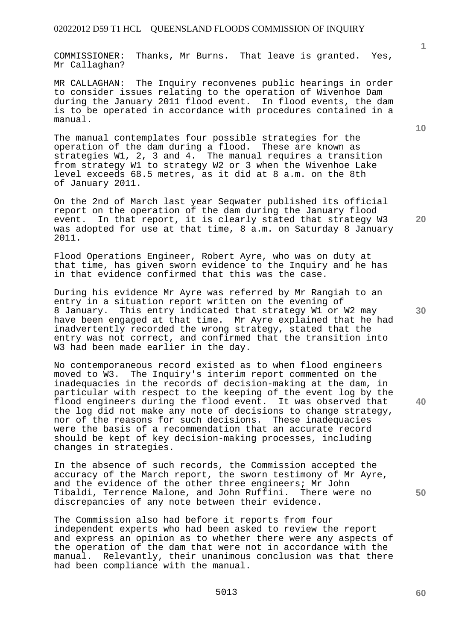COMMISSIONER: Thanks, Mr Burns. That leave is granted. Yes, Mr Callaghan?

MR CALLAGHAN: The Inquiry reconvenes public hearings in order to consider issues relating to the operation of Wivenhoe Dam during the January 2011 flood event. In flood events, the dam is to be operated in accordance with procedures contained in a manual.

The manual contemplates four possible strategies for the operation of the dam during a flood. These are known as strategies W1, 2, 3 and 4. The manual requires a transition from strategy W1 to strategy W2 or 3 when the Wivenhoe Lake level exceeds 68.5 metres, as it did at 8 a.m. on the 8th of January 2011.

On the 2nd of March last year Seqwater published its official report on the operation of the dam during the January flood event. In that report, it is clearly stated that strategy W3 was adopted for use at that time, 8 a.m. on Saturday 8 January 2011.

Flood Operations Engineer, Robert Ayre, who was on duty at that time, has given sworn evidence to the Inquiry and he has in that evidence confirmed that this was the case.

During his evidence Mr Ayre was referred by Mr Rangiah to an entry in a situation report written on the evening of 8 January. This entry indicated that strategy W1 or W2 may have been engaged at that time. Mr Ayre explained that he had inadvertently recorded the wrong strategy, stated that the entry was not correct, and confirmed that the transition into W3 had been made earlier in the day.

No contemporaneous record existed as to when flood engineers moved to W3. The Inquiry's interim report commented on the inadequacies in the records of decision-making at the dam, in particular with respect to the keeping of the event log by the flood engineers during the flood event. It was observed that the log did not make any note of decisions to change strategy, nor of the reasons for such decisions. These inadequacies were the basis of a recommendation that an accurate record should be kept of key decision-making processes, including changes in strategies.

In the absence of such records, the Commission accepted the accuracy of the March report, the sworn testimony of Mr Ayre, and the evidence of the other three engineers; Mr John Tibaldi, Terrence Malone, and John Ruffini. There were no discrepancies of any note between their evidence.

The Commission also had before it reports from four independent experts who had been asked to review the report and express an opinion as to whether there were any aspects of the operation of the dam that were not in accordance with the manual. Relevantly, their unanimous conclusion was that there had been compliance with the manual.

**10** 

**1**

**20** 

**40**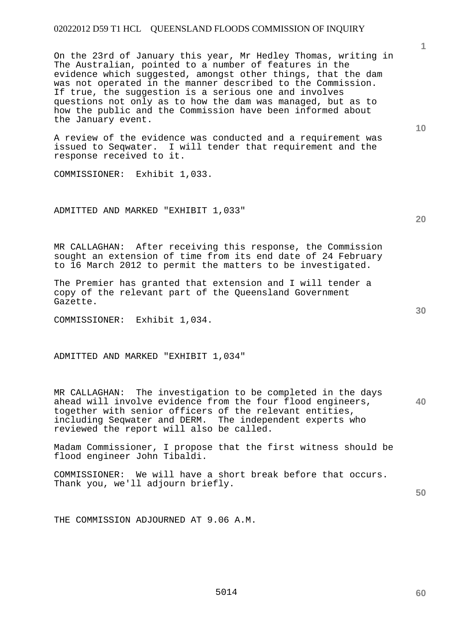On the 23rd of January this year, Mr Hedley Thomas, writing in The Australian, pointed to a number of features in the evidence which suggested, amongst other things, that the dam was not operated in the manner described to the Commission. If true, the suggestion is a serious one and involves questions not only as to how the dam was managed, but as to how the public and the Commission have been informed about the January event.

A review of the evidence was conducted and a requirement was issued to Seqwater. I will tender that requirement and the response received to it.

COMMISSIONER: Exhibit 1,033.

ADMITTED AND MARKED "EXHIBIT 1,033"

MR CALLAGHAN: After receiving this response, the Commission sought an extension of time from its end date of 24 February to 16 March 2012 to permit the matters to be investigated.

The Premier has granted that extension and I will tender a copy of the relevant part of the Queensland Government Gazette.

COMMISSIONER: Exhibit 1,034.

ADMITTED AND MARKED "EXHIBIT 1,034"

**40**  MR CALLAGHAN: The investigation to be completed in the days ahead will involve evidence from the four flood engineers, together with senior officers of the relevant entities, including Seqwater and DERM. The independent experts who reviewed the report will also be called.

Madam Commissioner, I propose that the first witness should be flood engineer John Tibaldi.

COMMISSIONER: We will have a short break before that occurs. Thank you, we'll adjourn briefly.

**50** 

THE COMMISSION ADJOURNED AT 9.06 A.M.

**10** 

**30** 

**20**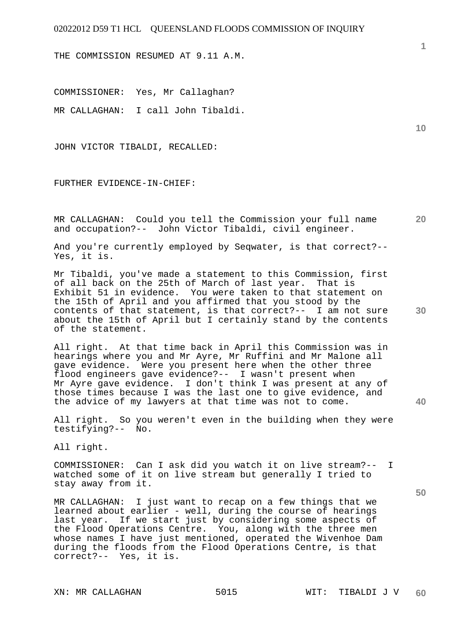THE COMMISSION RESUMED AT 9.11 A.M.

COMMISSIONER: Yes, Mr Callaghan? MR CALLAGHAN: I call John Tibaldi.

JOHN VICTOR TIBALDI, RECALLED:

FURTHER EVIDENCE-IN-CHIEF:

**20**  MR CALLAGHAN: Could you tell the Commission your full name and occupation?-- John Victor Tibaldi, civil engineer.

And you're currently employed by Seqwater, is that correct?-- Yes, it is.

Mr Tibaldi, you've made a statement to this Commission, first of all back on the 25th of March of last year. That is Exhibit 51 in evidence. You were taken to that statement on the 15th of April and you affirmed that you stood by the contents of that statement, is that correct?-- I am not sure about the 15th of April but I certainly stand by the contents of the statement.

All right. At that time back in April this Commission was in hearings where you and Mr Ayre, Mr Ruffini and Mr Malone all gave evidence. Were you present here when the other three flood engineers gave evidence?-- I wasn't present when Mr Ayre gave evidence. I don't think I was present at any of those times because I was the last one to give evidence, and the advice of my lawyers at that time was not to come.

All right. So you weren't even in the building when they were testifying?-- No.

All right.

COMMISSIONER: Can I ask did you watch it on live stream?-- I watched some of it on live stream but generally I tried to stay away from it.

MR CALLAGHAN: I just want to recap on a few things that we learned about earlier - well, during the course of hearings last year. If we start just by considering some aspects of the Flood Operations Centre. You, along with the three men whose names I have just mentioned, operated the Wivenhoe Dam during the floods from the Flood Operations Centre, is that correct?-- Yes, it is.

**1**

**10** 

**30**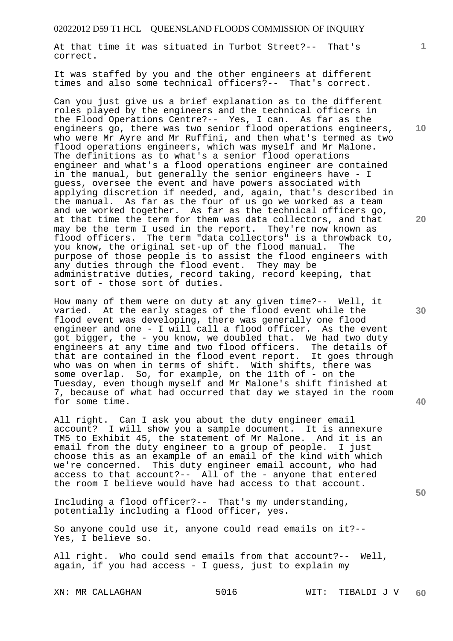At that time it was situated in Turbot Street?-- That's correct.

It was staffed by you and the other engineers at different times and also some technical officers?-- That's correct.

Can you just give us a brief explanation as to the different roles played by the engineers and the technical officers in the Flood Operations Centre?-- Yes, I can. As far as the engineers go, there was two senior flood operations engineers, who were Mr Ayre and Mr Ruffini, and then what's termed as two flood operations engineers, which was myself and Mr Malone. The definitions as to what's a senior flood operations engineer and what's a flood operations engineer are contained in the manual, but generally the senior engineers have - I guess, oversee the event and have powers associated with applying discretion if needed, and, again, that's described in the manual. As far as the four of us go we worked as a team and we worked together. As far as the technical officers go, at that time the term for them was data collectors, and that may be the term I used in the report. They're now known as flood officers. The term "data collectors" is a throwback to, you know, the original set-up of the flood manual. The purpose of those people is to assist the flood engineers with any duties through the flood event. They may be administrative duties, record taking, record keeping, that sort of - those sort of duties.

How many of them were on duty at any given time?-- Well, it varied. At the early stages of the flood event while the flood event was developing, there was generally one flood engineer and one - I will call a flood officer. As the event got bigger, the - you know, we doubled that. We had two duty engineers at any time and two flood officers. The details of that are contained in the flood event report. It goes through who was on when in terms of shift. With shifts, there was some overlap. So, for example, on the 11th of - on the Tuesday, even though myself and Mr Malone's shift finished at 7, because of what had occurred that day we stayed in the room for some time.

All right. Can I ask you about the duty engineer email account? I will show you a sample document. It is annexure TM5 to Exhibit 45, the statement of Mr Malone. And it is an email from the duty engineer to a group of people. I just choose this as an example of an email of the kind with which we're concerned. This duty engineer email account, who had access to that account?-- All of the - anyone that entered the room I believe would have had access to that account.

Including a flood officer?-- That's my understanding, potentially including a flood officer, yes.

So anyone could use it, anyone could read emails on it?-- Yes, I believe so.

All right. Who could send emails from that account?-- Well, again, if you had access - I guess, just to explain my

**10** 

**1**

**20** 

**40** 

**50**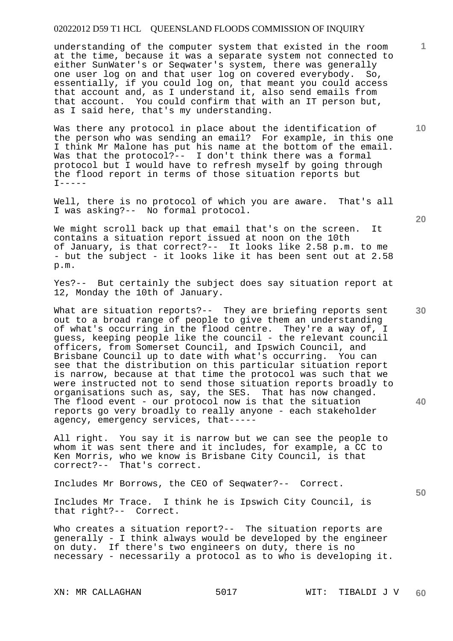understanding of the computer system that existed in the room at the time, because it was a separate system not connected to either SunWater's or Seqwater's system, there was generally one user log on and that user log on covered everybody. So, essentially, if you could log on, that meant you could access that account and, as I understand it, also send emails from that account. You could confirm that with an IT person but, as I said here, that's my understanding.

Was there any protocol in place about the identification of the person who was sending an email? For example, in this one I think Mr Malone has put his name at the bottom of the email. Was that the protocol?-- I don't think there was a formal protocol but I would have to refresh myself by going through the flood report in terms of those situation reports but  $T-----$ 

Well, there is no protocol of which you are aware. That's all I was asking?-- No formal protocol.

We might scroll back up that email that's on the screen. It contains a situation report issued at noon on the 10th of January, is that correct?-- It looks like 2.58 p.m. to me - but the subject - it looks like it has been sent out at 2.58 p.m.

Yes?-- But certainly the subject does say situation report at 12, Monday the 10th of January.

What are situation reports?-- They are briefing reports sent out to a broad range of people to give them an understanding of what's occurring in the flood centre. They're a way of, I guess, keeping people like the council - the relevant council officers, from Somerset Council, and Ipswich Council, and Brisbane Council up to date with what's occurring. You can see that the distribution on this particular situation report is narrow, because at that time the protocol was such that we were instructed not to send those situation reports broadly to organisations such as, say, the SES. That has now changed. The flood event - our protocol now is that the situation reports go very broadly to really anyone - each stakeholder agency, emergency services, that-----

All right. You say it is narrow but we can see the people to whom it was sent there and it includes, for example, a CC to Ken Morris, who we know is Brisbane City Council, is that correct?-- That's correct.

Includes Mr Borrows, the CEO of Seqwater?-- Correct.

Includes Mr Trace. I think he is Ipswich City Council, is that right?-- Correct.

Who creates a situation report?-- The situation reports are generally - I think always would be developed by the engineer on duty. If there's two engineers on duty, there is no necessary - necessarily a protocol as to who is developing it.

**20** 

**1**

**10** 

**30** 

**40**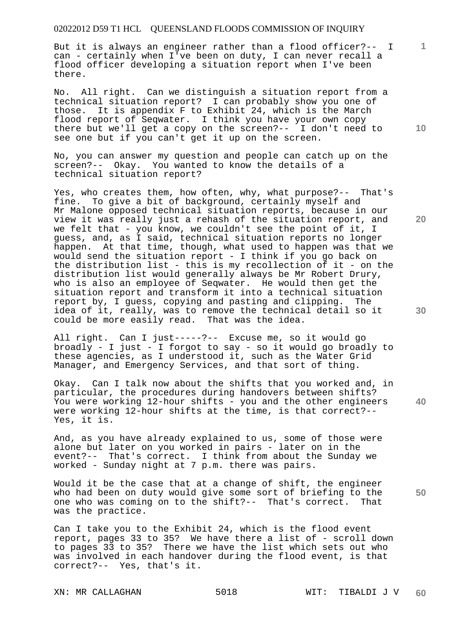But it is always an engineer rather than a flood officer?-- I can - certainly when I've been on duty, I can never recall a flood officer developing a situation report when I've been there.

No. All right. Can we distinguish a situation report from a technical situation report? I can probably show you one of those. It is appendix F to Exhibit 24, which is the March flood report of Seqwater. I think you have your own copy there but we'll get a copy on the screen?-- I don't need to see one but if you can't get it up on the screen.

No, you can answer my question and people can catch up on the screen?-- Okay. You wanted to know the details of a technical situation report?

Yes, who creates them, how often, why, what purpose?-- That's fine. To give a bit of background, certainly myself and Mr Malone opposed technical situation reports, because in our view it was really just a rehash of the situation report, and we felt that - you know, we couldn't see the point of it, I guess, and, as I said, technical situation reports no longer happen. At that time, though, what used to happen was that we would send the situation report - I think if you go back on the distribution list - this is my recollection of it - on the distribution list would generally always be Mr Robert Drury, who is also an employee of Seqwater. He would then get the situation report and transform it into a technical situation report by, I guess, copying and pasting and clipping. The idea of it, really, was to remove the technical detail so it could be more easily read. That was the idea.

All right. Can I just-----?-- Excuse me, so it would go broadly - I just - I forgot to say - so it would go broadly to these agencies, as I understood it, such as the Water Grid Manager, and Emergency Services, and that sort of thing.

**40**  Okay. Can I talk now about the shifts that you worked and, in particular, the procedures during handovers between shifts? You were working 12-hour shifts - you and the other engineers were working 12-hour shifts at the time, is that correct?-- Yes, it is.

And, as you have already explained to us, some of those were alone but later on you worked in pairs - later on in the event?-- That's correct. I think from about the Sunday we worked - Sunday night at 7 p.m. there was pairs.

Would it be the case that at a change of shift, the engineer who had been on duty would give some sort of briefing to the one who was coming on to the shift?-- That's correct. That was the practice.

Can I take you to the Exhibit 24, which is the flood event report, pages 33 to 35? We have there a list of - scroll down to pages 33 to 35? There we have the list which sets out who was involved in each handover during the flood event, is that correct?-- Yes, that's it.

**10** 

**1**

**20** 

**30**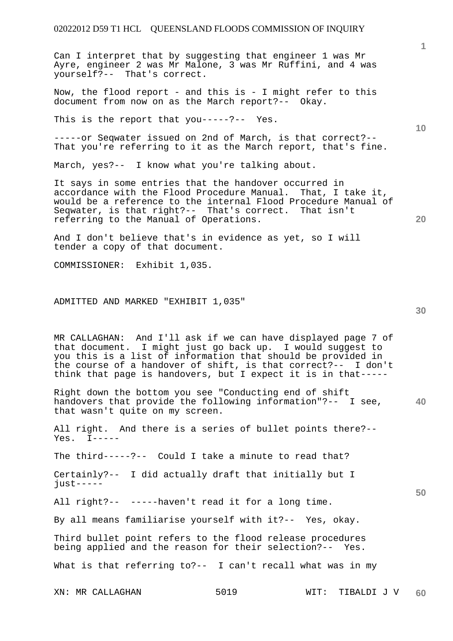Can I interpret that by suggesting that engineer 1 was Mr Ayre, engineer 2 was Mr Malone, 3 was Mr Ruffini, and 4 was yourself?-- That's correct.

Now, the flood report - and this is - I might refer to this document from now on as the March report?-- Okay.

This is the report that you-----?-- Yes.

-----or Seqwater issued on 2nd of March, is that correct?-- That you're referring to it as the March report, that's fine.

March, yes?-- I know what you're talking about.

It says in some entries that the handover occurred in accordance with the Flood Procedure Manual. That, I take it, would be a reference to the internal Flood Procedure Manual of Seqwater, is that right?-- That's correct. That isn't referring to the Manual of Operations.

And I don't believe that's in evidence as yet, so I will tender a copy of that document.

COMMISSIONER: Exhibit 1,035.

#### ADMITTED AND MARKED "EXHIBIT 1,035"

MR CALLAGHAN: And I'll ask if we can have displayed page 7 of that document. I might just go back up. I would suggest to you this is a list of information that should be provided in the course of a handover of shift, is that correct?-- I don't think that page is handovers, but I expect it is in that-----

**40**  Right down the bottom you see "Conducting end of shift handovers that provide the following information"?-- I see, that wasn't quite on my screen.

All right. And there is a series of bullet points there?--  $Yes. I-----$ 

The third-----?-- Could I take a minute to read that?

Certainly?-- I did actually draft that initially but I  $i$ ust-----

All right?-- -----haven't read it for a long time.

By all means familiarise yourself with it?-- Yes, okay.

Third bullet point refers to the flood release procedures being applied and the reason for their selection?-- Yes.

What is that referring to?-- I can't recall what was in my

**50** 

**10** 

**1**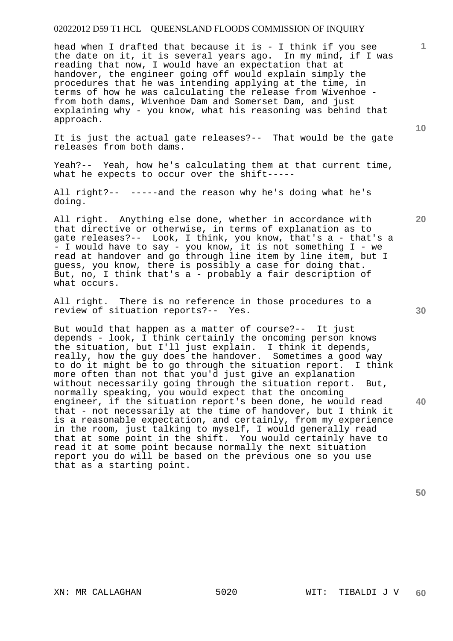head when I drafted that because it is - I think if you see the date on it, it is several years ago. In my mind, if I was reading that now, I would have an expectation that at handover, the engineer going off would explain simply the procedures that he was intending applying at the time, in terms of how he was calculating the release from Wivenhoe from both dams, Wivenhoe Dam and Somerset Dam, and just explaining why - you know, what his reasoning was behind that approach.

It is just the actual gate releases?-- That would be the gate releases from both dams.

Yeah?-- Yeah, how he's calculating them at that current time, what he expects to occur over the shift-----

All right. Anything else done, whether in accordance with that directive or otherwise, in terms of explanation as to gate releases?-- Look, I think, you know, that's a - that's a - I would have to say - you know, it is not something I - we read at handover and go through line item by line item, but I guess, you know, there is possibly a case for doing that. But, no, I think that's a - probably a fair description of what occurs.

All right. There is no reference in those procedures to a review of situation reports?-- Yes.

But would that happen as a matter of course?-- It just depends - look, I think certainly the oncoming person knows the situation, but I'll just explain. I think it depends, really, how the guy does the handover. Sometimes a good way to do it might be to go through the situation report. I think more often than not that you'd just give an explanation without necessarily going through the situation report. But, normally speaking, you would expect that the oncoming engineer, if the situation report's been done, he would read that - not necessarily at the time of handover, but I think it is a reasonable expectation, and certainly, from my experience in the room, just talking to myself, I would generally read that at some point in the shift. You would certainly have to read it at some point because normally the next situation report you do will be based on the previous one so you use that as a starting point.

**50** 

**40** 

**20** 

**30** 

**10** 

All right?-- -----and the reason why he's doing what he's doing.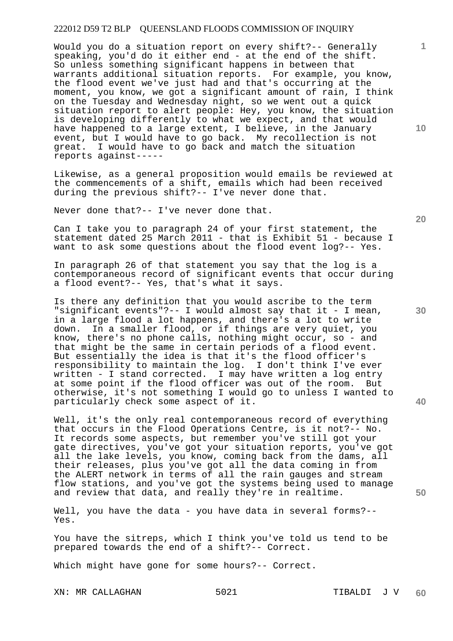Would you do a situation report on every shift?-- Generally speaking, you'd do it either end - at the end of the shift. So unless something significant happens in between that warrants additional situation reports. For example, you know, the flood event we've just had and that's occurring at the moment, you know, we got a significant amount of rain, I think on the Tuesday and Wednesday night, so we went out a quick situation report to alert people: Hey, you know, the situation is developing differently to what we expect, and that would have happened to a large extent, I believe, in the January event, but I would have to go back. My recollection is not great. I would have to go back and match the situation reports against-----

Likewise, as a general proposition would emails be reviewed at the commencements of a shift, emails which had been received during the previous shift?-- I've never done that.

Never done that?-- I've never done that.

Can I take you to paragraph 24 of your first statement, the statement dated 25 March 2011 - that is Exhibit 51 - because I want to ask some questions about the flood event log?-- Yes.

In paragraph 26 of that statement you say that the log is a contemporaneous record of significant events that occur during a flood event?-- Yes, that's what it says.

Is there any definition that you would ascribe to the term "significant events"?-- I would almost say that it - I mean, in a large flood a lot happens, and there's a lot to write down. In a smaller flood, or if things are very quiet, you know, there's no phone calls, nothing might occur, so - and that might be the same in certain periods of a flood event. But essentially the idea is that it's the flood officer's responsibility to maintain the log. I don't think I've ever written - I stand corrected. I may have written a log entry at some point if the flood officer was out of the room. But otherwise, it's not something I would go to unless I wanted to particularly check some aspect of it.

Well, it's the only real contemporaneous record of everything that occurs in the Flood Operations Centre, is it not?-- No. It records some aspects, but remember you've still got your gate directives, you've got your situation reports, you've got all the lake levels, you know, coming back from the dams, all their releases, plus you've got all the data coming in from the ALERT network in terms of all the rain gauges and stream flow stations, and you've got the systems being used to manage and review that data, and really they're in realtime.

Well, you have the data - you have data in several forms?--Yes.

You have the sitreps, which I think you've told us tend to be prepared towards the end of a shift?-- Correct.

Which might have gone for some hours?-- Correct.

XN: MR CALLAGHAN 5021 TIBALDI J V

**20** 

**40** 

**50** 

**10**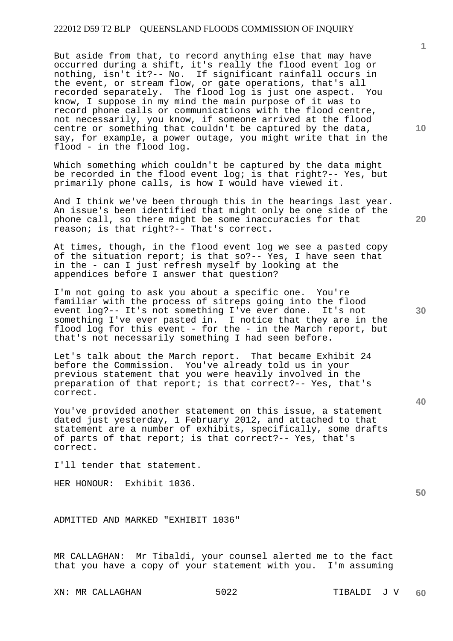But aside from that, to record anything else that may have occurred during a shift, it's really the flood event log or nothing, isn't it?-- No. If significant rainfall occurs in the event, or stream flow, or gate operations, that's all recorded separately. The flood log is just one aspect. You know, I suppose in my mind the main purpose of it was to record phone calls or communications with the flood centre, not necessarily, you know, if someone arrived at the flood centre or something that couldn't be captured by the data, say, for example, a power outage, you might write that in the flood - in the flood log.

Which something which couldn't be captured by the data might be recorded in the flood event log; is that right?-- Yes, but primarily phone calls, is how I would have viewed it.

And I think we've been through this in the hearings last year. An issue's been identified that might only be one side of the phone call, so there might be some inaccuracies for that reason; is that right?-- That's correct.

At times, though, in the flood event log we see a pasted copy of the situation report; is that so?-- Yes, I have seen that in the - can I just refresh myself by looking at the appendices before I answer that question?

I'm not going to ask you about a specific one. You're familiar with the process of sitreps going into the flood event log?-- It's not something I've ever done. It's not something I've ever pasted in. I notice that they are in the flood log for this event - for the - in the March report, but that's not necessarily something I had seen before.

Let's talk about the March report. That became Exhibit 24 before the Commission. You've already told us in your previous statement that you were heavily involved in the preparation of that report; is that correct?-- Yes, that's correct.

You've provided another statement on this issue, a statement dated just yesterday, 1 February 2012, and attached to that statement are a number of exhibits, specifically, some drafts of parts of that report; is that correct?-- Yes, that's correct.

I'll tender that statement.

HER HONOUR: Exhibit 1036.

ADMITTED AND MARKED "EXHIBIT 1036"

MR CALLAGHAN: Mr Tibaldi, your counsel alerted me to the fact that you have a copy of your statement with you. I'm assuming

XN: MR CALLAGHAN 5022 TIBALDI J V

**20** 

**40** 

**30** 

**10** 

**1**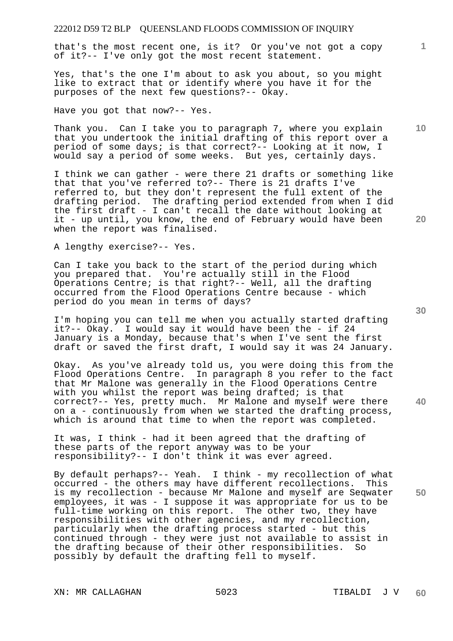that's the most recent one, is it? Or you've not got a copy of it?-- I've only got the most recent statement.

Yes, that's the one I'm about to ask you about, so you might like to extract that or identify where you have it for the purposes of the next few questions?-- Okay.

Have you got that now?-- Yes.

Thank you. Can I take you to paragraph 7, where you explain that you undertook the initial drafting of this report over a period of some days; is that correct?-- Looking at it now, I would say a period of some weeks. But yes, certainly days.

I think we can gather - were there 21 drafts or something like that that you've referred to?-- There is 21 drafts I've referred to, but they don't represent the full extent of the drafting period. The drafting period extended from when I did the first draft - I can't recall the date without looking at it - up until, you know, the end of February would have been when the report was finalised.

A lengthy exercise?-- Yes.

Can I take you back to the start of the period during which you prepared that. You're actually still in the Flood Operations Centre; is that right?-- Well, all the drafting occurred from the Flood Operations Centre because - which period do you mean in terms of days?

I'm hoping you can tell me when you actually started drafting it?-- Okay. I would say it would have been the - if 24 January is a Monday, because that's when I've sent the first draft or saved the first draft, I would say it was 24 January.

Okay. As you've already told us, you were doing this from the Flood Operations Centre. In paragraph 8 you refer to the fact that Mr Malone was generally in the Flood Operations Centre with you whilst the report was being drafted; is that correct?-- Yes, pretty much. Mr Malone and myself were there on a - continuously from when we started the drafting process, which is around that time to when the report was completed.

It was, I think - had it been agreed that the drafting of these parts of the report anyway was to be your responsibility?-- I don't think it was ever agreed.

By default perhaps?-- Yeah. I think - my recollection of what occurred - the others may have different recollections. This is my recollection - because Mr Malone and myself are Seqwater employees, it was - I suppose it was appropriate for us to be full-time working on this report. The other two, they have responsibilities with other agencies, and my recollection, particularly when the drafting process started - but this continued through - they were just not available to assist in the drafting because of their other responsibilities. So possibly by default the drafting fell to myself.

XN: MR CALLAGHAN 5023 TIBALDI J V

**20** 

**30** 

**40** 

**50** 

**1**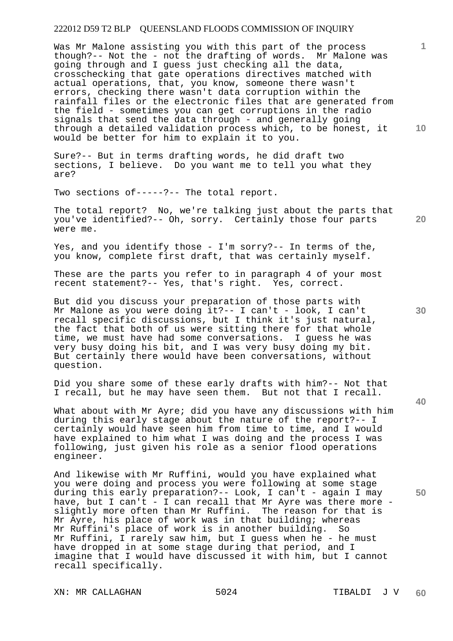**10**  Was Mr Malone assisting you with this part of the process though?-- Not the - not the drafting of words. Mr Malone was going through and I guess just checking all the data, crosschecking that gate operations directives matched with actual operations, that, you know, someone there wasn't errors, checking there wasn't data corruption within the rainfall files or the electronic files that are generated from the field - sometimes you can get corruptions in the radio signals that send the data through - and generally going through a detailed validation process which, to be honest, it would be better for him to explain it to you.

Sure?-- But in terms drafting words, he did draft two sections, I believe. Do you want me to tell you what they are?

Two sections of-----?-- The total report.

The total report? No, we're talking just about the parts that you've identified?-- Oh, sorry. Certainly those four parts were me.

Yes, and you identify those - I'm sorry?-- In terms of the, you know, complete first draft, that was certainly myself.

These are the parts you refer to in paragraph 4 of your most recent statement?-- Yes, that's right. Yes, correct.

But did you discuss your preparation of those parts with Mr Malone as you were doing it ?-- I can't - look, I can't recall specific discussions, but I think it's just natural, the fact that both of us were sitting there for that whole time, we must have had some conversations. I guess he was very busy doing his bit, and I was very busy doing my bit. But certainly there would have been conversations, without question.

Did you share some of these early drafts with him?-- Not that I recall, but he may have seen them. But not that I recall.

What about with Mr Ayre; did you have any discussions with him during this early stage about the nature of the report?-- I certainly would have seen him from time to time, and I would have explained to him what I was doing and the process I was following, just given his role as a senior flood operations engineer.

And likewise with Mr Ruffini, would you have explained what you were doing and process you were following at some stage during this early preparation?-- Look, I can't - again I may have, but I can't - I can recall that Mr Ayre was there more slightly more often than Mr Ruffini. The reason for that is Mr Ayre, his place of work was in that building; whereas Mr Ruffini's place of work is in another building. So Mr Ruffini, I rarely saw him, but I guess when he - he must have dropped in at some stage during that period, and I imagine that I would have discussed it with him, but I cannot recall specifically.

XN: MR CALLAGHAN 5024 TIBALDI J V

**30** 

**20** 

**1**

**40**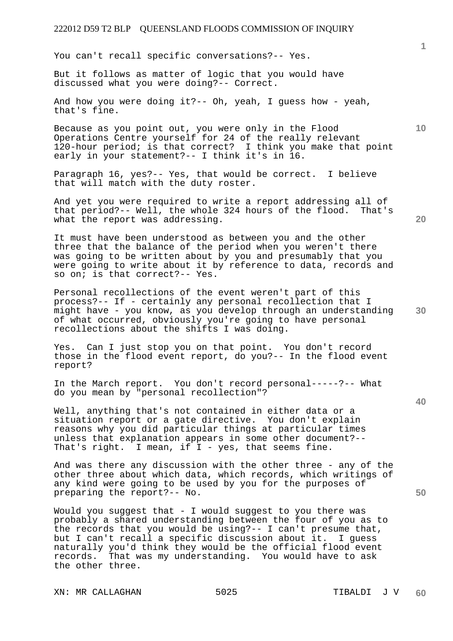You can't recall specific conversations?-- Yes.

But it follows as matter of logic that you would have discussed what you were doing?-- Correct.

And how you were doing it?-- Oh, yeah, I guess how - yeah, that's fine.

Because as you point out, you were only in the Flood Operations Centre yourself for 24 of the really relevant 120-hour period; is that correct? I think you make that point early in your statement?-- I think it's in 16.

Paragraph 16, yes?-- Yes, that would be correct. I believe that will match with the duty roster.

And yet you were required to write a report addressing all of that period?-- Well, the whole 324 hours of the flood. That's what the report was addressing.

It must have been understood as between you and the other three that the balance of the period when you weren't there was going to be written about by you and presumably that you were going to write about it by reference to data, records and so on; is that correct?-- Yes.

Personal recollections of the event weren't part of this process?-- If - certainly any personal recollection that I might have - you know, as you develop through an understanding of what occurred, obviously you're going to have personal recollections about the shifts I was doing.

Yes. Can I just stop you on that point. You don't record those in the flood event report, do you?-- In the flood event report?

In the March report. You don't record personal-----?-- What do you mean by "personal recollection"?

Well, anything that's not contained in either data or a situation report or a gate directive. You don't explain reasons why you did particular things at particular times unless that explanation appears in some other document?-- That's right. I mean, if I - yes, that seems fine.

And was there any discussion with the other three - any of the other three about which data, which records, which writings of any kind were going to be used by you for the purposes of preparing the report?-- No.

Would you suggest that - I would suggest to you there was probably a shared understanding between the four of you as to the records that you would be using?-- I can't presume that, but I can't recall a specific discussion about it. I guess naturally you'd think they would be the official flood event records. That was my understanding. You would have to ask the other three.

XN: MR CALLAGHAN 5025 TIBALDI J V

**20** 

**10** 

**1**

**30**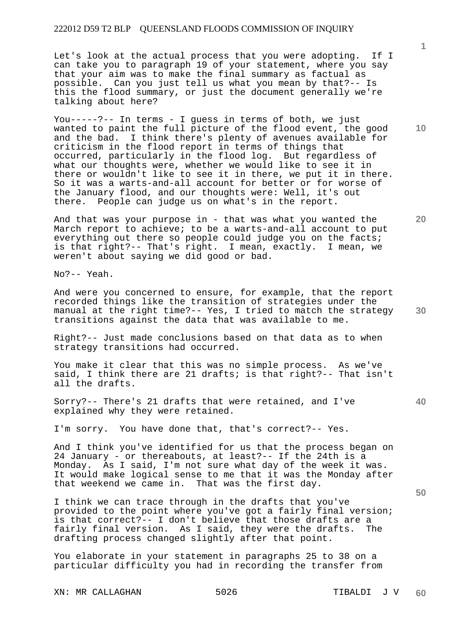Let's look at the actual process that you were adopting. If I can take you to paragraph 19 of your statement, where you say that your aim was to make the final summary as factual as possible. Can you just tell us what you mean by that?-- Is this the flood summary, or just the document generally we're talking about here?

You-----?-- In terms - I guess in terms of both, we just wanted to paint the full picture of the flood event, the good and the bad. I think there's plenty of avenues available for criticism in the flood report in terms of things that occurred, particularly in the flood log. But regardless of what our thoughts were, whether we would like to see it in there or wouldn't like to see it in there, we put it in there. So it was a warts-and-all account for better or for worse of the January flood, and our thoughts were: Well, it's out there. People can judge us on what's in the report.

And that was your purpose in - that was what you wanted the March report to achieve; to be a warts-and-all account to put everything out there so people could judge you on the facts; is that right?-- That's right. I mean, exactly. I mean, we weren't about saying we did good or bad.

No?-- Yeah.

And were you concerned to ensure, for example, that the report recorded things like the transition of strategies under the manual at the right time?-- Yes, I tried to match the strategy transitions against the data that was available to me.

Right?-- Just made conclusions based on that data as to when strategy transitions had occurred.

You make it clear that this was no simple process. As we've said, I think there are 21 drafts; is that right?-- That isn't all the drafts.

Sorry?-- There's 21 drafts that were retained, and I've explained why they were retained.

I'm sorry. You have done that, that's correct?-- Yes.

And I think you've identified for us that the process began on 24 January - or thereabouts, at least?-- If the 24th is a Monday. As I said, I'm not sure what day of the week it was. It would make logical sense to me that it was the Monday after that weekend we came in. That was the first day.

I think we can trace through in the drafts that you've provided to the point where you've got a fairly final version; is that correct?-- I don't believe that those drafts are a fairly final version. As I said, they were the drafts. The drafting process changed slightly after that point.

You elaborate in your statement in paragraphs 25 to 38 on a particular difficulty you had in recording the transfer from

XN: MR CALLAGHAN 5026 TIBALDI J V

**10** 

**1**

**20** 

**30** 

**40**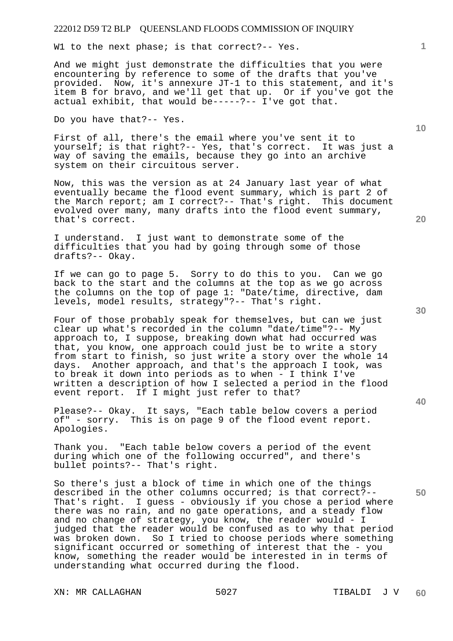W1 to the next phase; is that correct?-- Yes.

And we might just demonstrate the difficulties that you were encountering by reference to some of the drafts that you've provided. Now, it's annexure JT-1 to this statement, and it's item B for bravo, and we'll get that up. Or if you've got the actual exhibit, that would be-----?-- I've got that.

Do you have that?-- Yes.

First of all, there's the email where you've sent it to yourself; is that right?-- Yes, that's correct. It was just a way of saving the emails, because they go into an archive system on their circuitous server.

Now, this was the version as at 24 January last year of what eventually became the flood event summary, which is part 2 of the March report; am I correct?-- That's right. This document evolved over many, many drafts into the flood event summary, that's correct.

I understand. I just want to demonstrate some of the difficulties that you had by going through some of those drafts?-- Okay.

If we can go to page 5. Sorry to do this to you. Can we go back to the start and the columns at the top as we go across the columns on the top of page 1: "Date/time, directive, dam levels, model results, strategy"?-- That's right.

Four of those probably speak for themselves, but can we just clear up what's recorded in the column "date/time"?-- My approach to, I suppose, breaking down what had occurred was that, you know, one approach could just be to write a story from start to finish, so just write a story over the whole 14 days. Another approach, and that's the approach I took, was to break it down into periods as to when - I think I've written a description of how I selected a period in the flood event report. If I might just refer to that?

Please?-- Okay. It says, "Each table below covers a period of" - sorry. This is on page 9 of the flood event report. Apologies.

Thank you. "Each table below covers a period of the event during which one of the following occurred", and there's bullet points?-- That's right.

So there's just a block of time in which one of the things described in the other columns occurred; is that correct?-- That's right. I guess - obviously if you chose a period where there was no rain, and no gate operations, and a steady flow and no change of strategy, you know, the reader would - I judged that the reader would be confused as to why that period was broken down. So I tried to choose periods where something significant occurred or something of interest that the - you know, something the reader would be interested in in terms of understanding what occurred during the flood.

XN: MR CALLAGHAN 5027 SO27 TIBALDI J V

**30** 

**20** 

**40** 

**50** 

**10**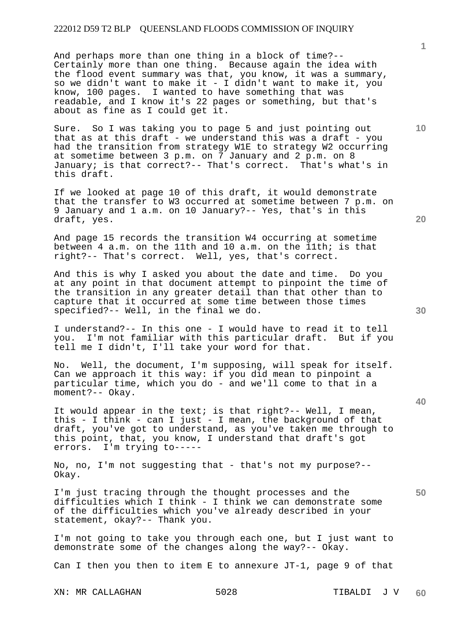And perhaps more than one thing in a block of time?-- Certainly more than one thing. Because again the idea with the flood event summary was that, you know, it was a summary, so we didn't want to make it - I didn't want to make it, you know, 100 pages. I wanted to have something that was readable, and I know it's 22 pages or something, but that's about as fine as I could get it.

Sure. So I was taking you to page 5 and just pointing out that as at this draft - we understand this was a draft - you had the transition from strategy W1E to strategy W2 occurring at sometime between 3 p.m. on 7 January and 2 p.m. on 8 January; is that correct?-- That's correct. That's what's in this draft.

If we looked at page 10 of this draft, it would demonstrate that the transfer to W3 occurred at sometime between 7 p.m. on 9 January and 1 a.m. on 10 January?-- Yes, that's in this draft, yes.

And page 15 records the transition W4 occurring at sometime between 4 a.m. on the 11th and 10 a.m. on the 11th; is that right?-- That's correct. Well, yes, that's correct.

And this is why I asked you about the date and time. Do you at any point in that document attempt to pinpoint the time of the transition in any greater detail than that other than to capture that it occurred at some time between those times specified?-- Well, in the final we do.

I understand?-- In this one - I would have to read it to tell I'm not familiar with this particular draft. But if you tell me I didn't, I'll take your word for that.

No. Well, the document, I'm supposing, will speak for itself. Can we approach it this way: if you did mean to pinpoint a particular time, which you do - and we'll come to that in a moment?-- Okay.

It would appear in the text; is that right?-- Well, I mean, this - I think - can I just - I mean, the background of that draft, you've got to understand, as you've taken me through to this point, that, you know, I understand that draft's got errors. I'm trying to-----

No, no, I'm not suggesting that - that's not my purpose?-- Okay.

I'm just tracing through the thought processes and the difficulties which I think - I think we can demonstrate some of the difficulties which you've already described in your statement, okay?-- Thank you.

I'm not going to take you through each one, but I just want to demonstrate some of the changes along the way?-- Okay.

Can I then you then to item E to annexure JT-1, page 9 of that

XN: MR CALLAGHAN 5028 TIBALDI J V

**20** 

**40** 

**50** 

**30** 

**10**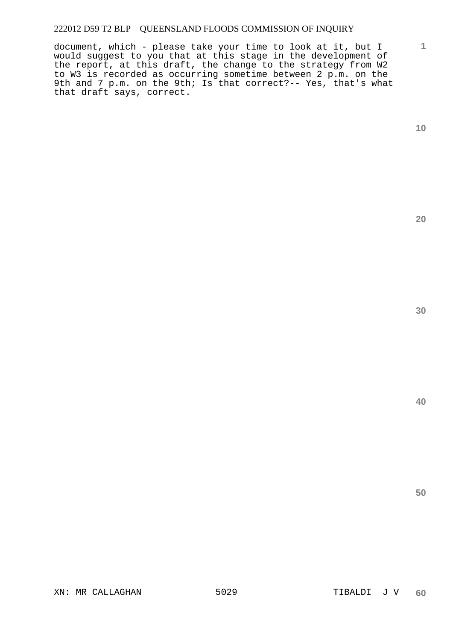document, which - please take your time to look at it, but I would suggest to you that at this stage in the development of the report, at this draft, the change to the strategy from W2 to W3 is recorded as occurring sometime between 2 p.m. on the 9th and 7 p.m. on the 9th; Is that correct?-- Yes, that's what that draft says, correct.

**1**

**20**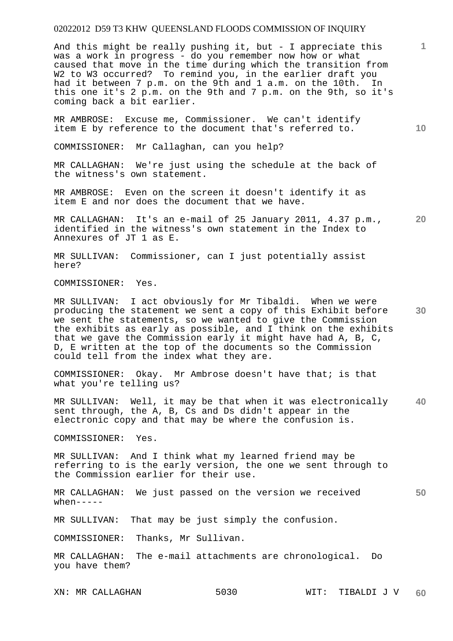And this might be really pushing it, but - I appreciate this was a work in progress - do you remember now how or what caused that move in the time during which the transition from W2 to W3 occurred? To remind you, in the earlier draft you had it between 7 p.m. on the 9th and 1 a.m. on the 10th. In this one it's 2 p.m. on the 9th and 7 p.m. on the 9th, so it's coming back a bit earlier.

MR AMBROSE: Excuse me, Commissioner. We can't identify item E by reference to the document that's referred to.

COMMISSIONER: Mr Callaghan, can you help?

MR CALLAGHAN: We're just using the schedule at the back of the witness's own statement.

MR AMBROSE: Even on the screen it doesn't identify it as item E and nor does the document that we have.

**20**  MR CALLAGHAN: It's an e-mail of 25 January 2011, 4.37 p.m., identified in the witness's own statement in the Index to Annexures of JT 1 as E.

MR SULLIVAN: Commissioner, can I just potentially assist here?

COMMISSIONER: Yes.

**30**  MR SULLIVAN: I act obviously for Mr Tibaldi. When we were producing the statement we sent a copy of this Exhibit before we sent the statements, so we wanted to give the Commission the exhibits as early as possible, and I think on the exhibits that we gave the Commission early it might have had A, B, C, D, E written at the top of the documents so the Commission could tell from the index what they are.

COMMISSIONER: Okay. Mr Ambrose doesn't have that; is that what you're telling us?

**40**  MR SULLIVAN: Well, it may be that when it was electronically sent through, the A, B, Cs and Ds didn't appear in the electronic copy and that may be where the confusion is.

COMMISSIONER: Yes.

MR SULLIVAN: And I think what my learned friend may be referring to is the early version, the one we sent through to the Commission earlier for their use.

**50**  MR CALLAGHAN: We just passed on the version we received  $when---$ 

MR SULLIVAN: That may be just simply the confusion.

COMMISSIONER: Thanks, Mr Sullivan.

MR CALLAGHAN: The e-mail attachments are chronological. Do you have them?

**1**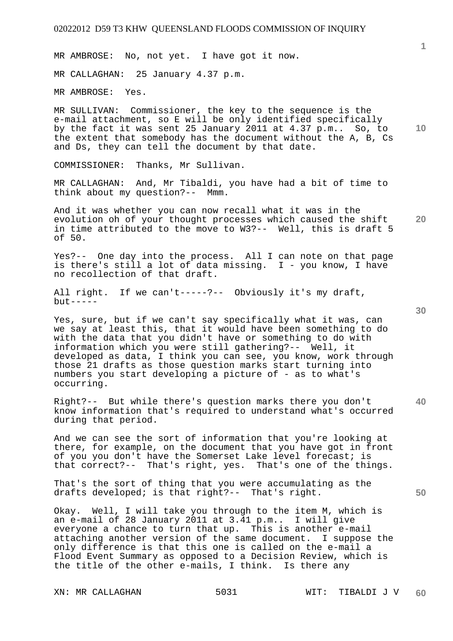MR AMBROSE: No, not yet. I have got it now.

MR CALLAGHAN: 25 January 4.37 p.m.

MR AMBROSE: Yes.

MR SULLIVAN: Commissioner, the key to the sequence is the e-mail attachment, so E will be only identified specifically by the fact it was sent 25 January 2011 at 4.37 p.m.. So, to the extent that somebody has the document without the A, B, Cs and Ds, they can tell the document by that date.

COMMISSIONER: Thanks, Mr Sullivan.

MR CALLAGHAN: And, Mr Tibaldi, you have had a bit of time to think about my question?-- Mmm.

**20**  And it was whether you can now recall what it was in the evolution oh of your thought processes which caused the shift in time attributed to the move to W3?-- Well, this is draft 5 of 50.

Yes?-- One day into the process. All I can note on that page is there's still a lot of data missing. I - you know, I have no recollection of that draft.

All right. If we can't-----?-- Obviously it's my draft,  $but --- -$ 

Yes, sure, but if we can't say specifically what it was, can we say at least this, that it would have been something to do with the data that you didn't have or something to do with information which you were still gathering?-- Well, it developed as data, I think you can see, you know, work through those 21 drafts as those question marks start turning into numbers you start developing a picture of - as to what's occurring.

Right?-- But while there's question marks there you don't know information that's required to understand what's occurred during that period.

And we can see the sort of information that you're looking at there, for example, on the document that you have got in front of you you don't have the Somerset Lake level forecast; is that correct?-- That's right, yes. That's one of the things.

That's the sort of thing that you were accumulating as the drafts developed; is that right?-- That's right.

Okay. Well, I will take you through to the item M, which is an e-mail of 28 January 2011 at 3.41 p.m.. I will give everyone a chance to turn that up. This is another e-mail attaching another version of the same document. I suppose the only difference is that this one is called on the e-mail a Flood Event Summary as opposed to a Decision Review, which is the title of the other e-mails, I think. Is there any

**1**

**10** 

**30**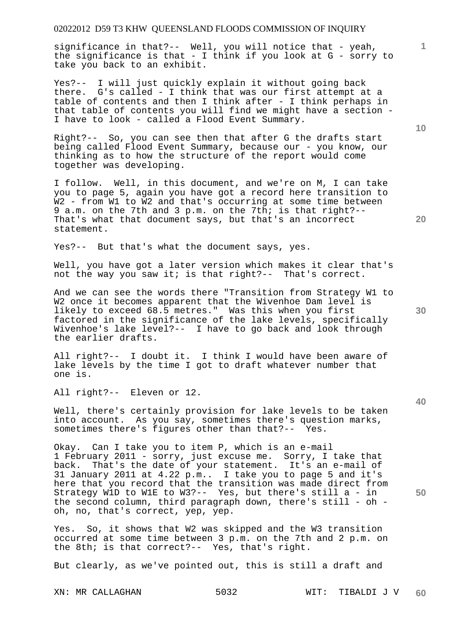significance in that?-- Well, you will notice that - yeah, the significance is that - I think if you look at G - sorry to take you back to an exhibit.

Yes?-- I will just quickly explain it without going back there. G's called - I think that was our first attempt at a table of contents and then I think after - I think perhaps in that table of contents you will find we might have a section - I have to look - called a Flood Event Summary.

Right?-- So, you can see then that after G the drafts start being called Flood Event Summary, because our - you know, our thinking as to how the structure of the report would come together was developing.

I follow. Well, in this document, and we're on M, I can take you to page 5, again you have got a record here transition to W2 - from W1 to W2 and that's occurring at some time between 9 a.m. on the 7th and 3 p.m. on the 7th; is that right?-- That's what that document says, but that's an incorrect statement.

Yes?-- But that's what the document says, yes.

Well, you have got a later version which makes it clear that's not the way you saw it; is that right?-- That's correct.

And we can see the words there "Transition from Strategy W1 to W2 once it becomes apparent that the Wivenhoe Dam level is likely to exceed 68.5 metres." Was this when you first factored in the significance of the lake levels, specifically Wivenhoe's lake level?-- I have to go back and look through the earlier drafts.

All right?-- I doubt it. I think I would have been aware of lake levels by the time I got to draft whatever number that one is.

All right?-- Eleven or 12.

Well, there's certainly provision for lake levels to be taken into account. As you say, sometimes there's question marks, sometimes there's figures other than that?-- Yes.

Okay. Can I take you to item P, which is an e-mail 1 February 2011 - sorry, just excuse me. Sorry, I take that back. That's the date of your statement. It's an e-mail of 31 January 2011 at 4.22 p.m.. I take you to page 5 and it's here that you record that the transition was made direct from Strategy W1D to W1E to W3?-- Yes, but there's still a - in the second column, third paragraph down, there's still - oh oh, no, that's correct, yep, yep.

Yes. So, it shows that W2 was skipped and the W3 transition occurred at some time between 3 p.m. on the 7th and 2 p.m. on the 8th; is that correct?-- Yes, that's right.

But clearly, as we've pointed out, this is still a draft and

**10** 

**1**

**20** 

**40** 

**50**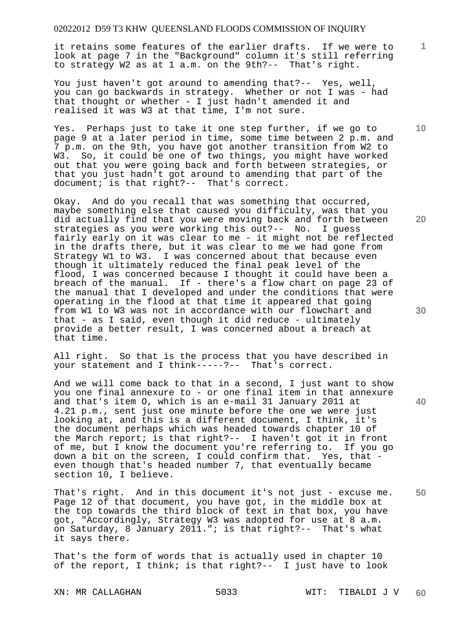it retains some features of the earlier drafts. If we were to look at page 7 in the "Background" column it's still referring to strategy W2 as at 1 a.m. on the 9th?-- That's right.

You just haven't got around to amending that?-- Yes, well, you can go backwards in strategy. Whether or not I was - had that thought or whether - I just hadn't amended it and realised it was W3 at that time, I'm not sure.

Yes. Perhaps just to take it one step further, if we go to page 9 at a later period in time, some time between 2 p.m. and 7 p.m. on the 9th, you have got another transition from W2 to W3. So, it could be one of two things, you might have worked out that you were going back and forth between strategies, or that you just hadn't got around to amending that part of the document; is that right?-- That's correct.

Okay. And do you recall that was something that occurred, maybe something else that caused you difficulty, was that you did actually find that you were moving back and forth between strategies as you were working this out?-- No. I guess fairly early on it was clear to me - it might not be reflected in the drafts there, but it was clear to me we had gone from Strategy W1 to W3. I was concerned about that because even though it ultimately reduced the final peak level of the flood, I was concerned because I thought it could have been a breach of the manual. If - there's a flow chart on page 23 of the manual that I developed and under the conditions that were operating in the flood at that time it appeared that going from W1 to W3 was not in accordance with our flowchart and that - as I said, even though it did reduce - ultimately provide a better result, I was concerned about a breach at that time.

All right. So that is the process that you have described in your statement and I think-----?-- That's correct.

And we will come back to that in a second, I just want to show you one final annexure to - or one final item in that annexure and that's item O, which is an e-mail 31 January 2011 at 4.21 p.m., sent just one minute before the one we were just looking at, and this is a different document, I think, it's the document perhaps which was headed towards chapter 10 of the March report; is that right?-- I haven't got it in front of me, but I know the document you're referring to. If you go down a bit on the screen, I could confirm that. Yes, that even though that's headed number 7, that eventually became section 10, I believe.

**50**  That's right. And in this document it's not just - excuse me. Page 12 of that document, you have got, in the middle box at the top towards the third block of text in that box, you have got, "Accordingly, Strategy W3 was adopted for use at 8 a.m. on Saturday, 8 January 2011."; is that right?-- That's what it says there.

That's the form of words that is actually used in chapter 10 of the report, I think; is that right?-- I just have to look

**30** 

**20** 

**10**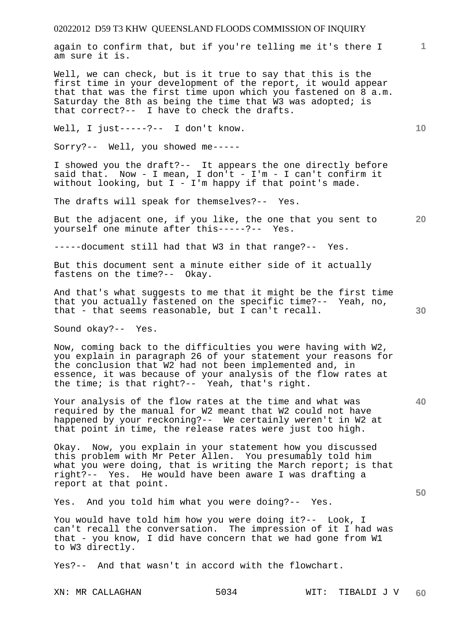again to confirm that, but if you're telling me it's there I am sure it is.

Well, we can check, but is it true to say that this is the first time in your development of the report, it would appear that that was the first time upon which you fastened on 8 a.m. Saturday the 8th as being the time that W3 was adopted; is that correct?-- I have to check the drafts.

Well, I just-----?-- I don't know.

Sorry?-- Well, you showed me-----

I showed you the draft?-- It appears the one directly before said that. Now - I mean, I don't - I'm - I can't confirm it without looking, but I - I'm happy if that point's made.

The drafts will speak for themselves?-- Yes.

But the adjacent one, if you like, the one that you sent to yourself one minute after this-----?-- Yes.

-----document still had that W3 in that range?-- Yes.

But this document sent a minute either side of it actually fastens on the time?-- Okay.

And that's what suggests to me that it might be the first time that you actually fastened on the specific time?-- Yeah, no, that - that seems reasonable, but I can't recall.

Sound okay?-- Yes.

Now, coming back to the difficulties you were having with W2, you explain in paragraph 26 of your statement your reasons for the conclusion that W2 had not been implemented and, in essence, it was because of your analysis of the flow rates at the time; is that right?-- Yeah, that's right.

Your analysis of the flow rates at the time and what was required by the manual for W2 meant that W2 could not have happened by your reckoning?-- We certainly weren't in W2 at that point in time, the release rates were just too high.

Okay. Now, you explain in your statement how you discussed this problem with Mr Peter Allen. You presumably told him what you were doing, that is writing the March report; is that right?-- Yes. He would have been aware I was drafting a report at that point.

Yes. And you told him what you were doing?-- Yes.

You would have told him how you were doing it?-- Look, I can't recall the conversation. The impression of it I had was that - you know, I did have concern that we had gone from W1 to W3 directly.

Yes?-- And that wasn't in accord with the flowchart.

**30** 

**20** 

**40** 

**50** 

**10**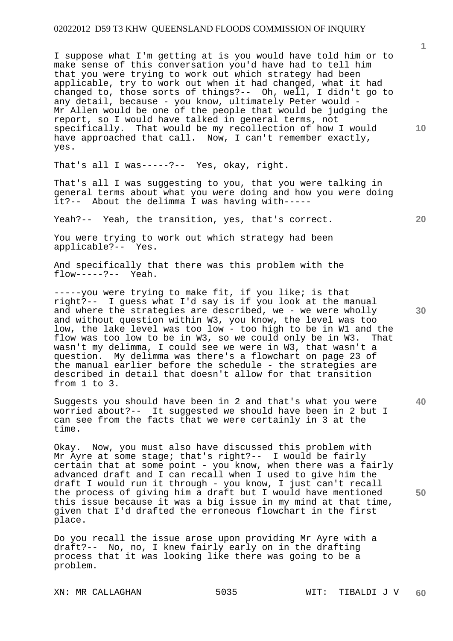I suppose what I'm getting at is you would have told him or to make sense of this conversation you'd have had to tell him that you were trying to work out which strategy had been applicable, try to work out when it had changed, what it had changed to, those sorts of things?-- Oh, well, I didn't go to any detail, because - you know, ultimately Peter would - Mr Allen would be one of the people that would be judging the report, so I would have talked in general terms, not specifically. That would be my recollection of how I would have approached that call. Now, I can't remember exactly, yes.

That's all I was-----?-- Yes, okay, right.

That's all I was suggesting to you, that you were talking in general terms about what you were doing and how you were doing it?-- About the delimma I was having with-----

Yeah?-- Yeah, the transition, yes, that's correct.

You were trying to work out which strategy had been applicable?-- Yes.

And specifically that there was this problem with the flow-----?-- Yeah.

-----you were trying to make fit, if you like; is that right?-- I guess what I'd say is if you look at the manual and where the strategies are described, we - we were wholly and without question within W3, you know, the level was too low, the lake level was too low - too high to be in W1 and the flow was too low to be in W3, so we could only be in W3. That flow was too low to be in W3, so we could only be in W3. wasn't my delimma, I could see we were in W3, that wasn't a question. My delimma was there's a flowchart on page 23 of the manual earlier before the schedule - the strategies are described in detail that doesn't allow for that transition from 1 to 3.

Suggests you should have been in 2 and that's what you were worried about?-- It suggested we should have been in 2 but I can see from the facts that we were certainly in 3 at the time.

Okay. Now, you must also have discussed this problem with Mr Ayre at some stage; that's right?-- I would be fairly certain that at some point - you know, when there was a fairly advanced draft and I can recall when I used to give him the draft I would run it through - you know, I just can't recall the process of giving him a draft but I would have mentioned this issue because it was a big issue in my mind at that time, given that I'd drafted the erroneous flowchart in the first place.

Do you recall the issue arose upon providing Mr Ayre with a draft?-- No, no, I knew fairly early on in the drafting process that it was looking like there was going to be a problem.

**1**

**10** 

**20** 

**30** 

**40**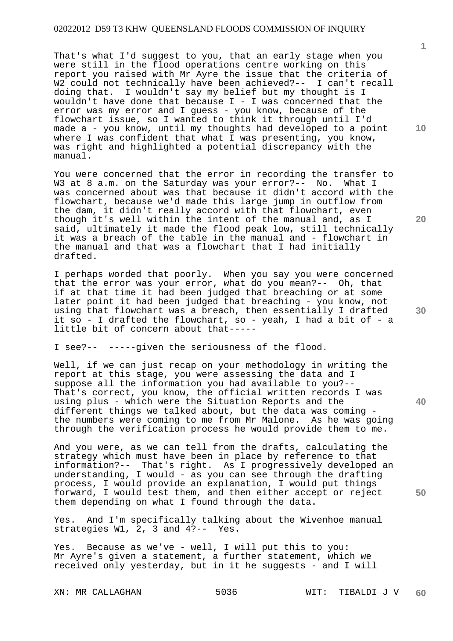That's what I'd suggest to you, that an early stage when you were still in the flood operations centre working on this report you raised with Mr Ayre the issue that the criteria of W2 could not technically have been achieved?-- I can't recall doing that. I wouldn't say my belief but my thought is I wouldn't have done that because  $I - I$  was concerned that the error was my error and I guess - you know, because of the flowchart issue, so I wanted to think it through until I'd made a - you know, until my thoughts had developed to a point where I was confident that what I was presenting, you know, was right and highlighted a potential discrepancy with the manual.

You were concerned that the error in recording the transfer to W3 at 8 a.m. on the Saturday was your error?-- No. What I was concerned about was that because it didn't accord with the flowchart, because we'd made this large jump in outflow from the dam, it didn't really accord with that flowchart, even though it's well within the intent of the manual and, as I said, ultimately it made the flood peak low, still technically it was a breach of the table in the manual and - flowchart in the manual and that was a flowchart that I had initially drafted.

I perhaps worded that poorly. When you say you were concerned that the error was your error, what do you mean?-- Oh, that if at that time it had been judged that breaching or at some later point it had been judged that breaching - you know, not using that flowchart was a breach, then essentially I drafted it so - I drafted the flowchart, so - yeah, I had a bit of - a little bit of concern about that-----

I see?-- -----given the seriousness of the flood.

Well, if we can just recap on your methodology in writing the report at this stage, you were assessing the data and I suppose all the information you had available to you?-- That's correct, you know, the official written records I was using plus - which were the Situation Reports and the different things we talked about, but the data was coming the numbers were coming to me from Mr Malone. As he was going through the verification process he would provide them to me.

And you were, as we can tell from the drafts, calculating the strategy which must have been in place by reference to that information?-- That's right. As I progressively developed an understanding, I would - as you can see through the drafting process, I would provide an explanation, I would put things forward, I would test them, and then either accept or reject them depending on what I found through the data.

Yes. And I'm specifically talking about the Wivenhoe manual strategies W1, 2, 3 and 4?-- Yes.

Yes. Because as we've - well, I will put this to you: Mr Ayre's given a statement, a further statement, which we received only yesterday, but in it he suggests - and I will

**1**

**10** 

**20** 

**30** 

**40**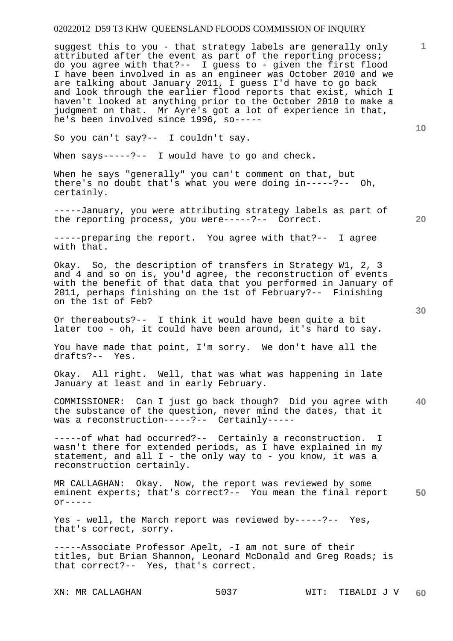suggest this to you - that strategy labels are generally only attributed after the event as part of the reporting process; do you agree with that?-- I guess to - given the first flood I have been involved in as an engineer was October 2010 and we are talking about January 2011, I guess I'd have to go back and look through the earlier flood reports that exist, which I haven't looked at anything prior to the October 2010 to make a judgment on that. Mr Ayre's got a lot of experience in that, he's been involved since 1996, so-----

So you can't say?-- I couldn't say.

When says-----?-- I would have to go and check.

When he says "generally" you can't comment on that, but there's no doubt that's what you were doing in-----?-- Oh, certainly.

-----January, you were attributing strategy labels as part of the reporting process, you were-----?-- Correct.

-----preparing the report. You agree with that?-- I agree with that.

Okay. So, the description of transfers in Strategy W1, 2, 3 and 4 and so on is, you'd agree, the reconstruction of events with the benefit of that data that you performed in January of 2011, perhaps finishing on the 1st of February?-- Finishing on the 1st of Feb?

Or thereabouts?-- I think it would have been quite a bit later too - oh, it could have been around, it's hard to say.

You have made that point, I'm sorry. We don't have all the drafts?-- Yes.

Okay. All right. Well, that was what was happening in late January at least and in early February.

**40**  COMMISSIONER: Can I just go back though? Did you agree with the substance of the question, never mind the dates, that it was a reconstruction-----?-- Certainly-----

-----of what had occurred?-- Certainly a reconstruction. I wasn't there for extended periods, as I have explained in my statement, and all  $I -$  the only way to - you know, it was a reconstruction certainly.

**50**  MR CALLAGHAN: Okay. Now, the report was reviewed by some eminent experts; that's correct?-- You mean the final report  $or---$ 

Yes - well, the March report was reviewed by-----?-- Yes, that's correct, sorry.

-----Associate Professor Apelt, -I am not sure of their titles, but Brian Shannon, Leonard McDonald and Greg Roads; is that correct?-- Yes, that's correct.

**10**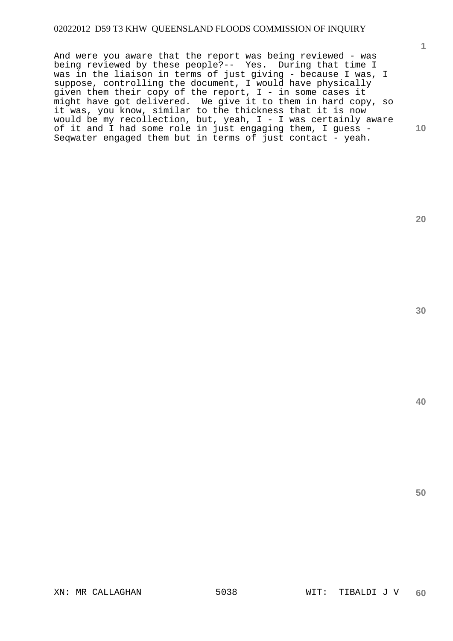And were you aware that the report was being reviewed - was being reviewed by these people?-- Yes. During that time I was in the liaison in terms of just giving - because I was, I suppose, controlling the document, I would have physically given them their copy of the report, I - in some cases it might have got delivered. We give it to them in hard copy, so it was, you know, similar to the thickness that it is now would be my recollection, but, yeah,  $I - I$  was certainly aware of it and I had some role in just engaging them, I guess - Seqwater engaged them but in terms of just contact - yeah.

**30** 

**1**

**10** 

**20** 

**40**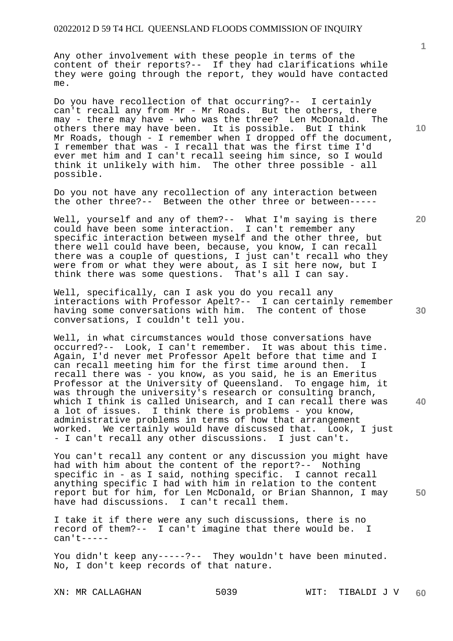Any other involvement with these people in terms of the content of their reports?-- If they had clarifications while they were going through the report, they would have contacted me.

Do you have recollection of that occurring?-- I certainly can't recall any from Mr - Mr Roads. But the others, there may - there may have - who was the three? Len McDonald. The others there may have been. It is possible. But I think Mr Roads, though - I remember when I dropped off the document, I remember that was - I recall that was the first time I'd ever met him and I can't recall seeing him since, so I would think it unlikely with him. The other three possible - all possible.

Do you not have any recollection of any interaction between the other three?-- Between the other three or between-----

Well, yourself and any of them?-- What I'm saying is there could have been some interaction. I can't remember any specific interaction between myself and the other three, but there well could have been, because, you know, I can recall there was a couple of questions, I just can't recall who they were from or what they were about, as I sit here now, but I think there was some questions. That's all I can say.

Well, specifically, can I ask you do you recall any interactions with Professor Apelt?-- I can certainly remember having some conversations with him. The content of those conversations, I couldn't tell you.

Well, in what circumstances would those conversations have occurred?-- Look, I can't remember. It was about this time. Again, I'd never met Professor Apelt before that time and I can recall meeting him for the first time around then. I recall there was - you know, as you said, he is an Emeritus Professor at the University of Queensland. To engage him, it was through the university's research or consulting branch, which I think is called Unisearch, and I can recall there was a lot of issues. I think there is problems - you know, administrative problems in terms of how that arrangement worked. We certainly would have discussed that. Look, I just - I can't recall any other discussions. I just can't.

You can't recall any content or any discussion you might have had with him about the content of the report?-- Nothing specific in - as I said, nothing specific. I cannot recall anything specific I had with him in relation to the content report but for him, for Len McDonald, or Brian Shannon, I may have had discussions. I can't recall them.

I take it if there were any such discussions, there is no record of them?-- I can't imagine that there would be. I can't-----

You didn't keep any-----?-- They wouldn't have been minuted. No, I don't keep records of that nature.

XN: MR CALLAGHAN 5039 WIT: TIBALDI J V **60** 

**10** 

**1**

**20** 

**40**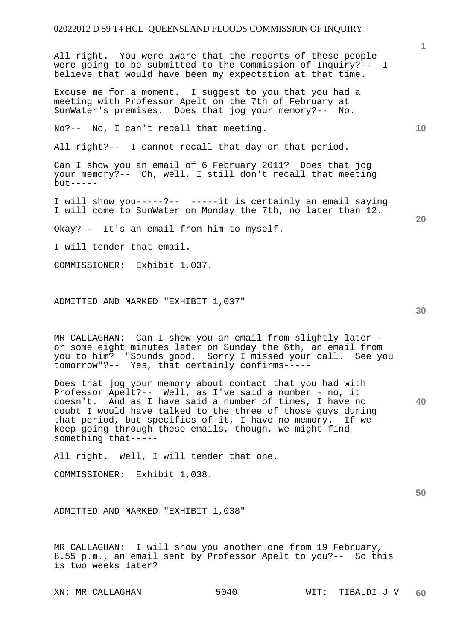All right. You were aware that the reports of these people were going to be submitted to the Commission of Inquiry?-- I believe that would have been my expectation at that time.

Excuse me for a moment. I suggest to you that you had a meeting with Professor Apelt on the 7th of February at SunWater's premises. Does that jog your memory?-- No.

No?-- No, I can't recall that meeting.

All right?-- I cannot recall that day or that period.

Can I show you an email of 6 February 2011? Does that jog your memory?-- Oh, well, I still don't recall that meeting  $but -- --$ 

I will show you-----?-- -----it is certainly an email saying I will come to SunWater on Monday the 7th, no later than 12.

Okay?-- It's an email from him to myself.

I will tender that email.

COMMISSIONER: Exhibit 1,037.

ADMITTED AND MARKED "EXHIBIT 1,037"

MR CALLAGHAN: Can I show you an email from slightly later or some eight minutes later on Sunday the 6th, an email from you to him? "Sounds good. Sorry I missed your call. See you tomorrow"?-- Yes, that certainly confirms-----

Does that jog your memory about contact that you had with Professor Apelt?-- Well, as I've said a number - no, it doesn't. And as I have said a number of times, I have no doubt I would have talked to the three of those guys during that period, but specifics of it, I have no memory. If we keep going through these emails, though, we might find something that-----

All right. Well, I will tender that one.

COMMISSIONER: Exhibit 1,038.

ADMITTED AND MARKED "EXHIBIT 1,038"

MR CALLAGHAN: I will show you another one from 19 February, 8.55 p.m., an email sent by Professor Apelt to you?-- So this is two weeks later?

**30** 

**40** 

**50** 

**20** 

**10**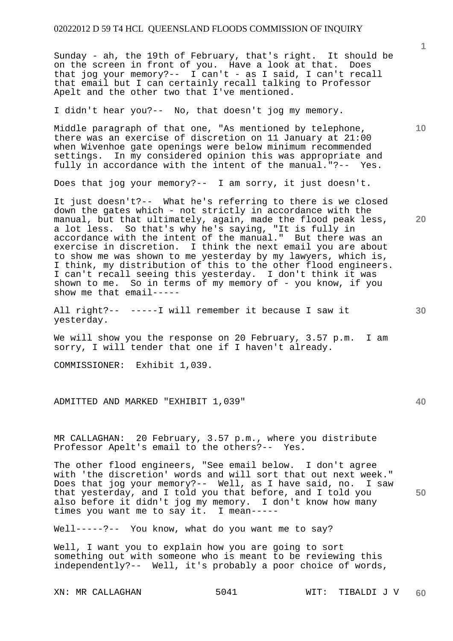Sunday - ah, the 19th of February, that's right. It should be on the screen in front of you. Have a look at that. Does that jog your memory?-- I can't - as I said, I can't recall that email but I can certainly recall talking to Professor Apelt and the other two that I've mentioned.

I didn't hear you?-- No, that doesn't jog my memory.

Middle paragraph of that one, "As mentioned by telephone, there was an exercise of discretion on 11 January at 21:00 when Wivenhoe gate openings were below minimum recommended settings. In my considered opinion this was appropriate and fully in accordance with the intent of the manual."?-- Yes.

Does that jog your memory?-- I am sorry, it just doesn't.

It just doesn't?-- What he's referring to there is we closed down the gates which - not strictly in accordance with the manual, but that ultimately, again, made the flood peak less, a lot less. So that's why he's saying, "It is fully in accordance with the intent of the manual." But there was an exercise in discretion. I think the next email you are about to show me was shown to me yesterday by my lawyers, which is, I think, my distribution of this to the other flood engineers. I can't recall seeing this yesterday. I don't think it was shown to me. So in terms of my memory of - you know, if you show me that email-----

All right?-- -----I will remember it because I saw it yesterday.

We will show you the response on 20 February, 3.57 p.m. I am sorry, I will tender that one if I haven't already.

COMMISSIONER: Exhibit 1,039.

ADMITTED AND MARKED "EXHIBIT 1,039"

MR CALLAGHAN: 20 February, 3.57 p.m., where you distribute Professor Apelt's email to the others?-- Yes.

The other flood engineers, "See email below. I don't agree with 'the discretion' words and will sort that out next week." Does that jog your memory?-- Well, as I have said, no. I saw that yesterday, and I told you that before, and I told you also before it didn't jog my memory. I don't know how many times you want me to say it. I mean-----

Well-----?-- You know, what do you want me to say?

Well, I want you to explain how you are going to sort something out with someone who is meant to be reviewing this independently?-- Well, it's probably a poor choice of words,

**1**

**10** 

**20** 

**40**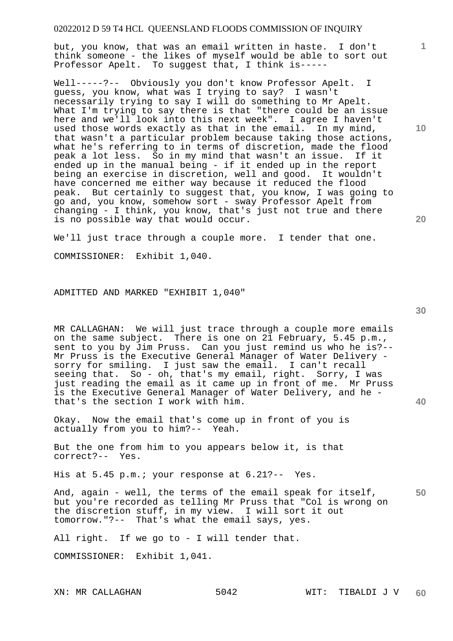but, you know, that was an email written in haste. I don't think someone - the likes of myself would be able to sort out Professor Apelt. To suggest that, I think is-----

Well-----?-- Obviously you don't know Professor Apelt. I guess, you know, what was I trying to say? I wasn't necessarily trying to say I will do something to Mr Apelt. What I'm trying to say there is that "there could be an issue here and we'll look into this next week". I agree I haven't used those words exactly as that in the email. In my mind, that wasn't a particular problem because taking those actions, what he's referring to in terms of discretion, made the flood peak a lot less. So in my mind that wasn't an issue. If it ended up in the manual being - if it ended up in the report being an exercise in discretion, well and good. It wouldn't have concerned me either way because it reduced the flood peak. But certainly to suggest that, you know, I was going to go and, you know, somehow sort - sway Professor Apelt from changing - I think, you know, that's just not true and there is no possible way that would occur.

We'll just trace through a couple more. I tender that one. COMMISSIONER: Exhibit 1,040.

ADMITTED AND MARKED "EXHIBIT 1,040"

MR CALLAGHAN: We will just trace through a couple more emails on the same subject. There is one on 21 February, 5.45 p.m., sent to you by Jim Pruss. Can you just remind us who he is?-- Mr Pruss is the Executive General Manager of Water Delivery sorry for smiling. I just saw the email. I can't recall seeing that. So - oh, that's my email, right. Sorry, I was just reading the email as it came up in front of me. Mr Pruss is the Executive General Manager of Water Delivery, and he that's the section I work with him.

Okay. Now the email that's come up in front of you is actually from you to him?-- Yeah.

But the one from him to you appears below it, is that correct?-- Yes.

His at 5.45 p.m.; your response at 6.21?-- Yes.

**50**  And, again - well, the terms of the email speak for itself, but you're recorded as telling Mr Pruss that "Col is wrong on the discretion stuff, in my view. I will sort it out tomorrow."?-- That's what the email says, yes.

All right. If we go to - I will tender that.

COMMISSIONER: Exhibit 1,041.

**10** 

**1**

**20**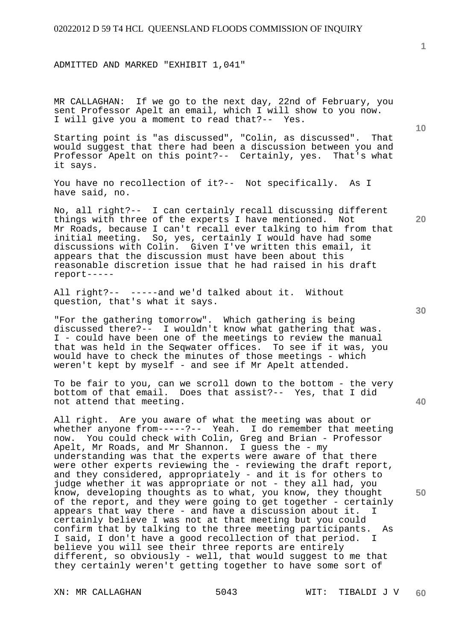ADMITTED AND MARKED "EXHIBIT 1,041"

MR CALLAGHAN: If we go to the next day, 22nd of February, you sent Professor Apelt an email, which I will show to you now. I will give you a moment to read that?-- Yes.

Starting point is "as discussed", "Colin, as discussed". That would suggest that there had been a discussion between you and Professor Apelt on this point?-- Certainly, yes. That's what it says.

You have no recollection of it?-- Not specifically. As I have said, no.

No, all right?-- I can certainly recall discussing different things with three of the experts I have mentioned. Not Mr Roads, because I can't recall ever talking to him from that initial meeting. So, yes, certainly I would have had some discussions with Colin. Given I've written this email, it appears that the discussion must have been about this reasonable discretion issue that he had raised in his draft report-----

All right?-- -----and we'd talked about it. Without question, that's what it says.

"For the gathering tomorrow". Which gathering is being discussed there?-- I wouldn't know what gathering that was. I - could have been one of the meetings to review the manual that was held in the Seqwater offices. To see if it was, you would have to check the minutes of those meetings - which weren't kept by myself - and see if Mr Apelt attended.

To be fair to you, can we scroll down to the bottom - the very bottom of that email. Does that assist?-- Yes, that I did not attend that meeting.

All right. Are you aware of what the meeting was about or whether anyone from-----?-- Yeah. I do remember that meeting now. You could check with Colin, Greg and Brian - Professor Apelt, Mr Roads, and Mr Shannon. I guess the - my understanding was that the experts were aware of that there were other experts reviewing the - reviewing the draft report, and they considered, appropriately - and it is for others to judge whether it was appropriate or not - they all had, you know, developing thoughts as to what, you know, they thought of the report, and they were going to get together - certainly appears that way there - and have a discussion about it. I certainly believe I was not at that meeting but you could confirm that by talking to the three meeting participants. As I said, I don't have a good recollection of that period. believe you will see their three reports are entirely different, so obviously - well, that would suggest to me that they certainly weren't getting together to have some sort of

**30** 

**50** 

**10**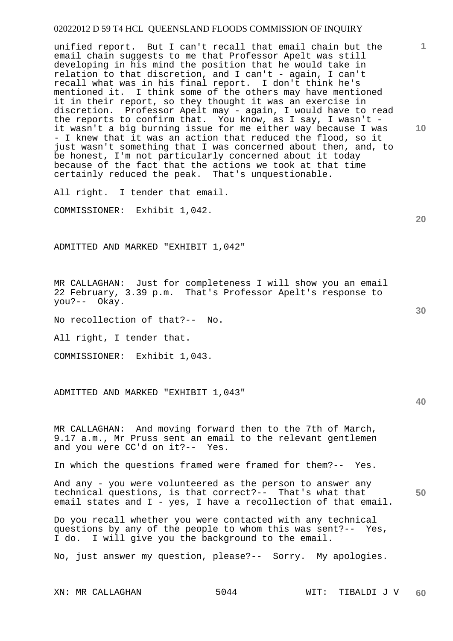unified report. But I can't recall that email chain but the email chain suggests to me that Professor Apelt was still developing in his mind the position that he would take in relation to that discretion, and I can't - again, I can't recall what was in his final report. I don't think he's mentioned it. I think some of the others may have mentioned it in their report, so they thought it was an exercise in discretion. Professor Apelt may - again, I would have to read the reports to confirm that. You know, as I say, I wasn't it wasn't a big burning issue for me either way because I was - I knew that it was an action that reduced the flood, so it just wasn't something that I was concerned about then, and, to be honest, I'm not particularly concerned about it today because of the fact that the actions we took at that time certainly reduced the peak. That's unquestionable.

All right. I tender that email.

COMMISSIONER: Exhibit 1,042.

ADMITTED AND MARKED "EXHIBIT 1,042"

MR CALLAGHAN: Just for completeness I will show you an email 22 February, 3.39 p.m. That's Professor Apelt's response to you?-- Okay.

No recollection of that?-- No.

All right, I tender that.

COMMISSIONER: Exhibit 1,043.

ADMITTED AND MARKED "EXHIBIT 1,043"

MR CALLAGHAN: And moving forward then to the 7th of March, 9.17 a.m., Mr Pruss sent an email to the relevant gentlemen and you were CC'd on it?-- Yes.

In which the questions framed were framed for them?-- Yes.

**50**  And any - you were volunteered as the person to answer any technical questions, is that correct?-- That's what that email states and I - yes, I have a recollection of that email.

Do you recall whether you were contacted with any technical questions by any of the people to whom this was sent?-- Yes, I do. I will give you the background to the email.

No, just answer my question, please?-- Sorry. My apologies.

**20** 

**10** 

**1**

**30**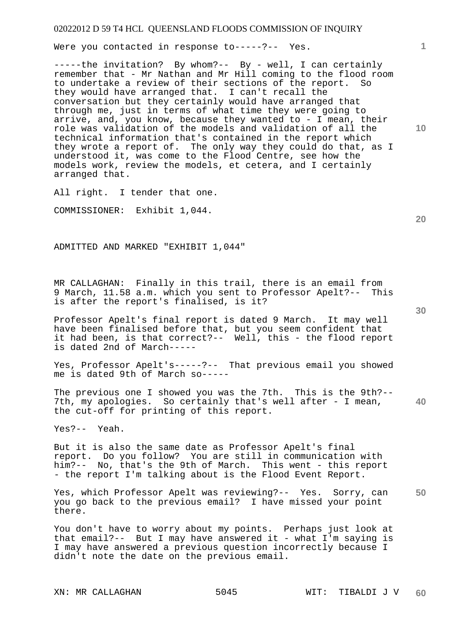Were you contacted in response to-----?-- Yes.

-----the invitation? By whom?-- By - well, I can certainly remember that - Mr Nathan and Mr Hill coming to the flood room to undertake a review of their sections of the report. So they would have arranged that. I can't recall the conversation but they certainly would have arranged that through me, just in terms of what time they were going to arrive, and, you know, because they wanted to - I mean, their role was validation of the models and validation of all the technical information that's contained in the report which they wrote a report of. The only way they could do that, as I understood it, was come to the Flood Centre, see how the models work, review the models, et cetera, and I certainly arranged that.

All right. I tender that one.

COMMISSIONER: Exhibit 1,044.

ADMITTED AND MARKED "EXHIBIT 1,044"

MR CALLAGHAN: Finally in this trail, there is an email from 9 March, 11.58 a.m. which you sent to Professor Apelt?-- This is after the report's finalised, is it?

Professor Apelt's final report is dated 9 March. It may well have been finalised before that, but you seem confident that it had been, is that correct?-- Well, this - the flood report is dated 2nd of March-----

Yes, Professor Apelt's-----?-- That previous email you showed me is dated 9th of March so-----

**40**  The previous one I showed you was the 7th. This is the 9th?-- 7th, my apologies. So certainly that's well after - I mean, the cut-off for printing of this report.

Yes?-- Yeah.

But it is also the same date as Professor Apelt's final report. Do you follow? You are still in communication with him?-- No, that's the 9th of March. This went - this report - the report I'm talking about is the Flood Event Report.

**50**  Yes, which Professor Apelt was reviewing?-- Yes. Sorry, can you go back to the previous email? I have missed your point there.

You don't have to worry about my points. Perhaps just look at that email?-- But I may have answered it - what I'm saying is I may have answered a previous question incorrectly because I didn't note the date on the previous email.

**20** 

**10**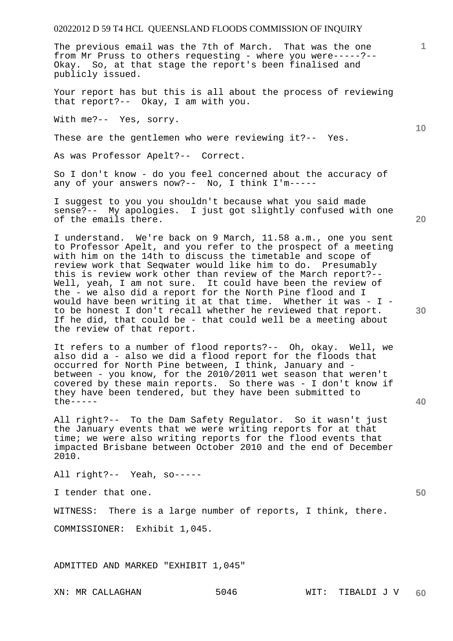The previous email was the 7th of March. That was the one from Mr Pruss to others requesting - where you were-----?-- Okay. So, at that stage the report's been finalised and publicly issued.

Your report has but this is all about the process of reviewing that report?-- Okay, I am with you.

With me?-- Yes, sorry.

These are the gentlemen who were reviewing it?-- Yes.

As was Professor Apelt?-- Correct.

So I don't know - do you feel concerned about the accuracy of any of your answers now?-- No, I think I'm-----

I suggest to you you shouldn't because what you said made sense?-- My apologies. I just got slightly confused with one of the emails there.

I understand. We're back on 9 March, 11.58 a.m., one you sent to Professor Apelt, and you refer to the prospect of a meeting with him on the 14th to discuss the timetable and scope of review work that Seqwater would like him to do. Presumably this is review work other than review of the March report?-- Well, yeah, I am not sure. It could have been the review of the - we also did a report for the North Pine flood and I would have been writing it at that time. Whether it was - I to be honest I don't recall whether he reviewed that report. If he did, that could be - that could well be a meeting about the review of that report.

It refers to a number of flood reports?-- Oh, okay. Well, we also did a - also we did a flood report for the floods that occurred for North Pine between, I think, January and between - you know, for the 2010/2011 wet season that weren't covered by these main reports. So there was - I don't know if they have been tendered, but they have been submitted to the-----

All right?-- To the Dam Safety Regulator. So it wasn't just the January events that we were writing reports for at that time; we were also writing reports for the flood events that impacted Brisbane between October 2010 and the end of December 2010.

All right?-- Yeah, so-----

I tender that one.

WITNESS: There is a large number of reports, I think, there.

COMMISSIONER: Exhibit 1,045.

ADMITTED AND MARKED "EXHIBIT 1,045"

**10** 

**1**

**30** 

**40**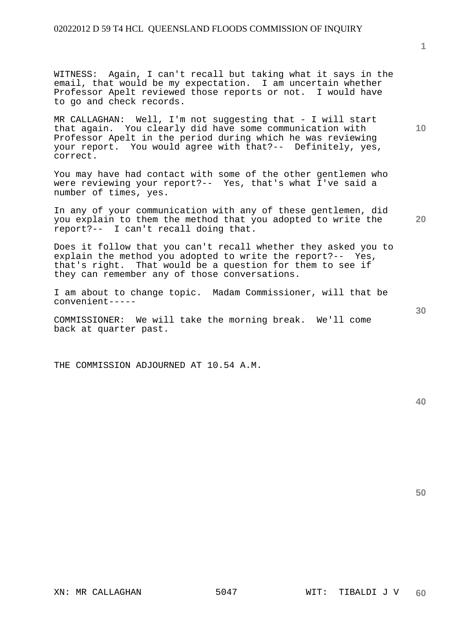WITNESS: Again, I can't recall but taking what it says in the email, that would be my expectation. I am uncertain whether Professor Apelt reviewed those reports or not. I would have to go and check records.

MR CALLAGHAN: Well, I'm not suggesting that - I will start that again. You clearly did have some communication with Professor Apelt in the period during which he was reviewing your report. You would agree with that?-- Definitely, yes, correct.

You may have had contact with some of the other gentlemen who were reviewing your report?-- Yes, that's what I've said a number of times, yes.

In any of your communication with any of these gentlemen, did you explain to them the method that you adopted to write the report?-- I can't recall doing that.

Does it follow that you can't recall whether they asked you to explain the method you adopted to write the report?-- Yes, that's right. That would be a question for them to see if they can remember any of those conversations.

I am about to change topic. Madam Commissioner, will that be convenient-----

COMMISSIONER: We will take the morning break. We'll come back at quarter past.

THE COMMISSION ADJOURNED AT 10.54 A.M.

**40** 

**50** 

**1**

**10** 

**30**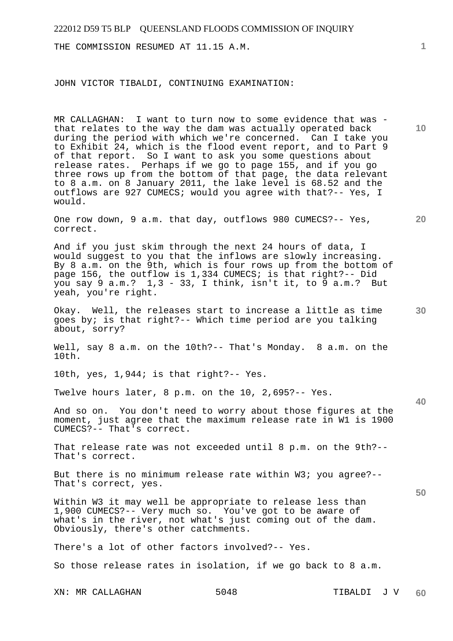THE COMMISSION RESUMED AT 11.15 A.M.

JOHN VICTOR TIBALDI, CONTINUING EXAMINATION:

MR CALLAGHAN: I want to turn now to some evidence that was that relates to the way the dam was actually operated back during the period with which we're concerned. Can I take you to Exhibit 24, which is the flood event report, and to Part 9 of that report. So I want to ask you some questions about release rates. Perhaps if we go to page 155, and if you go three rows up from the bottom of that page, the data relevant to 8 a.m. on 8 January 2011, the lake level is 68.52 and the outflows are 927 CUMECS; would you agree with that?-- Yes, I would.

One row down, 9 a.m. that day, outflows 980 CUMECS?-- Yes, correct.

And if you just skim through the next 24 hours of data, I would suggest to you that the inflows are slowly increasing. By 8 a.m. on the 9th, which is four rows up from the bottom of page 156, the outflow is 1,334 CUMECS; is that right?-- Did you say 9 a.m.? 1,3 - 33, I think, isn't it, to 9 a.m.? But yeah, you're right.

Okay. Well, the releases start to increase a little as time goes by; is that right?-- Which time period are you talking about, sorry?

Well, say 8 a.m. on the 10th?-- That's Monday. 8 a.m. on the 10th.

10th, yes, 1,944; is that right?-- Yes.

Twelve hours later, 8 p.m. on the 10, 2,695?-- Yes.

And so on. You don't need to worry about those figures at the moment, just agree that the maximum release rate in W1 is 1900 CUMECS?-- That's correct.

That release rate was not exceeded until 8 p.m. on the 9th?-- That's correct.

But there is no minimum release rate within W3; you agree?-- That's correct, yes.

Within W3 it may well be appropriate to release less than 1,900 CUMECS?-- Very much so. You've got to be aware of what's in the river, not what's just coming out of the dam. Obviously, there's other catchments.

There's a lot of other factors involved?-- Yes.

So those release rates in isolation, if we go back to 8 a.m.

XN: MR CALLAGHAN 5048 TIBALDI J V

**10** 

**20** 

**30** 

**1**

**40**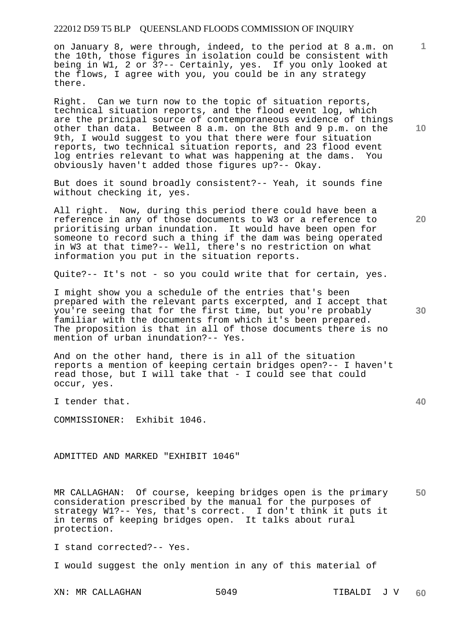on January 8, were through, indeed, to the period at 8 a.m. on the 10th, those figures in isolation could be consistent with being in W1, 2 or 3?-- Certainly, yes. If you only looked at the flows, I agree with you, you could be in any strategy there.

Right. Can we turn now to the topic of situation reports, technical situation reports, and the flood event log, which are the principal source of contemporaneous evidence of things other than data. Between 8 a.m. on the 8th and 9 p.m. on the 9th, I would suggest to you that there were four situation reports, two technical situation reports, and 23 flood event log entries relevant to what was happening at the dams. You obviously haven't added those figures up?-- Okay.

But does it sound broadly consistent?-- Yeah, it sounds fine without checking it, yes.

All right. Now, during this period there could have been a reference in any of those documents to W3 or a reference to prioritising urban inundation. It would have been open for someone to record such a thing if the dam was being operated in W3 at that time?-- Well, there's no restriction on what information you put in the situation reports.

Quite?-- It's not - so you could write that for certain, yes.

I might show you a schedule of the entries that's been prepared with the relevant parts excerpted, and I accept that you're seeing that for the first time, but you're probably familiar with the documents from which it's been prepared. The proposition is that in all of those documents there is no mention of urban inundation?-- Yes.

And on the other hand, there is in all of the situation reports a mention of keeping certain bridges open?-- I haven't read those, but I will take that - I could see that could occur, yes.

I tender that.

COMMISSIONER: Exhibit 1046.

ADMITTED AND MARKED "EXHIBIT 1046"

**50**  MR CALLAGHAN: Of course, keeping bridges open is the primary consideration prescribed by the manual for the purposes of strategy W1?-- Yes, that's correct. I don't think it puts it in terms of keeping bridges open. It talks about rural protection.

I stand corrected?-- Yes.

I would suggest the only mention in any of this material of

**10** 

**1**

**20** 

**30**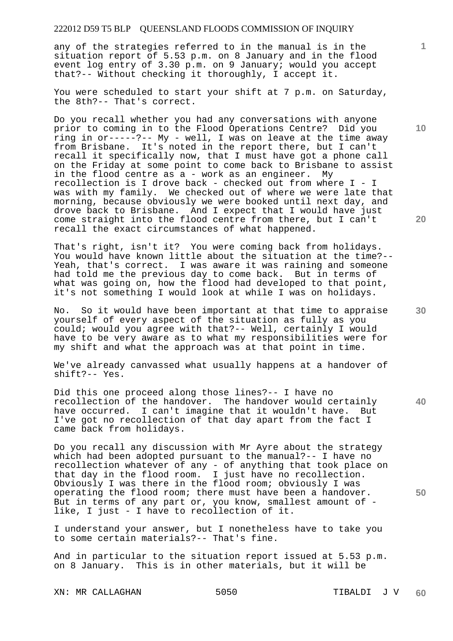any of the strategies referred to in the manual is in the situation report of 5.53 p.m. on 8 January and in the flood event log entry of 3.30 p.m. on 9 January; would you accept that?-- Without checking it thoroughly, I accept it.

You were scheduled to start your shift at 7 p.m. on Saturday, the 8th?-- That's correct.

Do you recall whether you had any conversations with anyone prior to coming in to the Flood Operations Centre? Did you ring in or-----?-- My - well, I was on leave at the time away from Brisbane. It's noted in the report there, but I can't recall it specifically now, that I must have got a phone call on the Friday at some point to come back to Brisbane to assist in the flood centre as a - work as an engineer. My recollection is I drove back - checked out from where I - I was with my family. We checked out of where we were late that morning, because obviously we were booked until next day, and drove back to Brisbane. And I expect that I would have just come straight into the flood centre from there, but I can't recall the exact circumstances of what happened.

That's right, isn't it? You were coming back from holidays. You would have known little about the situation at the time?-- Yeah, that's correct. I was aware it was raining and someone had told me the previous day to come back. But in terms of what was going on, how the flood had developed to that point, it's not something I would look at while I was on holidays.

No. So it would have been important at that time to appraise yourself of every aspect of the situation as fully as you could; would you agree with that?-- Well, certainly I would have to be very aware as to what my responsibilities were for my shift and what the approach was at that point in time.

We've already canvassed what usually happens at a handover of shift?-- Yes.

Did this one proceed along those lines?-- I have no recollection of the handover. The handover would certainly have occurred. I can't imagine that it wouldn't have. But I've got no recollection of that day apart from the fact I came back from holidays.

Do you recall any discussion with Mr Ayre about the strategy which had been adopted pursuant to the manual?-- I have no recollection whatever of any - of anything that took place on that day in the flood room. I just have no recollection. Obviously I was there in the flood room; obviously I was operating the flood room; there must have been a handover. But in terms of any part or, you know, smallest amount of like, I just - I have to recollection of it.

I understand your answer, but I nonetheless have to take you to some certain materials?-- That's fine.

And in particular to the situation report issued at 5.53 p.m. on 8 January. This is in other materials, but it will be

XN: MR CALLAGHAN 5050 SO50 TIBALDI J V

**20** 

**40** 

**50** 

**10**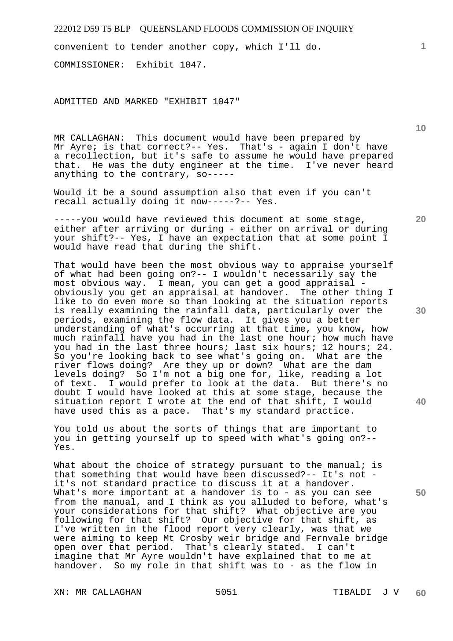convenient to tender another copy, which I'll do.

COMMISSIONER: Exhibit 1047.

ADMITTED AND MARKED "EXHIBIT 1047"

MR CALLAGHAN: This document would have been prepared by Mr Ayre; is that correct?-- Yes. That's - again I don't have a recollection, but it's safe to assume he would have prepared that. He was the duty engineer at the time. I've never heard anything to the contrary, so-----

Would it be a sound assumption also that even if you can't recall actually doing it now-----?-- Yes.

-----you would have reviewed this document at some stage, either after arriving or during - either on arrival or during your shift?-- Yes, I have an expectation that at some point I would have read that during the shift.

That would have been the most obvious way to appraise yourself of what had been going on?-- I wouldn't necessarily say the most obvious way. I mean, you can get a good appraisal obviously you get an appraisal at handover. The other thing I like to do even more so than looking at the situation reports is really examining the rainfall data, particularly over the periods, examining the flow data. It gives you a better understanding of what's occurring at that time, you know, how much rainfall have you had in the last one hour; how much have you had in the last three hours; last six hours; 12 hours; 24. So you're looking back to see what's going on. What are the river flows doing? Are they up or down? What are the dam levels doing? So I'm not a big one for, like, reading a lot of text. I would prefer to look at the data. But there's no doubt I would have looked at this at some stage, because the situation report I wrote at the end of that shift, I would have used this as a pace. That's my standard practice.

You told us about the sorts of things that are important to you in getting yourself up to speed with what's going on?-- Yes.

What about the choice of strategy pursuant to the manual; is that something that would have been discussed?-- It's not it's not standard practice to discuss it at a handover. What's more important at a handover is to - as you can see from the manual, and I think as you alluded to before, what's your considerations for that shift? What objective are you following for that shift? Our objective for that shift, as I've written in the flood report very clearly, was that we were aiming to keep Mt Crosby weir bridge and Fernvale bridge open over that period. That's clearly stated. I can't imagine that Mr Ayre wouldn't have explained that to me at handover. So my role in that shift was to - as the flow in

XN: MR CALLAGHAN 5051 SOS1 TIBALDI J V

**30** 

**20** 

**40** 

**50**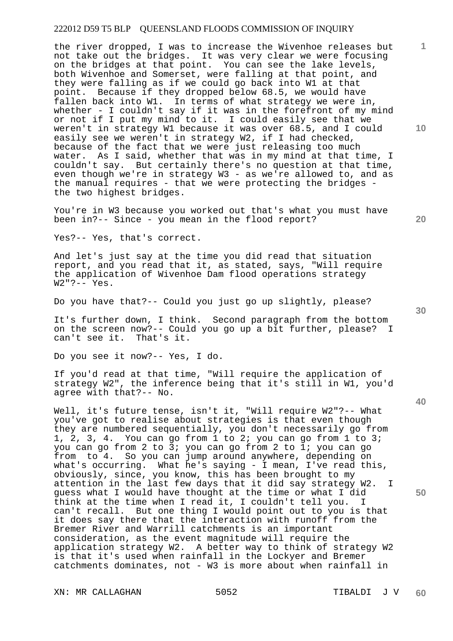the river dropped, I was to increase the Wivenhoe releases but not take out the bridges. It was very clear we were focusing on the bridges at that point. You can see the lake levels, both Wivenhoe and Somerset, were falling at that point, and they were falling as if we could go back into W1 at that point. Because if they dropped below 68.5, we would have fallen back into W1. In terms of what strategy we were in, whether - I couldn't say if it was in the forefront of my mind or not if I put my mind to it. I could easily see that we weren't in strategy W1 because it was over 68.5, and I could easily see we weren't in strategy W2, if I had checked, because of the fact that we were just releasing too much water. As I said, whether that was in my mind at that time, I couldn't say. But certainly there's no question at that time, even though we're in strategy W3 - as we're allowed to, and as the manual requires - that we were protecting the bridges the two highest bridges.

You're in W3 because you worked out that's what you must have been in?-- Since - you mean in the flood report?

Yes?-- Yes, that's correct.

And let's just say at the time you did read that situation report, and you read that it, as stated, says, "Will require the application of Wivenhoe Dam flood operations strategy W2"?-- Yes.

Do you have that?-- Could you just go up slightly, please?

It's further down, I think. Second paragraph from the bottom on the screen now?-- Could you go up a bit further, please? I can't see it. That's it.

Do you see it now?-- Yes, I do.

If you'd read at that time, "Will require the application of strategy W2", the inference being that it's still in W1, you'd agree with that?-- No.

Well, it's future tense, isn't it, "Will require W2"?-- What you've got to realise about strategies is that even though they are numbered sequentially, you don't necessarily go from 1, 2, 3, 4. You can go from 1 to 2; you can go from 1 to 3; you can go from 2 to 3; you can go from 2 to 1; you can go from to 4. So you can jump around anywhere, depending on what's occurring. What he's saying - I mean, I've read this, obviously, since, you know, this has been brought to my attention in the last few days that it did say strategy W2. I guess what I would have thought at the time or what I did think at the time when I read it, I couldn't tell you. I can't recall. But one thing I would point out to you is that it does say there that the interaction with runoff from the Bremer River and Warrill catchments is an important consideration, as the event magnitude will require the application strategy W2. A better way to think of strategy W2 is that it's used when rainfall in the Lockyer and Bremer catchments dominates, not - W3 is more about when rainfall in

XN: MR CALLAGHAN 5052 TIBALDI J V

**10** 

**1**

**20** 

**40** 

**50**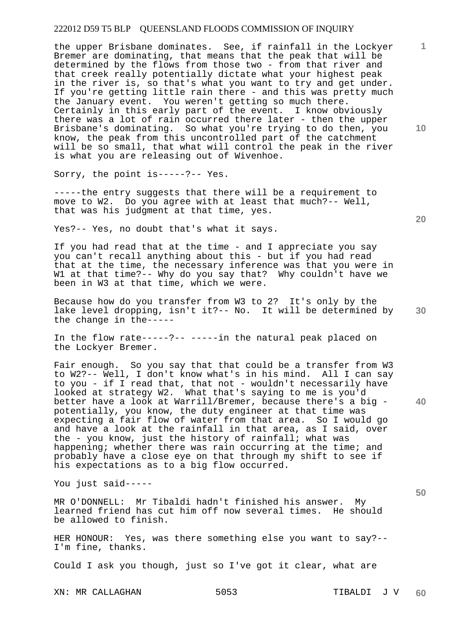the upper Brisbane dominates. See, if rainfall in the Lockyer Bremer are dominating, that means that the peak that will be determined by the flows from those two - from that river and that creek really potentially dictate what your highest peak in the river is, so that's what you want to try and get under. If you're getting little rain there - and this was pretty much the January event. You weren't getting so much there. Certainly in this early part of the event. I know obviously there was a lot of rain occurred there later - then the upper Brisbane's dominating. So what you're trying to do then, you know, the peak from this uncontrolled part of the catchment will be so small, that what will control the peak in the river is what you are releasing out of Wivenhoe.

Sorry, the point is-----?-- Yes.

-----the entry suggests that there will be a requirement to move to W2. Do you agree with at least that much?-- Well, that was his judgment at that time, yes.

Yes?-- Yes, no doubt that's what it says.

If you had read that at the time - and I appreciate you say you can't recall anything about this - but if you had read that at the time, the necessary inference was that you were in W1 at that time?-- Why do you say that? Why couldn't have we been in W3 at that time, which we were.

Because how do you transfer from W3 to 2? It's only by the lake level dropping, isn't it?-- No. It will be determined by the change in the-----

In the flow rate-----?-- -----in the natural peak placed on the Lockyer Bremer.

Fair enough. So you say that that could be a transfer from W3 to W2?-- Well, I don't know what's in his mind. All I can say to you - if I read that, that not - wouldn't necessarily have looked at strategy W2. What that's saying to me is you'd better have a look at Warrill/Bremer, because there's a big potentially, you know, the duty engineer at that time was expecting a fair flow of water from that area. So I would go and have a look at the rainfall in that area, as I said, over the - you know, just the history of rainfall; what was happening; whether there was rain occurring at the time; and probably have a close eye on that through my shift to see if his expectations as to a big flow occurred.

You just said-----

MR O'DONNELL: Mr Tibaldi hadn't finished his answer. My learned friend has cut him off now several times. He should be allowed to finish.

HER HONOUR: Yes, was there something else you want to say?-- I'm fine, thanks.

Could I ask you though, just so I've got it clear, what are

XN: MR CALLAGHAN 5053 TIBALDI J V

**10** 

**1**

**30** 

**20** 

**40**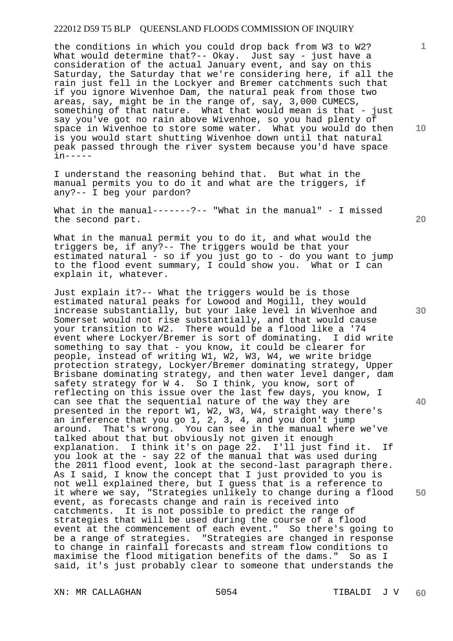the conditions in which you could drop back from W3 to W2? What would determine that?-- Okay. Just say - just have a consideration of the actual January event, and say on this Saturday, the Saturday that we're considering here, if all the rain just fell in the Lockyer and Bremer catchments such that if you ignore Wivenhoe Dam, the natural peak from those two areas, say, might be in the range of, say, 3,000 CUMECS, something of that nature. What that would mean is that - just say you've got no rain above Wivenhoe, so you had plenty of space in Wivenhoe to store some water. What you would do then is you would start shutting Wivenhoe down until that natural peak passed through the river system because you'd have space in-----

I understand the reasoning behind that. But what in the manual permits you to do it and what are the triggers, if any?-- I beg your pardon?

What in the manual-------?-- "What in the manual" - I missed the second part.

What in the manual permit you to do it, and what would the triggers be, if any?-- The triggers would be that your estimated natural - so if you just go to - do you want to jump to the flood event summary, I could show you. What or I can explain it, whatever.

Just explain it?-- What the triggers would be is those estimated natural peaks for Lowood and Mogill, they would increase substantially, but your lake level in Wivenhoe and Somerset would not rise substantially, and that would cause your transition to W2. There would be a flood like a '74<br>event where Lockver/Bremer is sort of dominating. I did write event where Lockyer/Bremer is sort of dominating. something to say that - you know, it could be clearer for people, instead of writing W1, W2, W3, W4, we write bridge protection strategy, Lockyer/Bremer dominating strategy, Upper Brisbane dominating strategy, and then water level danger, dam safety strategy for W 4. So I think, you know, sort of reflecting on this issue over the last few days, you know, I can see that the sequential nature of the way they are presented in the report W1, W2, W3, W4, straight way there's an inference that you go 1, 2, 3, 4, and you don't jump around. That's wrong. You can see in the manual where we've talked about that but obviously not given it enough explanation. I think it's on page 22. I'll just find it. If you look at the - say 22 of the manual that was used during the 2011 flood event, look at the second-last paragraph there. As I said, I know the concept that I just provided to you is not well explained there, but I guess that is a reference to it where we say, "Strategies unlikely to change during a flood event, as forecasts change and rain is received into catchments. It is not possible to predict the range of strategies that will be used during the course of a flood event at the commencement of each event." So there's going to be a range of strategies. "Strategies are changed in response to change in rainfall forecasts and stream flow conditions to maximise the flood mitigation benefits of the dams." So as I said, it's just probably clear to someone that understands the

XN: MR CALLAGHAN 5054 SO54 TIBALDI J V

**20** 

**10** 

**1**

**30** 

**40**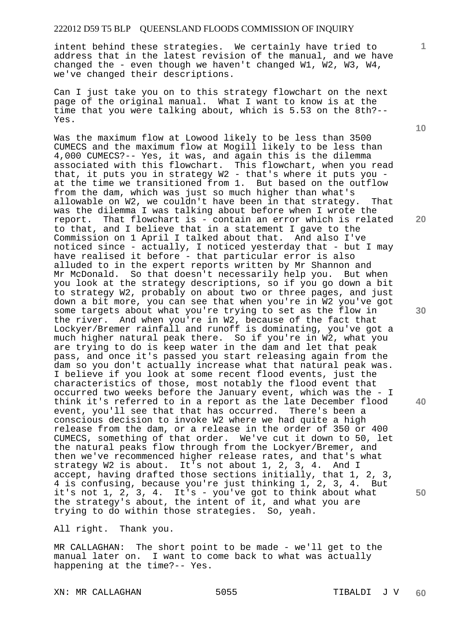intent behind these strategies. We certainly have tried to address that in the latest revision of the manual, and we have changed the - even though we haven't changed W1, W2, W3, W4, we've changed their descriptions.

Can I just take you on to this strategy flowchart on the next page of the original manual. What I want to know is at the time that you were talking about, which is 5.53 on the 8th?-- Yes.

Was the maximum flow at Lowood likely to be less than 3500 CUMECS and the maximum flow at Mogill likely to be less than 4,000 CUMECS?-- Yes, it was, and again this is the dilemma associated with this flowchart. This flowchart, when you read that, it puts you in strategy W2 - that's where it puts you at the time we transitioned from 1. But based on the outflow from the dam, which was just so much higher than what's allowable on W2, we couldn't have been in that strategy. That was the dilemma I was talking about before when I wrote the report. That flowchart is - contain an error which is related to that, and I believe that in a statement I gave to the Commission on 1 April I talked about that. And also I've noticed since - actually, I noticed yesterday that - but I may have realised it before - that particular error is also alluded to in the expert reports written by Mr Shannon and Mr McDonald. So that doesn't necessarily help you. But when you look at the strategy descriptions, so if you go down a bit to strategy W2, probably on about two or three pages, and just down a bit more, you can see that when you're in W2 you've got some targets about what you're trying to set as the flow in the river. And when you're in W2, because of the fact that Lockyer/Bremer rainfall and runoff is dominating, you've got a much higher natural peak there. So if you're in W2, what you are trying to do is keep water in the dam and let that peak pass, and once it's passed you start releasing again from the dam so you don't actually increase what that natural peak was. I believe if you look at some recent flood events, just the characteristics of those, most notably the flood event that occurred two weeks before the January event, which was the - I think it's referred to in a report as the late December flood event, you'll see that that has occurred. There's been a conscious decision to invoke W2 where we had quite a high release from the dam, or a release in the order of 350 or 400 CUMECS, something of that order. We've cut it down to 50, let the natural peaks flow through from the Lockyer/Bremer, and then we've recommenced higher release rates, and that's what strategy W2 is about. It's not about 1, 2, 3, 4. And I accept, having drafted those sections initially, that 1, 2, 3, 4 is confusing, because you're just thinking 1, 2, 3, 4. But it's not 1, 2, 3, 4. It's - you've got to think about what the strategy's about, the intent of it, and what you are trying to do within those strategies. So, yeah.

All right. Thank you.

MR CALLAGHAN: The short point to be made - we'll get to the manual later on. I want to come back to what was actually happening at the time?-- Yes.

XN: MR CALLAGHAN 5055 SOSS TIBALDI J V

**10** 

**1**

**20** 

**30** 

**40**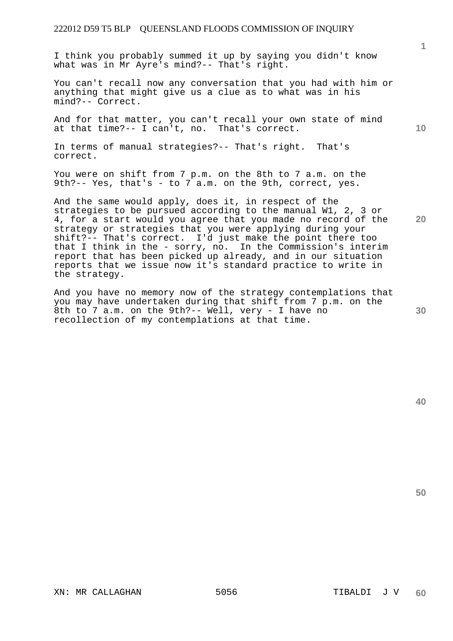I think you probably summed it up by saying you didn't know what was in Mr Ayre's mind?-- That's right.

You can't recall now any conversation that you had with him or anything that might give us a clue as to what was in his mind?-- Correct.

And for that matter, you can't recall your own state of mind at that time?-- I can't, no. That's correct.

In terms of manual strategies?-- That's right. That's correct.

You were on shift from 7 p.m. on the 8th to 7 a.m. on the 9th?-- Yes, that's - to  $\overline{7}$  a.m. on the 9th, correct, yes.

And the same would apply, does it, in respect of the strategies to be pursued according to the manual W1, 2, 3 or 4, for a start would you agree that you made no record of the strategy or strategies that you were applying during your shift?-- That's correct. I'd just make the point there too that I think in the - sorry, no. In the Commission's interim report that has been picked up already, and in our situation reports that we issue now it's standard practice to write in the strategy.

And you have no memory now of the strategy contemplations that you may have undertaken during that shift from 7 p.m. on the 8th to 7 a.m. on the 9th?-- Well, very - I have no recollection of my contemplations at that time.

**10** 

**20** 

**1**

**30**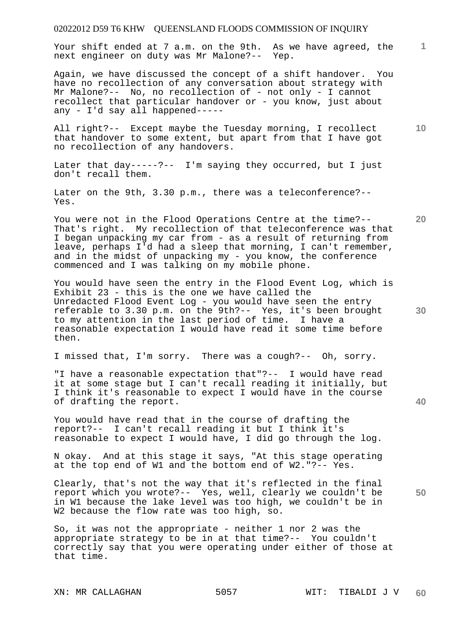Your shift ended at 7 a.m. on the 9th. As we have agreed, the next engineer on duty was Mr Malone?-- Yep.

Again, we have discussed the concept of a shift handover. You have no recollection of any conversation about strategy with Mr Malone?-- No, no recollection of - not only - I cannot recollect that particular handover or - you know, just about any - I'd say all happened-----

All right?-- Except maybe the Tuesday morning, I recollect that handover to some extent, but apart from that I have got no recollection of any handovers.

Later that day-----?-- I'm saying they occurred, but I just don't recall them.

Later on the 9th, 3.30 p.m., there was a teleconference?-- Yes.

You were not in the Flood Operations Centre at the time?-- That's right. My recollection of that teleconference was that I began unpacking my car from - as a result of returning from leave, perhaps I'd had a sleep that morning, I can't remember, and in the midst of unpacking my - you know, the conference commenced and I was talking on my mobile phone.

You would have seen the entry in the Flood Event Log, which is Exhibit 23 - this is the one we have called the Unredacted Flood Event Log - you would have seen the entry referable to 3.30 p.m. on the 9th?-- Yes, it's been brought to my attention in the last period of time. I have a reasonable expectation I would have read it some time before then.

I missed that, I'm sorry. There was a cough?-- Oh, sorry.

"I have a reasonable expectation that"?-- I would have read it at some stage but I can't recall reading it initially, but I think it's reasonable to expect I would have in the course of drafting the report.

You would have read that in the course of drafting the report?-- I can't recall reading it but I think it's reasonable to expect I would have, I did go through the log.

N okay. And at this stage it says, "At this stage operating at the top end of W1 and the bottom end of W2."?-- Yes.

Clearly, that's not the way that it's reflected in the final report which you wrote?-- Yes, well, clearly we couldn't be in W1 because the lake level was too high, we couldn't be in W2 because the flow rate was too high, so.

So, it was not the appropriate - neither 1 nor 2 was the appropriate strategy to be in at that time?-- You couldn't correctly say that you were operating under either of those at that time.

**20** 

**30** 

**10** 

**1**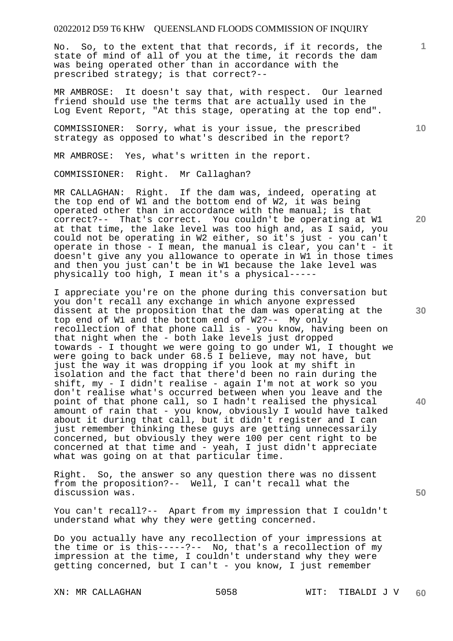No. So, to the extent that that records, if it records, the state of mind of all of you at the time, it records the dam was being operated other than in accordance with the prescribed strategy; is that correct?--

MR AMBROSE: It doesn't say that, with respect. Our learned friend should use the terms that are actually used in the Log Event Report, "At this stage, operating at the top end".

COMMISSIONER: Sorry, what is your issue, the prescribed strategy as opposed to what's described in the report?

MR AMBROSE: Yes, what's written in the report.

COMMISSIONER: Right. Mr Callaghan?

MR CALLAGHAN: Right. If the dam was, indeed, operating at the top end of W1 and the bottom end of W2, it was being operated other than in accordance with the manual; is that correct?-- That's correct. You couldn't be operating at W1 at that time, the lake level was too high and, as I said, you could not be operating in W2 either, so it's just - you can't operate in those - I mean, the manual is clear, you can't - it doesn't give any you allowance to operate in W1 in those times and then you just can't be in W1 because the lake level was physically too high, I mean it's a physical-----

I appreciate you're on the phone during this conversation but you don't recall any exchange in which anyone expressed dissent at the proposition that the dam was operating at the top end of W1 and the bottom end of W2?-- My only recollection of that phone call is - you know, having been on that night when the - both lake levels just dropped towards - I thought we were going to go under W1, I thought we were going to back under 68.5 I believe, may not have, but just the way it was dropping if you look at my shift in isolation and the fact that there'd been no rain during the shift, my - I didn't realise - again I'm not at work so you don't realise what's occurred between when you leave and the point of that phone call, so I hadn't realised the physical amount of rain that - you know, obviously I would have talked about it during that call, but it didn't register and I can just remember thinking these guys are getting unnecessarily concerned, but obviously they were 100 per cent right to be concerned at that time and - yeah, I just didn't appreciate what was going on at that particular time.

Right. So, the answer so any question there was no dissent from the proposition?-- Well, I can't recall what the discussion was.

You can't recall?-- Apart from my impression that I couldn't understand what why they were getting concerned.

Do you actually have any recollection of your impressions at the time or is this-----?-- No, that's a recollection of my impression at the time, I couldn't understand why they were getting concerned, but I can't - you know, I just remember

**10** 

**1**

**20** 

**30** 

**40**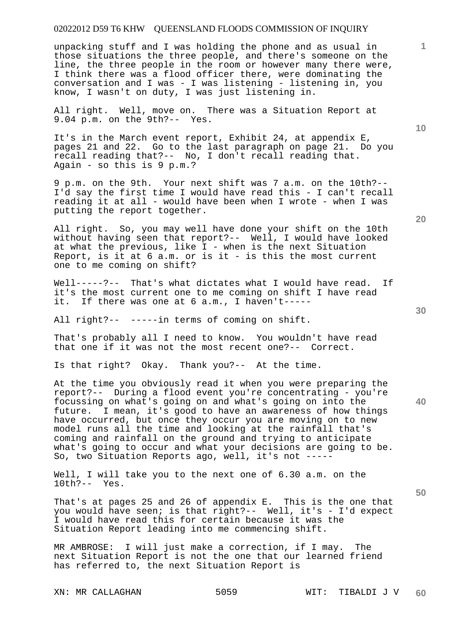unpacking stuff and I was holding the phone and as usual in those situations the three people, and there's someone on the line, the three people in the room or however many there were, I think there was a flood officer there, were dominating the conversation and I was - I was listening - listening in, you know, I wasn't on duty, I was just listening in.

All right. Well, move on. There was a Situation Report at 9.04 p.m. on the 9th?-- Yes.

It's in the March event report, Exhibit 24, at appendix E, pages 21 and 22. Go to the last paragraph on page 21. Do you recall reading that?-- No, I don't recall reading that. Again - so this is 9 p.m.?

9 p.m. on the 9th. Your next shift was 7 a.m. on the 10th?-- I'd say the first time I would have read this - I can't recall reading it at all - would have been when I wrote - when I was putting the report together.

All right. So, you may well have done your shift on the 10th without having seen that report?-- Well, I would have looked at what the previous, like I - when is the next Situation Report, is it at 6 a.m. or is it - is this the most current one to me coming on shift?

Well-----?-- That's what dictates what I would have read. If it's the most current one to me coming on shift I have read it. If there was one at 6 a.m., I haven't-----

All right?-- -----in terms of coming on shift.

That's probably all I need to know. You wouldn't have read that one if it was not the most recent one?-- Correct.

Is that right? Okay. Thank you?-- At the time.

At the time you obviously read it when you were preparing the report?-- During a flood event you're concentrating - you're focussing on what's going on and what's going on into the future. I mean, it's good to have an awareness of how things have occurred, but once they occur you are moving on to new model runs all the time and looking at the rainfall that's coming and rainfall on the ground and trying to anticipate what's going to occur and what your decisions are going to be. So, two Situation Reports ago, well, it's not -----

Well, I will take you to the next one of 6.30 a.m. on the 10th?-- Yes.

That's at pages 25 and 26 of appendix E. This is the one that you would have seen; is that right?-- Well, it's - I'd expect I would have read this for certain because it was the Situation Report leading into me commencing shift.

MR AMBROSE: I will just make a correction, if I may. The next Situation Report is not the one that our learned friend has referred to, the next Situation Report is

**10** 

**20** 

**1**

**40**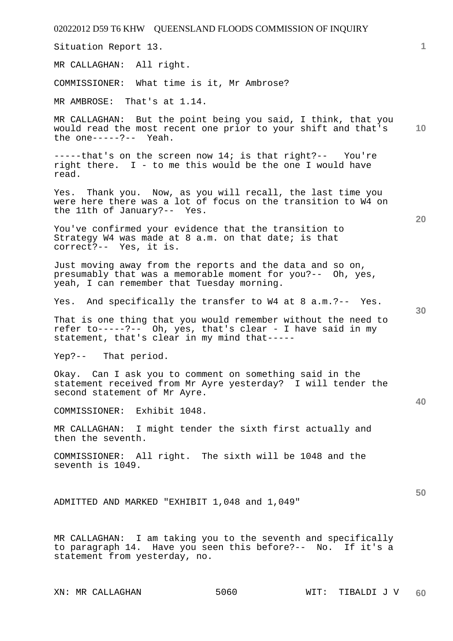| 02022012 D59 T6 KHW QUEENSLAND FLOODS COMMISSION OF INQUIRY                                                                                                                 |   |
|-----------------------------------------------------------------------------------------------------------------------------------------------------------------------------|---|
| Situation Report 13.                                                                                                                                                        | 1 |
| MR CALLAGHAN: All right.                                                                                                                                                    |   |
| COMMISSIONER: What time is it, Mr Ambrose?                                                                                                                                  |   |
| MR AMBROSE: That's at 1.14.                                                                                                                                                 |   |
| MR CALLAGHAN: But the point being you said, I think, that you<br>10<br>would read the most recent one prior to your shift and that's<br>the one-----?-- Yeah.               |   |
| $---$ -that's on the screen now 14; is that right?-- You're<br>right there. I - to me this would be the one I would have<br>read.                                           |   |
| Yes. Thank you. Now, as you will recall, the last time you<br>were here there was a lot of focus on the transition to W4 on<br>the 11th of January?-- Yes.<br>20            |   |
| You've confirmed your evidence that the transition to<br>Strategy W4 was made at 8 a.m. on that date; is that<br>correct?-- Yes, it is.                                     |   |
| Just moving away from the reports and the data and so on,<br>presumably that was a memorable moment for you?-- Oh, yes,<br>yeah, I can remember that Tuesday morning.       |   |
| Yes. And specifically the transfer to W4 at 8 a.m. ?-- Yes.<br>30                                                                                                           |   |
| That is one thing that you would remember without the need to<br>refer to-----?-- Oh, yes, that's clear - I have said in my<br>statement, that's clear in my mind that----- |   |
| Yep?-- That period.                                                                                                                                                         |   |
| Okay. Can I ask you to comment on something said in the<br>statement received from Mr Ayre yesterday? I will tender the<br>second statement of Mr Ayre.                     |   |
| 40<br>COMMISSIONER: Exhibit 1048.                                                                                                                                           |   |
| MR CALLAGHAN: I might tender the sixth first actually and<br>then the seventh.                                                                                              |   |
| COMMISSIONER: All right. The sixth will be 1048 and the<br>seventh is 1049.                                                                                                 |   |
| 50<br>ADMITTED AND MARKED "EXHIBIT 1,048 and 1,049"                                                                                                                         |   |
| MR CALLAGHAN: I am taking you to the seventh and specifically<br>to paragraph 14. Have you seen this before?-- No. If it's a<br>statement from yesterday, no.               |   |
| 5060<br>XN: MR CALLAGHAN<br>WIT: TIBALDI J V<br>60                                                                                                                          |   |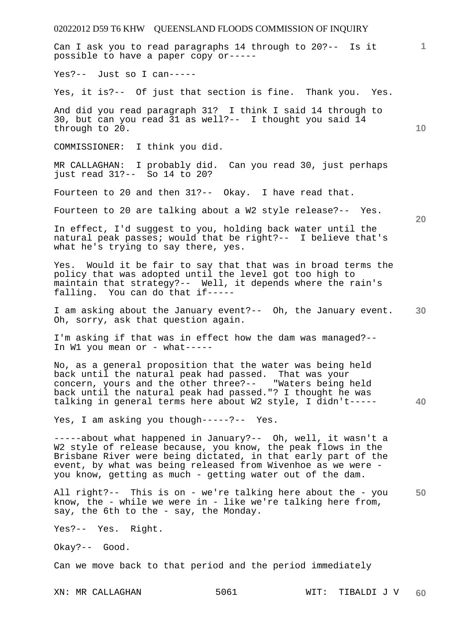02022012 D59 T6 KHW QUEENSLAND FLOODS COMMISSION OF INQUIRY **1 10 20 30 40 50**  Can I ask you to read paragraphs 14 through to 20?-- Is it possible to have a paper copy or----- Yes?-- Just so I can----- Yes, it is?-- Of just that section is fine. Thank you. Yes. And did you read paragraph 31? I think I said 14 through to 30, but can you read 31 as well?-- I thought you said 14 through to 20. COMMISSIONER: I think you did. MR CALLAGHAN: I probably did. Can you read 30, just perhaps just read 31?-- So 14 to 20? Fourteen to 20 and then 31?-- Okay. I have read that. Fourteen to 20 are talking about a W2 style release?-- Yes. In effect, I'd suggest to you, holding back water until the natural peak passes; would that be right?-- I believe that's what he's trying to say there, yes. Yes. Would it be fair to say that that was in broad terms the policy that was adopted until the level got too high to maintain that strategy?-- Well, it depends where the rain's falling. You can do that if----- I am asking about the January event?-- Oh, the January event. Oh, sorry, ask that question again. I'm asking if that was in effect how the dam was managed?-- In W1 you mean or - what-----No, as a general proposition that the water was being held back until the natural peak had passed. That was your concern, yours and the other three?-- "Waters being held back until the natural peak had passed."? I thought he was talking in general terms here about W2 style, I didn't----- Yes, I am asking you though-----?-- Yes. -----about what happened in January?-- Oh, well, it wasn't a W2 style of release because, you know, the peak flows in the Brisbane River were being dictated, in that early part of the event, by what was being released from Wivenhoe as we were you know, getting as much - getting water out of the dam. All right?-- This is on - we're talking here about the - you know, the - while we were in - like we're talking here from, say, the 6th to the - say, the Monday. Yes?-- Yes. Right. Okay?-- Good. Can we move back to that period and the period immediately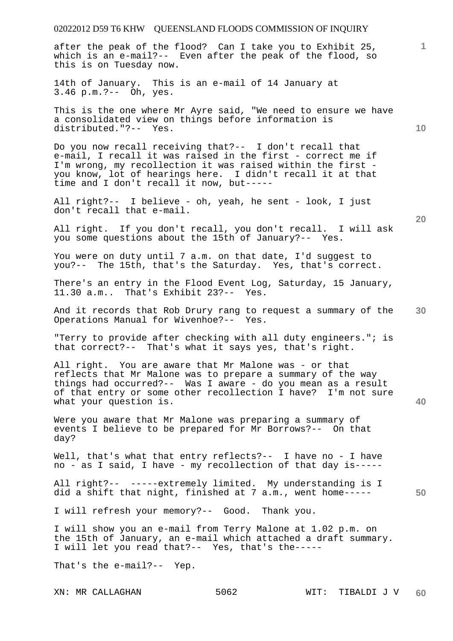# 02022012 D59 T6 KHW QUEENSLAND FLOODS COMMISSION OF INQUIRY XN: MR CALLAGHAN 5062 WIT: TIBALDI J V **1 10 20 30 40 50 60**  after the peak of the flood? Can I take you to Exhibit 25, which is an e-mail?-- Even after the peak of the flood, so this is on Tuesday now. 14th of January. This is an e-mail of 14 January at 3.46 p.m.?-- Oh, yes. This is the one where Mr Ayre said, "We need to ensure we have a consolidated view on things before information is distributed."?-- Yes. Do you now recall receiving that?-- I don't recall that e-mail, I recall it was raised in the first - correct me if I'm wrong, my recollection it was raised within the first you know, lot of hearings here. I didn't recall it at that time and I don't recall it now, but----- All right?-- I believe - oh, yeah, he sent - look, I just don't recall that e-mail. All right. If you don't recall, you don't recall. I will ask you some questions about the 15th of January?-- Yes. You were on duty until 7 a.m. on that date, I'd suggest to you?-- The 15th, that's the Saturday. Yes, that's correct. There's an entry in the Flood Event Log, Saturday, 15 January, 11.30 a.m.. That's Exhibit 23?-- Yes. And it records that Rob Drury rang to request a summary of the Operations Manual for Wivenhoe?-- Yes. "Terry to provide after checking with all duty engineers."; is that correct?-- That's what it says yes, that's right. All right. You are aware that Mr Malone was - or that reflects that Mr Malone was to prepare a summary of the way things had occurred?-- Was I aware - do you mean as a result of that entry or some other recollection I have? I'm not sure what your question is. Were you aware that Mr Malone was preparing a summary of events I believe to be prepared for Mr Borrows?-- On that day? Well, that's what that entry reflects?-- I have no - I have no - as I said, I have - my recollection of that day is----- All right?-- -----extremely limited. My understanding is I did a shift that night, finished at 7 a.m., went home----- I will refresh your memory?-- Good. Thank you. I will show you an e-mail from Terry Malone at 1.02 p.m. on the 15th of January, an e-mail which attached a draft summary. I will let you read that?-- Yes, that's the----- That's the e-mail?-- Yep.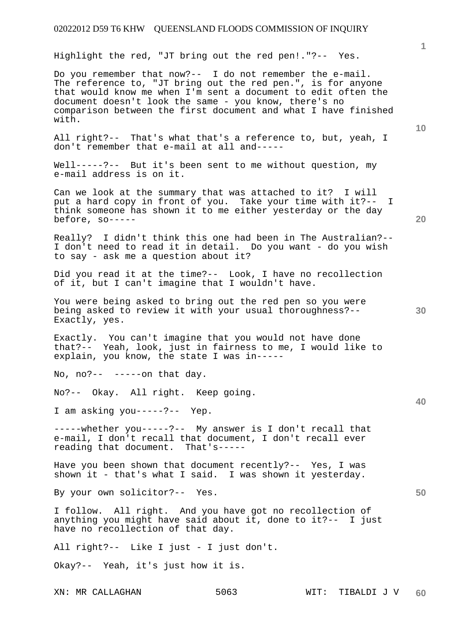Highlight the red, "JT bring out the red pen!."?-- Yes.

Do you remember that now?-- I do not remember the e-mail. The reference to, "JT bring out the red pen.", is for anyone that would know me when I'm sent a document to edit often the document doesn't look the same - you know, there's no comparison between the first document and what I have finished with.

All right?-- That's what that's a reference to, but, yeah, I don't remember that e-mail at all and-----

Well-----?-- But it's been sent to me without question, my e-mail address is on it.

Can we look at the summary that was attached to it? I will put a hard copy in front of you. Take your time with it?-- I think someone has shown it to me either yesterday or the day before, so-----

Really? I didn't think this one had been in The Australian?-- I don't need to read it in detail. Do you want - do you wish to say - ask me a question about it?

Did you read it at the time?-- Look, I have no recollection of it, but I can't imagine that I wouldn't have.

You were being asked to bring out the red pen so you were being asked to review it with your usual thoroughness?-- Exactly, yes.

Exactly. You can't imagine that you would not have done that?-- Yeah, look, just in fairness to me, I would like to explain, you know, the state I was in-----

No,  $no?-----on that day.$ 

No?-- Okay. All right. Keep going.

I am asking you-----?-- Yep.

-----whether you-----?-- My answer is I don't recall that e-mail, I don't recall that document, I don't recall ever reading that document. That's-----

Have you been shown that document recently?-- Yes, I was shown it - that's what I said. I was shown it yesterday.

By your own solicitor?-- Yes.

I follow. All right. And you have got no recollection of anything you might have said about it, done to it?-- I just have no recollection of that day.

All right?-- Like I just - I just don't.

Okay?-- Yeah, it's just how it is.

**20** 

**10** 

**1**

**30** 

**40**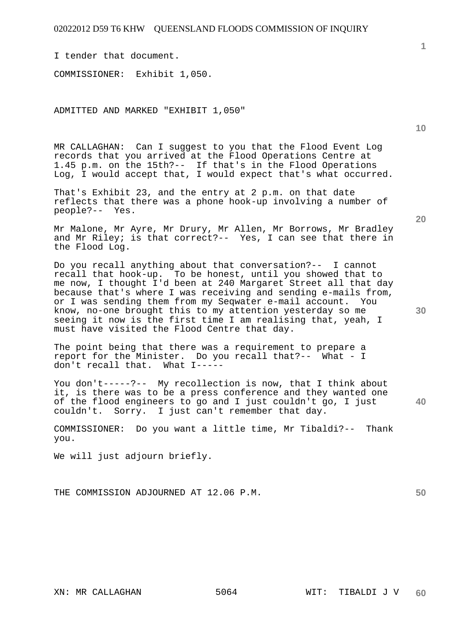I tender that document.

COMMISSIONER: Exhibit 1,050.

ADMITTED AND MARKED "EXHIBIT 1,050"

MR CALLAGHAN: Can I suggest to you that the Flood Event Log records that you arrived at the Flood Operations Centre at 1.45 p.m. on the 15th?-- If that's in the Flood Operations Log, I would accept that, I would expect that's what occurred.

That's Exhibit 23, and the entry at 2 p.m. on that date reflects that there was a phone hook-up involving a number of people?-- Yes.

Mr Malone, Mr Ayre, Mr Drury, Mr Allen, Mr Borrows, Mr Bradley and Mr Riley; is that correct?-- Yes, I can see that there in the Flood Log.

Do you recall anything about that conversation?-- I cannot recall that hook-up. To be honest, until you showed that to me now, I thought I'd been at 240 Margaret Street all that day because that's where I was receiving and sending e-mails from, or I was sending them from my Seqwater e-mail account. You know, no-one brought this to my attention yesterday so me seeing it now is the first time I am realising that, yeah, I must have visited the Flood Centre that day.

The point being that there was a requirement to prepare a report for the Minister. Do you recall that?-- What - I don't recall that. What I-----

You don't-----?-- My recollection is now, that I think about it, is there was to be a press conference and they wanted one of the flood engineers to go and I just couldn't go, I just couldn't. Sorry. I just can't remember that day. Sorry. I just can't remember that day.

COMMISSIONER: Do you want a little time, Mr Tibaldi?-- Thank you.

We will just adjourn briefly.

THE COMMISSION ADJOURNED AT 12.06 P.M.

**1**

**40**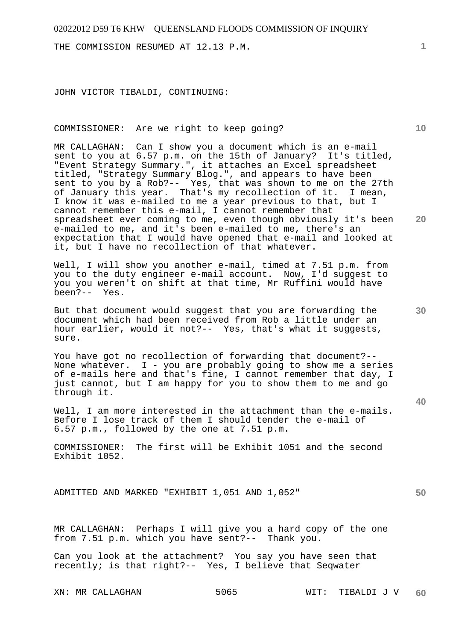THE COMMISSION RESUMED AT 12.13 P.M.

JOHN VICTOR TIBALDI, CONTINUING:

## COMMISSIONER: Are we right to keep going?

MR CALLAGHAN: Can I show you a document which is an e-mail sent to you at 6.57 p.m. on the 15th of January? It's titled, "Event Strategy Summary.", it attaches an Excel spreadsheet titled, "Strategy Summary Blog.", and appears to have been sent to you by a Rob?-- Yes, that was shown to me on the 27th of January this year. That's my recollection of it. I mean, I know it was e-mailed to me a year previous to that, but I cannot remember this e-mail, I cannot remember that spreadsheet ever coming to me, even though obviously it's been e-mailed to me, and it's been e-mailed to me, there's an expectation that I would have opened that e-mail and looked at it, but I have no recollection of that whatever.

Well, I will show you another e-mail, timed at 7.51 p.m. from you to the duty engineer e-mail account. Now, I'd suggest to you you weren't on shift at that time, Mr Ruffini would have been?-- Yes.

But that document would suggest that you are forwarding the document which had been received from Rob a little under an hour earlier, would it not?-- Yes, that's what it suggests, sure.

You have got no recollection of forwarding that document?-- None whatever. I - you are probably going to show me a series of e-mails here and that's fine, I cannot remember that day, I just cannot, but I am happy for you to show them to me and go through it.

Well, I am more interested in the attachment than the e-mails. Before I lose track of them I should tender the e-mail of 6.57 p.m., followed by the one at 7.51 p.m.

COMMISSIONER: The first will be Exhibit 1051 and the second Exhibit 1052.

ADMITTED AND MARKED "EXHIBIT 1,051 AND 1,052"

MR CALLAGHAN: Perhaps I will give you a hard copy of the one from 7.51 p.m. which you have sent?-- Thank you.

Can you look at the attachment? You say you have seen that recently; is that right?-- Yes, I believe that Seqwater

**1**

**10** 

**20** 

**30** 

**50**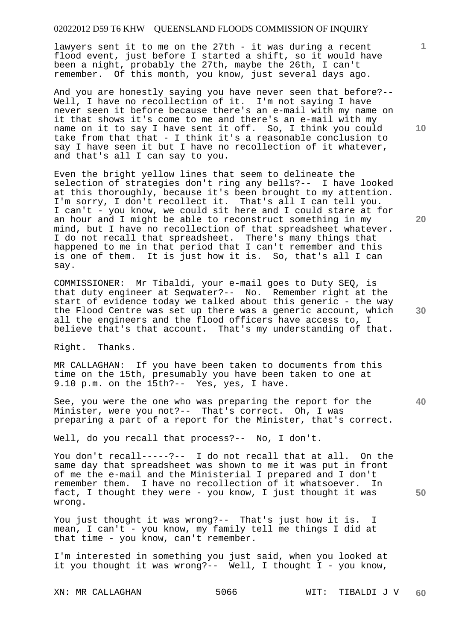lawyers sent it to me on the 27th - it was during a recent flood event, just before I started a shift, so it would have been a night, probably the 27th, maybe the 26th, I can't remember. Of this month, you know, just several days ago.

And you are honestly saying you have never seen that before?-- Well, I have no recollection of it. I'm not saying I have never seen it before because there's an e-mail with my name on it that shows it's come to me and there's an e-mail with my name on it to say I have sent it off. So, I think you could take from that that - I think it's a reasonable conclusion to say I have seen it but I have no recollection of it whatever, and that's all I can say to you.

Even the bright yellow lines that seem to delineate the selection of strategies don't ring any bells?-- I have looked at this thoroughly, because it's been brought to my attention. I'm sorry, I don't recollect it. That's all I can tell you. I can't - you know, we could sit here and I could stare at for an hour and I might be able to reconstruct something in my mind, but I have no recollection of that spreadsheet whatever. I do not recall that spreadsheet. There's many things that happened to me in that period that I can't remember and this is one of them. It is just how it is. So, that's all I can say.

COMMISSIONER: Mr Tibaldi, your e-mail goes to Duty SEQ, is that duty engineer at Seqwater?-- No. Remember right at the start of evidence today we talked about this generic - the way the Flood Centre was set up there was a generic account, which all the engineers and the flood officers have access to, I believe that's that account. That's my understanding of that.

Right. Thanks.

MR CALLAGHAN: If you have been taken to documents from this time on the 15th, presumably you have been taken to one at 9.10 p.m. on the 15th?-- Yes, yes, I have.

See, you were the one who was preparing the report for the Minister, were you not?-- That's correct. Oh, I was preparing a part of a report for the Minister, that's correct.

Well, do you recall that process?-- No, I don't.

You don't recall-----?-- I do not recall that at all. On the same day that spreadsheet was shown to me it was put in front of me the e-mail and the Ministerial I prepared and I don't remember them. I have no recollection of it whatsoever. In fact, I thought they were - you know, I just thought it was wrong.

You just thought it was wrong?-- That's just how it is. I mean, I can't - you know, my family tell me things I did at that time - you know, can't remember.

I'm interested in something you just said, when you looked at it you thought it was wrong?-- Well, I thought I - you know,

**10** 

**1**

**40** 

**30**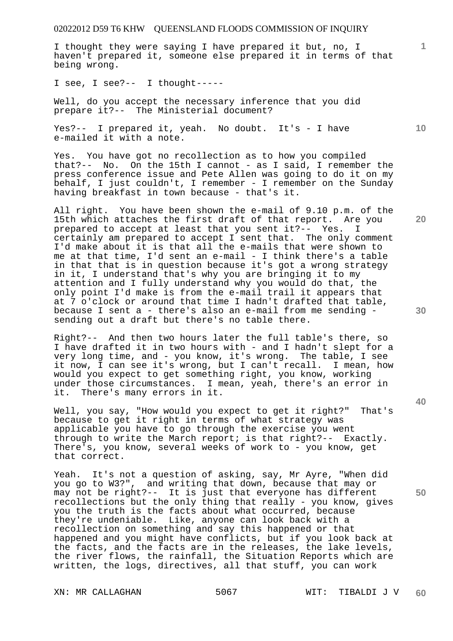I thought they were saying I have prepared it but, no, I haven't prepared it, someone else prepared it in terms of that being wrong.

I see, I see?-- I thought-----

Well, do you accept the necessary inference that you did prepare it?-- The Ministerial document?

Yes?-- I prepared it, yeah. No doubt. It's - I have e-mailed it with a note.

Yes. You have got no recollection as to how you compiled that?-- No. On the 15th I cannot - as I said, I remember the press conference issue and Pete Allen was going to do it on my behalf, I just couldn't, I remember - I remember on the Sunday having breakfast in town because - that's it.

All right. You have been shown the e-mail of 9.10 p.m. of the 15th which attaches the first draft of that report. Are you prepared to accept at least that you sent it?-- Yes. I certainly am prepared to accept I sent that. The only comment I'd make about it is that all the e-mails that were shown to me at that time, I'd sent an e-mail - I think there's a table in that that is in question because it's got a wrong strategy in it, I understand that's why you are bringing it to my attention and I fully understand why you would do that, the only point I'd make is from the e-mail trail it appears that at 7 o'clock or around that time I hadn't drafted that table, because I sent a - there's also an e-mail from me sending sending out a draft but there's no table there.

Right?-- And then two hours later the full table's there, so I have drafted it in two hours with - and I hadn't slept for a very long time, and - you know, it's wrong. The table, I see it now, I can see it's wrong, but I can't recall. I mean, how would you expect to get something right, you know, working under those circumstances. I mean, yeah, there's an error in it. There's many errors in it.

Well, you say, "How would you expect to get it right?" That's because to get it right in terms of what strategy was applicable you have to go through the exercise you went through to write the March report; is that right?-- Exactly. There's, you know, several weeks of work to - you know, get that correct.

Yeah. It's not a question of asking, say, Mr Ayre, "When did you go to W3?", and writing that down, because that may or may not be right?-- It is just that everyone has different recollections but the only thing that really - you know, gives you the truth is the facts about what occurred, because they're undeniable. Like, anyone can look back with a recollection on something and say this happened or that happened and you might have conflicts, but if you look back at the facts, and the facts are in the releases, the lake levels, the river flows, the rainfall, the Situation Reports which are written, the logs, directives, all that stuff, you can work

**10** 

**1**

**20** 

**40**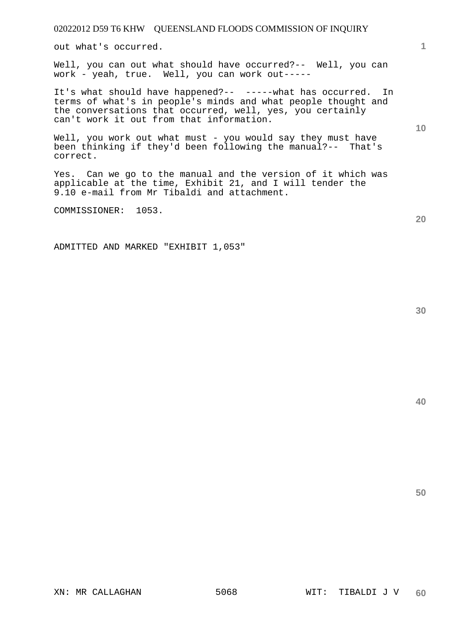out what's occurred.

Well, you can out what should have occurred?-- Well, you can work - yeah, true. Well, you can work out-----

It's what should have happened?-- -----what has occurred. In terms of what's in people's minds and what people thought and the conversations that occurred, well, yes, you certainly can't work it out from that information.

Well, you work out what must - you would say they must have been thinking if they'd been following the manual?-- That's correct.

Yes. Can we go to the manual and the version of it which was applicable at the time, Exhibit 21, and I will tender the 9.10 e-mail from Mr Tibaldi and attachment.

COMMISSIONER: 1053.

ADMITTED AND MARKED "EXHIBIT 1,053"

**50** 

**40** 

**1**

**10**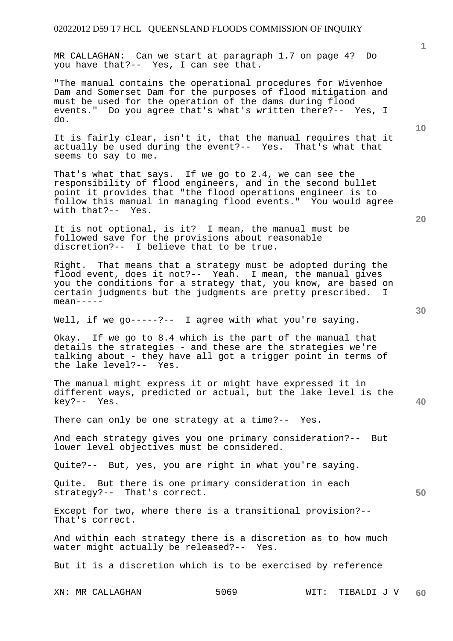MR CALLAGHAN: Can we start at paragraph 1.7 on page 4? Do you have that?-- Yes, I can see that.

"The manual contains the operational procedures for Wivenhoe Dam and Somerset Dam for the purposes of flood mitigation and must be used for the operation of the dams during flood events." Do you agree that's what's written there?-- Yes, I do.

It is fairly clear, isn't it, that the manual requires that it actually be used during the event?-- Yes. That's what that seems to say to me.

That's what that says. If we go to 2.4, we can see the responsibility of flood engineers, and in the second bullet point it provides that "the flood operations engineer is to follow this manual in managing flood events." You would agree with that?-- Yes.

It is not optional, is it? I mean, the manual must be followed save for the provisions about reasonable discretion?-- I believe that to be true.

Right. That means that a strategy must be adopted during the flood event, does it not?-- Yeah. I mean, the manual gives you the conditions for a strategy that, you know, are based on certain judgments but the judgments are pretty prescribed. I mean-----

Well, if we qo-----?-- I aqree with what you're saying.

Okay. If we go to 8.4 which is the part of the manual that details the strategies - and these are the strategies we're talking about - they have all got a trigger point in terms of the lake level?-- Yes.

The manual might express it or might have expressed it in different ways, predicted or actual, but the lake level is the key?-- Yes.

There can only be one strategy at a time?-- Yes.

And each strategy gives you one primary consideration?-- But lower level objectives must be considered.

Quite?-- But, yes, you are right in what you're saying.

Quite. But there is one primary consideration in each strategy?-- That's correct.

Except for two, where there is a transitional provision?-- That's correct.

And within each strategy there is a discretion as to how much water might actually be released?-- Yes.

But it is a discretion which is to be exercised by reference

XN: MR CALLAGHAN 5069 WIT: TIBALDI J V **60** 

**10** 

**1**

**20** 

**40**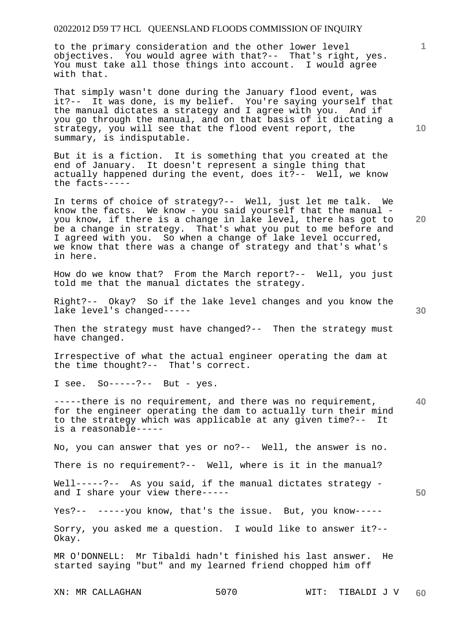to the primary consideration and the other lower level objectives. You would agree with that?-- That's right, yes. You must take all those things into account. I would agree with that.

That simply wasn't done during the January flood event, was it?-- It was done, is my belief. You're saying yourself that the manual dictates a strategy and I agree with you. And if you go through the manual, and on that basis of it dictating a strategy, you will see that the flood event report, the summary, is indisputable.

But it is a fiction. It is something that you created at the end of January. It doesn't represent a single thing that actually happened during the event, does it?-- Well, we know the facts-----

In terms of choice of strategy?-- Well, just let me talk. We know the facts. We know - you said yourself that the manual you know, if there is a change in lake level, there has got to be a change in strategy. That's what you put to me before and I agreed with you. So when a change of lake level occurred, we know that there was a change of strategy and that's what's in here.

How do we know that? From the March report?-- Well, you just told me that the manual dictates the strategy.

Right?-- Okay? So if the lake level changes and you know the lake level's changed-----

Then the strategy must have changed?-- Then the strategy must have changed.

Irrespective of what the actual engineer operating the dam at the time thought?-- That's correct.

I see. So-----?-- But - yes.

**40**  -----there is no requirement, and there was no requirement, for the engineer operating the dam to actually turn their mind to the strategy which was applicable at any given time?-- It is a reasonable-----

No, you can answer that yes or no?-- Well, the answer is no.

There is no requirement?-- Well, where is it in the manual?

Well-----?-- As you said, if the manual dictates strategy and I share your view there-----

Yes?-- -----you know, that's the issue. But, you know-----

Sorry, you asked me a question. I would like to answer it?-- Okay.

MR O'DONNELL: Mr Tibaldi hadn't finished his last answer. He started saying "but" and my learned friend chopped him off

**10** 

**1**

**20**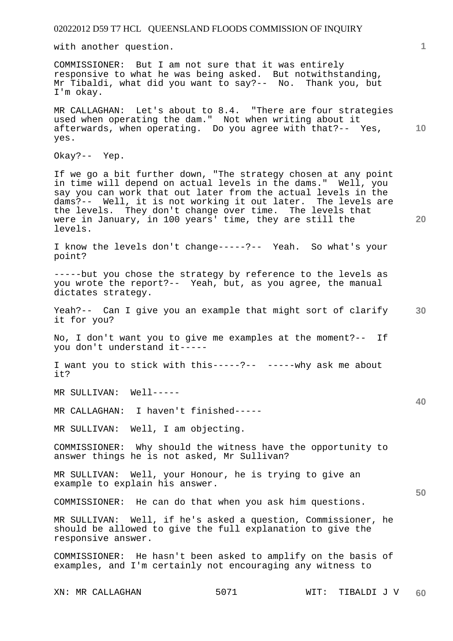with another question.

COMMISSIONER: But I am not sure that it was entirely responsive to what he was being asked. But notwithstanding, Mr Tibaldi, what did you want to say?-- No. Thank you, but I'm okay.

**10**  MR CALLAGHAN: Let's about to 8.4. "There are four strategies used when operating the dam." Not when writing about it afterwards, when operating. Do you agree with that?-- Yes, yes.

Okay?-- Yep.

If we go a bit further down, "The strategy chosen at any point in time will depend on actual levels in the dams." Well, you say you can work that out later from the actual levels in the dams?-- Well, it is not working it out later. The levels are the levels. They don't change over time. The levels that were in January, in 100 years' time, they are still the levels.

I know the levels don't change-----?-- Yeah. So what's your point?

-----but you chose the strategy by reference to the levels as you wrote the report?-- Yeah, but, as you agree, the manual dictates strategy.

**30**  Yeah?-- Can I give you an example that might sort of clarify it for you?

No, I don't want you to give me examples at the moment?-- If you don't understand it-----

I want you to stick with this-----?-- -----why ask me about it?

MR SULLIVAN: Well-----

MR CALLAGHAN: I haven't finished-----

MR SULLIVAN: Well, I am objecting.

COMMISSIONER: Why should the witness have the opportunity to answer things he is not asked, Mr Sullivan?

MR SULLIVAN: Well, your Honour, he is trying to give an example to explain his answer.

COMMISSIONER: He can do that when you ask him questions.

MR SULLIVAN: Well, if he's asked a question, Commissioner, he should be allowed to give the full explanation to give the responsive answer.

COMMISSIONER: He hasn't been asked to amplify on the basis of examples, and I'm certainly not encouraging any witness to

**1**

**40** 

**50**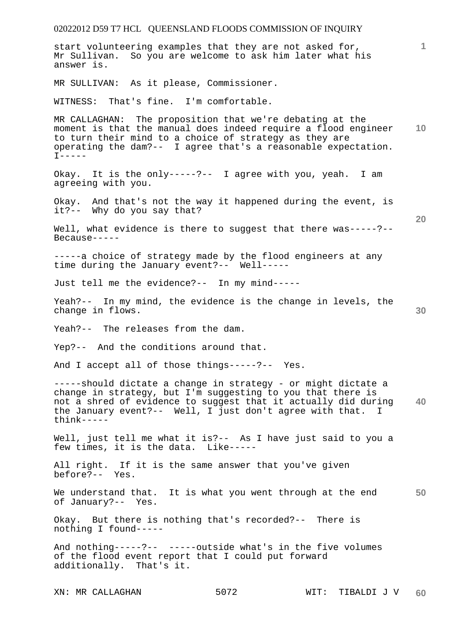02022012 D59 T7 HCL QUEENSLAND FLOODS COMMISSION OF INQUIRY **1 10 20 30 40 50**  start volunteering examples that they are not asked for, Mr Sullivan. So you are welcome to ask him later what his answer is. MR SULLIVAN: As it please, Commissioner. WITNESS: That's fine. I'm comfortable. MR CALLAGHAN: The proposition that we're debating at the moment is that the manual does indeed require a flood engineer to turn their mind to a choice of strategy as they are operating the dam?-- I agree that's a reasonable expectation.  $I----$ Okay. It is the only-----?-- I agree with you, yeah. I am agreeing with you. Okay. And that's not the way it happened during the event, is it?-- Why do you say that? Well, what evidence is there to suggest that there was-----?-- Because----- -----a choice of strategy made by the flood engineers at any time during the January event?-- Well----- Just tell me the evidence?-- In my mind----- Yeah?-- In my mind, the evidence is the change in levels, the change in flows. Yeah?-- The releases from the dam. Yep?-- And the conditions around that. And I accept all of those things-----?-- Yes. -----should dictate a change in strategy - or might dictate a change in strategy, but I'm suggesting to you that there is not a shred of evidence to suggest that it actually did during the January event?-- Well, I just don't agree with that. I think----- Well, just tell me what it is?-- As I have just said to you a few times, it is the data. Like----- All right. If it is the same answer that you've given before?-- Yes. We understand that. It is what you went through at the end of January?-- Yes. Okay. But there is nothing that's recorded?-- There is nothing I found----- And nothing-----?-- -----outside what's in the five volumes of the flood event report that I could put forward additionally. That's it.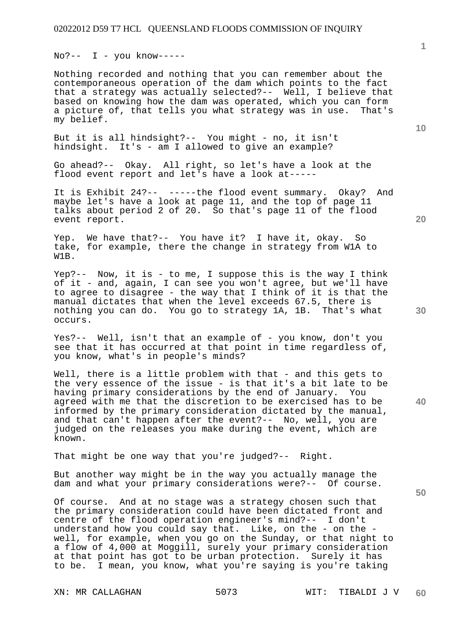$No?-- I - you know---$ 

Nothing recorded and nothing that you can remember about the contemporaneous operation of the dam which points to the fact that a strategy was actually selected?-- Well, I believe that based on knowing how the dam was operated, which you can form a picture of, that tells you what strategy was in use. That's my belief.

But it is all hindsight?-- You might - no, it isn't hindsight. It's - am I allowed to give an example?

Go ahead?-- Okay. All right, so let's have a look at the flood event report and let's have a look at-----

It is Exhibit 24?-- -----the flood event summary. Okay? And maybe let's have a look at page 11, and the top of page 11 talks about period 2 of 20. So that's page 11 of the flood event report.

Yep. We have that?-- You have it? I have it, okay. So take, for example, there the change in strategy from W1A to W1B.

Yep?-- Now, it is - to me, I suppose this is the way I think of it - and, again, I can see you won't agree, but we'll have to agree to disagree - the way that I think of it is that the manual dictates that when the level exceeds 67.5, there is nothing you can do. You go to strategy 1A, 1B. That's what occurs.

Yes?-- Well, isn't that an example of - you know, don't you see that it has occurred at that point in time regardless of, you know, what's in people's minds?

Well, there is a little problem with that - and this gets to the very essence of the issue - is that it's a bit late to be having primary considerations by the end of January. You agreed with me that the discretion to be exercised has to be informed by the primary consideration dictated by the manual, and that can't happen after the event?-- No, well, you are judged on the releases you make during the event, which are known.

That might be one way that you're judged?-- Right.

But another way might be in the way you actually manage the dam and what your primary considerations were?-- Of course.

Of course. And at no stage was a strategy chosen such that the primary consideration could have been dictated front and centre of the flood operation engineer's mind?-- I don't understand how you could say that. Like, on the - on the well, for example, when you go on the Sunday, or that night to a flow of 4,000 at Moggill, surely your primary consideration at that point has got to be urban protection. Surely it has to be. I mean, you know, what you're saying is you're taking

**10** 

**1**

**20** 

**50**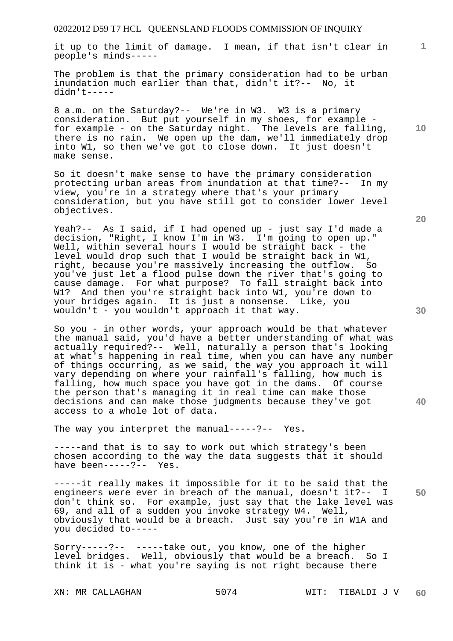it up to the limit of damage. I mean, if that isn't clear in people's minds-----

The problem is that the primary consideration had to be urban inundation much earlier than that, didn't it?-- No, it didn't-----

8 a.m. on the Saturday?-- We're in W3. W3 is a primary consideration. But put yourself in my shoes, for example for example - on the Saturday night. The levels are falling, there is no rain. We open up the dam, we'll immediately drop into W1, so then we've got to close down. It just doesn't make sense.

So it doesn't make sense to have the primary consideration<br>protecting urban areas from inundation at that time?-- In my protecting urban areas from inundation at that time?-view, you're in a strategy where that's your primary consideration, but you have still got to consider lower level objectives.

Yeah?-- As I said, if I had opened up - just say I'd made a decision, "Right, I know I'm in W3. I'm going to open up." Well, within several hours I would be straight back - the level would drop such that I would be straight back in W1, right, because you're massively increasing the outflow. So you've just let a flood pulse down the river that's going to cause damage. For what purpose? To fall straight back into W1? And then you're straight back into W1, you're down to your bridges again. It is just a nonsense. Like, you wouldn't - you wouldn't approach it that way.

So you - in other words, your approach would be that whatever the manual said, you'd have a better understanding of what was actually required?-- Well, naturally a person that's looking at what's happening in real time, when you can have any number of things occurring, as we said, the way you approach it will vary depending on where your rainfall's falling, how much is falling, how much space you have got in the dams. Of course the person that's managing it in real time can make those decisions and can make those judgments because they've got access to a whole lot of data.

The way you interpret the manual-----?-- Yes.

-----and that is to say to work out which strategy's been chosen according to the way the data suggests that it should have been-----?-- Yes.

**50**  -----it really makes it impossible for it to be said that the engineers were ever in breach of the manual, doesn't it?-- I don't think so. For example, just say that the lake level was 69, and all of a sudden you invoke strategy W4. Well, obviously that would be a breach. Just say you're in W1A and you decided to-----

Sorry-----?-- -----take out, you know, one of the higher level bridges. Well, obviously that would be a breach. So I think it is - what you're saying is not right because there

**10** 

**1**

**30** 

**40**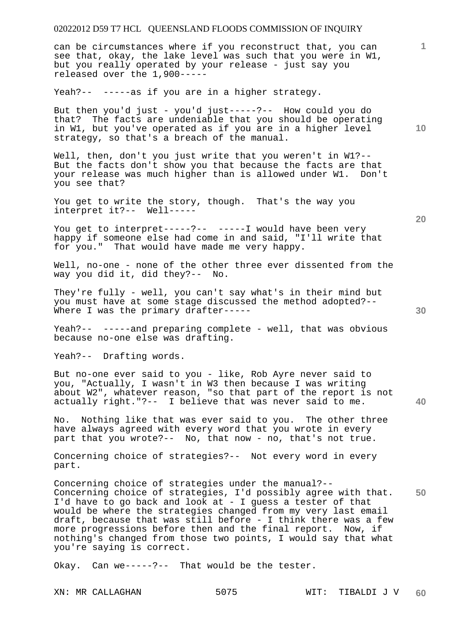can be circumstances where if you reconstruct that, you can see that, okay, the lake level was such that you were in W1, but you really operated by your release - just say you released over the 1,900-----

Yeah?-- -----as if you are in a higher strategy.

But then you'd just - you'd just-----?-- How could you do that? The facts are undeniable that you should be operating in W1, but you've operated as if you are in a higher level strategy, so that's a breach of the manual.

Well, then, don't you just write that you weren't in W1?-- But the facts don't show you that because the facts are that your release was much higher than is allowed under W1. Don't you see that?

You get to write the story, though. That's the way you interpret it?-- Well-----

You get to interpret-----?-- -----I would have been very happy if someone else had come in and said, "I'll write that for you." That would have made me very happy.

Well, no-one - none of the other three ever dissented from the way you did it, did they?-- No.

They're fully - well, you can't say what's in their mind but you must have at some stage discussed the method adopted?-- Where I was the primary drafter-----

Yeah?-- -----and preparing complete - well, that was obvious because no-one else was drafting.

Yeah?-- Drafting words.

But no-one ever said to you - like, Rob Ayre never said to you, "Actually, I wasn't in W3 then because I was writing about W2", whatever reason, "so that part of the report is not actually right."?-- I believe that was never said to me.

No. Nothing like that was ever said to you. The other three have always agreed with every word that you wrote in every part that you wrote?-- No, that now - no, that's not true.

Concerning choice of strategies?-- Not every word in every part.

**50**  Concerning choice of strategies under the manual?-- Concerning choice of strategies, I'd possibly agree with that. I'd have to go back and look at - I guess a tester of that would be where the strategies changed from my very last email draft, because that was still before - I think there was a few more progressions before then and the final report. Now, if nothing's changed from those two points, I would say that what you're saying is correct.

Okay. Can we-----?-- That would be the tester.

**20** 

**40** 

**10**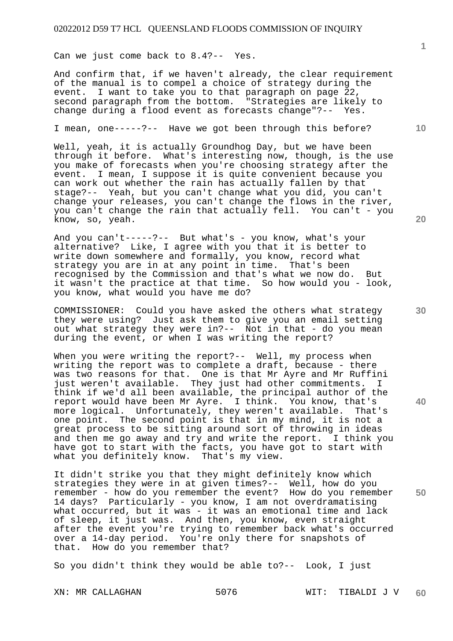Can we just come back to 8.4?-- Yes.

And confirm that, if we haven't already, the clear requirement of the manual is to compel a choice of strategy during the event. I want to take you to that paragraph on page 22, second paragraph from the bottom. "Strategies are likely to change during a flood event as forecasts change"?-- Yes.

I mean, one-----?-- Have we got been through this before?

Well, yeah, it is actually Groundhog Day, but we have been through it before. What's interesting now, though, is the use you make of forecasts when you're choosing strategy after the event. I mean, I suppose it is quite convenient because you can work out whether the rain has actually fallen by that stage?-- Yeah, but you can't change what you did, you can't change your releases, you can't change the flows in the river, you can't change the rain that actually fell. You can't - you know, so, yeah.

And you can't-----?-- But what's - you know, what's your alternative? Like, I agree with you that it is better to write down somewhere and formally, you know, record what strategy you are in at any point in time. That's been recognised by the Commission and that's what we now do. But it wasn't the practice at that time. So how would you - look, you know, what would you have me do?

COMMISSIONER: Could you have asked the others what strategy they were using? Just ask them to give you an email setting out what strategy they were in?-- Not in that - do you mean during the event, or when I was writing the report?

When you were writing the report?-- Well, my process when writing the report was to complete a draft, because - there was two reasons for that. One is that Mr Ayre and Mr Ruffini just weren't available. They just had other commitments. I think if we'd all been available, the principal author of the report would have been Mr Ayre. I think. You know, that's<br>more logical. Unfortunately, they weren't available. That's more logical. Unfortunately, they weren't available. one point. The second point is that in my mind, it is not a great process to be sitting around sort of throwing in ideas and then me go away and try and write the report. I think you have got to start with the facts, you have got to start with what you definitely know. That's my view.

It didn't strike you that they might definitely know which strategies they were in at given times?-- Well, how do you remember - how do you remember the event? How do you remember 14 days? Particularly - you know, I am not overdramatising what occurred, but it was - it was an emotional time and lack of sleep, it just was. And then, you know, even straight after the event you're trying to remember back what's occurred over a 14-day period. You're only there for snapshots of that. How do you remember that?

So you didn't think they would be able to?-- Look, I just

**20** 

**10** 

**30** 

**40**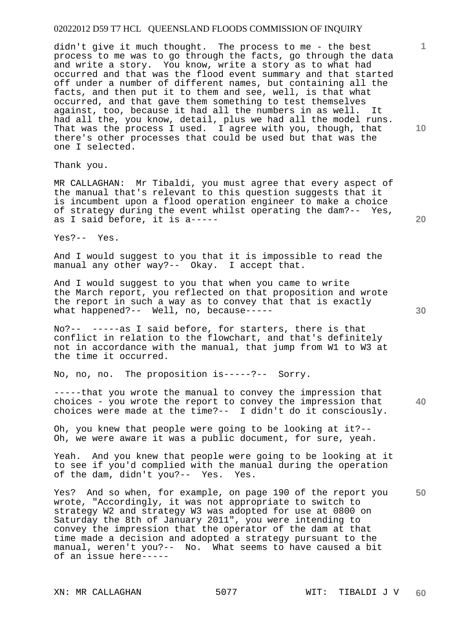didn't give it much thought. The process to me - the best process to me was to go through the facts, go through the data and write a story. You know, write a story as to what had occurred and that was the flood event summary and that started off under a number of different names, but containing all the facts, and then put it to them and see, well, is that what occurred, and that gave them something to test themselves against, too, because it had all the numbers in as well. It had all the, you know, detail, plus we had all the model runs. That was the process I used. I agree with you, though, that there's other processes that could be used but that was the one I selected.

Thank you.

MR CALLAGHAN: Mr Tibaldi, you must agree that every aspect of the manual that's relevant to this question suggests that it is incumbent upon a flood operation engineer to make a choice of strategy during the event whilst operating the dam?-- Yes, as I said before, it is a-----

Yes?-- Yes.

And I would suggest to you that it is impossible to read the manual any other way?-- Okay. I accept that.

And I would suggest to you that when you came to write the March report, you reflected on that proposition and wrote the report in such a way as to convey that that is exactly what happened?-- Well, no, because-----

No?-- -----as I said before, for starters, there is that conflict in relation to the flowchart, and that's definitely not in accordance with the manual, that jump from W1 to W3 at the time it occurred.

No, no, no. The proposition is-----?-- Sorry.

-----that you wrote the manual to convey the impression that choices - you wrote the report to convey the impression that choices were made at the time?-- I didn't do it consciously.

Oh, you knew that people were going to be looking at it?-- Oh, we were aware it was a public document, for sure, yeah.

Yeah. And you knew that people were going to be looking at it to see if you'd complied with the manual during the operation of the dam, didn't you?-- Yes. Yes.

**50**  Yes? And so when, for example, on page 190 of the report you wrote, "Accordingly, it was not appropriate to switch to strategy W2 and strategy W3 was adopted for use at 0800 on Saturday the 8th of January 2011", you were intending to convey the impression that the operator of the dam at that time made a decision and adopted a strategy pursuant to the manual, weren't you?-- No. What seems to have caused a bit of an issue here-----

**10** 

**1**

**20** 

**40**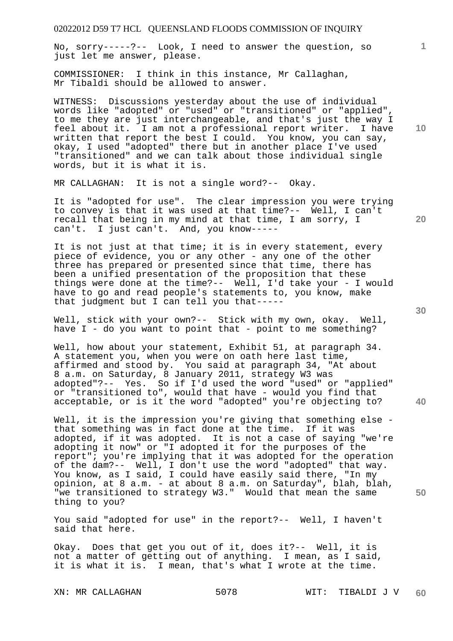No, sorry-----?-- Look, I need to answer the question, so just let me answer, please.

COMMISSIONER: I think in this instance, Mr Callaghan, Mr Tibaldi should be allowed to answer.

WITNESS: Discussions yesterday about the use of individual words like "adopted" or "used" or "transitioned" or "applied", to me they are just interchangeable, and that's just the way I feel about it. I am not a professional report writer. I have written that report the best I could. You know, you can say, okay, I used "adopted" there but in another place I've used "transitioned" and we can talk about those individual single words, but it is what it is.

MR CALLAGHAN: It is not a single word?-- Okay.

It is "adopted for use". The clear impression you were trying to convey is that it was used at that time?-- Well, I can't recall that being in my mind at that time, I am sorry, I can't. I just can't. And, you know-----

It is not just at that time; it is in every statement, every piece of evidence, you or any other - any one of the other three has prepared or presented since that time, there has been a unified presentation of the proposition that these things were done at the time?-- Well, I'd take your - I would have to go and read people's statements to, you know, make that judgment but I can tell you that-----

Well, stick with your own?-- Stick with my own, okay. Well, have I - do you want to point that - point to me something?

Well, how about your statement, Exhibit 51, at paragraph 34. A statement you, when you were on oath here last time, affirmed and stood by. You said at paragraph 34, "At about 8 a.m. on Saturday, 8 January 2011, strategy W3 was adopted"?-- Yes. So if I'd used the word "used" or "applied" or "transitioned to", would that have - would you find that acceptable, or is it the word "adopted" you're objecting to?

Well, it is the impression you're giving that something else that something was in fact done at the time. If it was adopted, if it was adopted. It is not a case of saying "we're adopting it now" or "I adopted it for the purposes of the report"; you're implying that it was adopted for the operation of the dam?-- Well, I don't use the word "adopted" that way. You know, as I said, I could have easily said there, "In my opinion, at 8 a.m. - at about 8 a.m. on Saturday", blah, blah, "we transitioned to strategy W3." Would that mean the same thing to you?

You said "adopted for use" in the report?-- Well, I haven't said that here.

Okay. Does that get you out of it, does it?-- Well, it is not a matter of getting out of anything. I mean, as I said, it is what it is. I mean, that's what I wrote at the time.

**10** 

**1**

**20** 

**40**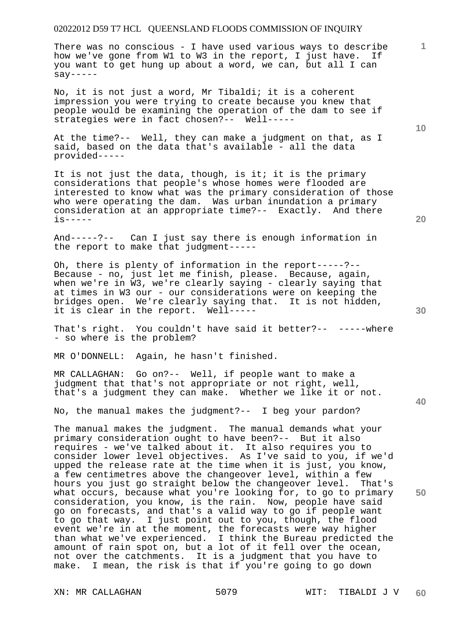There was no conscious - I have used various ways to describe how we've gone from W1 to W3 in the report, I just have. If you want to get hung up about a word, we can, but all I can  $say---$ 

No, it is not just a word, Mr Tibaldi; it is a coherent impression you were trying to create because you knew that people would be examining the operation of the dam to see if strategies were in fact chosen?-- Well-----

At the time?-- Well, they can make a judgment on that, as I said, based on the data that's available - all the data provided-----

It is not just the data, though, is it; it is the primary considerations that people's whose homes were flooded are interested to know what was the primary consideration of those who were operating the dam. Was urban inundation a primary consideration at an appropriate time?-- Exactly. And there is-----

And-----?-- Can I just say there is enough information in the report to make that judgment-----

Oh, there is plenty of information in the report-----?-- Because - no, just let me finish, please. Because, again, when we're in W3, we're clearly saying - clearly saying that at times in W3 our - our considerations were on keeping the bridges open. We're clearly saying that. It is not hidden, it is clear in the report. Well-----

That's right. You couldn't have said it better?-- -----where - so where is the problem?

MR O'DONNELL: Again, he hasn't finished.

MR CALLAGHAN: Go on?-- Well, if people want to make a judgment that that's not appropriate or not right, well, that's a judgment they can make. Whether we like it or not.

No, the manual makes the judgment?-- I beg your pardon?

The manual makes the judgment. The manual demands what your primary consideration ought to have been?-- But it also requires - we've talked about it. It also requires you to consider lower level objectives. As I've said to you, if we'd upped the release rate at the time when it is just, you know, a few centimetres above the changeover level, within a few hours you just go straight below the changeover level. That's what occurs, because what you're looking for, to go to primary consideration, you know, is the rain. Now, people have said go on forecasts, and that's a valid way to go if people want to go that way. I just point out to you, though, the flood event we're in at the moment, the forecasts were way higher than what we've experienced. I think the Bureau predicted the amount of rain spot on, but a lot of it fell over the ocean, not over the catchments. It is a judgment that you have to make. I mean, the risk is that if you're going to go down

**10** 

**20** 

**1**

**40** 

**50**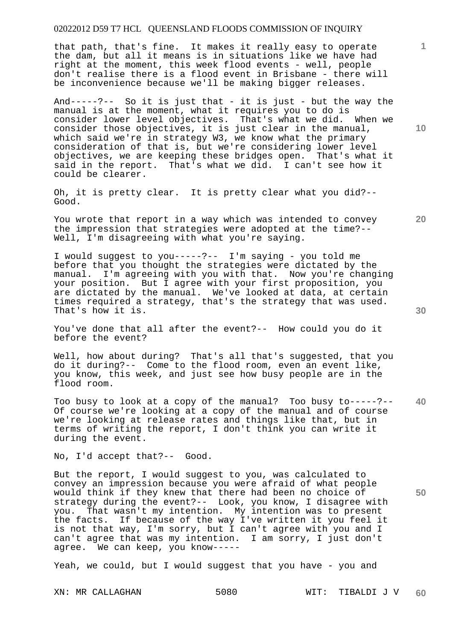that path, that's fine. It makes it really easy to operate the dam, but all it means is in situations like we have had right at the moment, this week flood events - well, people don't realise there is a flood event in Brisbane - there will be inconvenience because we'll be making bigger releases.

And-----?-- So it is just that - it is just - but the way the manual is at the moment, what it requires you to do is consider lower level objectives. That's what we did. When we consider those objectives, it is just clear in the manual, which said we're in strategy W3, we know what the primary consideration of that is, but we're considering lower level objectives, we are keeping these bridges open. That's what it said in the report. That's what we did. I can't see how it could be clearer.

Oh, it is pretty clear. It is pretty clear what you did?-- Good.

You wrote that report in a way which was intended to convey the impression that strategies were adopted at the time?-- Well, I'm disagreeing with what you're saying.

I would suggest to you-----?-- I'm saying - you told me before that you thought the strategies were dictated by the manual. I'm agreeing with you with that. Now you're changing your position. But I agree with your first proposition, you are dictated by the manual. We've looked at data, at certain times required a strategy, that's the strategy that was used. That's how it is.

You've done that all after the event?-- How could you do it before the event?

Well, how about during? That's all that's suggested, that you do it during?-- Come to the flood room, even an event like, you know, this week, and just see how busy people are in the flood room.

**40**  Too busy to look at a copy of the manual? Too busy to-----?-- Of course we're looking at a copy of the manual and of course we're looking at release rates and things like that, but in terms of writing the report, I don't think you can write it during the event.

No, I'd accept that?-- Good.

But the report, I would suggest to you, was calculated to convey an impression because you were afraid of what people would think if they knew that there had been no choice of strategy during the event?-- Look, you know, I disagree with you. That wasn't my intention. My intention was to present the facts. If because of the way I've written it you feel it is not that way, I'm sorry, but I can't agree with you and I can't agree that was my intention. I am sorry, I just don't agree. We can keep, you know-----

Yeah, we could, but I would suggest that you have - you and

**10** 

**1**

**20**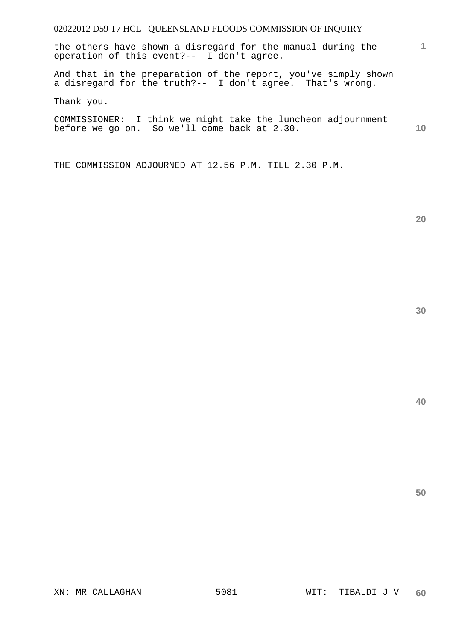the others have shown a disregard for the manual during the operation of this event?-- I don't agree.

And that in the preparation of the report, you've simply shown a disregard for the truth?-- I don't agree. That's wrong.

Thank you.

**10**  COMMISSIONER: I think we might take the luncheon adjournment before we go on. So we'll come back at 2.30.

THE COMMISSION ADJOURNED AT 12.56 P.M. TILL 2.30 P.M.

**20** 

**1**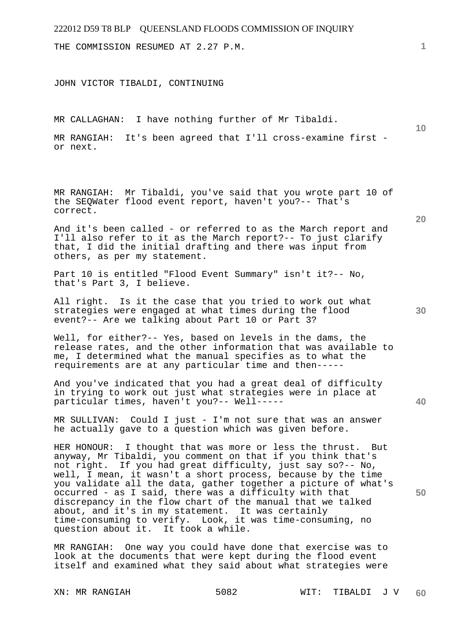THE COMMISSION RESUMED AT 2.27 P.M.

JOHN VICTOR TIBALDI, CONTINUING

MR CALLAGHAN: I have nothing further of Mr Tibaldi.

MR RANGIAH: It's been agreed that I'll cross-examine first or next.

MR RANGIAH: Mr Tibaldi, you've said that you wrote part 10 of the SEQWater flood event report, haven't you?-- That's correct.

And it's been called - or referred to as the March report and I'll also refer to it as the March report?-- To just clarify that, I did the initial drafting and there was input from others, as per my statement.

Part 10 is entitled "Flood Event Summary" isn't it?-- No, that's Part 3, I believe.

All right. Is it the case that you tried to work out what strategies were engaged at what times during the flood event?-- Are we talking about Part 10 or Part 3?

Well, for either?-- Yes, based on levels in the dams, the release rates, and the other information that was available to me, I determined what the manual specifies as to what the requirements are at any particular time and then-----

And you've indicated that you had a great deal of difficulty in trying to work out just what strategies were in place at particular times, haven't you?-- Well-----

MR SULLIVAN: Could I just - I'm not sure that was an answer he actually gave to a question which was given before.

HER HONOUR: I thought that was more or less the thrust. But anyway, Mr Tibaldi, you comment on that if you think that's not right. If you had great difficulty, just say so?-- No, well, I mean, it wasn't a short process, because by the time you validate all the data, gather together a picture of what's occurred - as I said, there was a difficulty with that discrepancy in the flow chart of the manual that we talked about, and it's in my statement. It was certainly time-consuming to verify. Look, it was time-consuming, no question about it. It took a while.

MR RANGIAH: One way you could have done that exercise was to look at the documents that were kept during the flood event itself and examined what they said about what strategies were

**1**

**10** 

**20** 

**30** 

**40**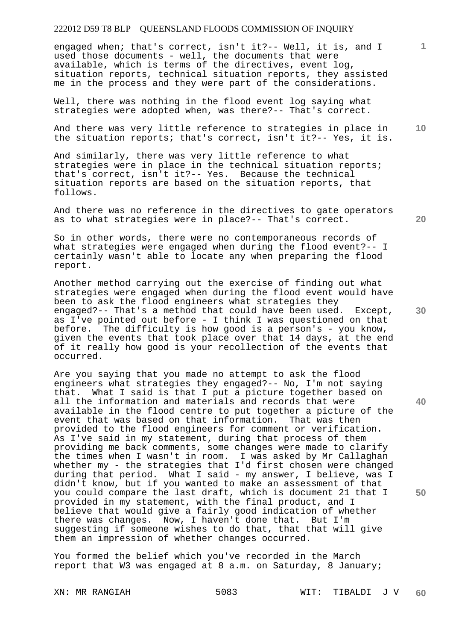engaged when; that's correct, isn't it?-- Well, it is, and I used those documents - well, the documents that were available, which is terms of the directives, event log, situation reports, technical situation reports, they assisted me in the process and they were part of the considerations.

Well, there was nothing in the flood event log saying what strategies were adopted when, was there?-- That's correct.

And there was very little reference to strategies in place in the situation reports; that's correct, isn't it?-- Yes, it is.

And similarly, there was very little reference to what strategies were in place in the technical situation reports; that's correct, isn't it?-- Yes. Because the technical situation reports are based on the situation reports, that follows.

And there was no reference in the directives to gate operators as to what strategies were in place?-- That's correct.

So in other words, there were no contemporaneous records of what strategies were engaged when during the flood event?-- I certainly wasn't able to locate any when preparing the flood report.

Another method carrying out the exercise of finding out what strategies were engaged when during the flood event would have been to ask the flood engineers what strategies they engaged?-- That's a method that could have been used. Except, as I've pointed out before - I think I was questioned on that before. The difficulty is how good is a person's - you know, given the events that took place over that 14 days, at the end of it really how good is your recollection of the events that occurred.

Are you saying that you made no attempt to ask the flood engineers what strategies they engaged?-- No, I'm not saying that. What I said is that I put a picture together based on all the information and materials and records that were available in the flood centre to put together a picture of the event that was based on that information. That was then provided to the flood engineers for comment or verification. As I've said in my statement, during that process of them providing me back comments, some changes were made to clarify the times when I wasn't in room. I was asked by Mr Callaghan whether my - the strategies that I'd first chosen were changed during that period. What I said - my answer, I believe, was I didn't know, but if you wanted to make an assessment of that you could compare the last draft, which is document 21 that I provided in my statement, with the final product, and I believe that would give a fairly good indication of whether there was changes. Now, I haven't done that. But I'm suggesting if someone wishes to do that, that that will give them an impression of whether changes occurred.

You formed the belief which you've recorded in the March report that W3 was engaged at 8 a.m. on Saturday, 8 January;

**20** 

**40** 

**50** 

**10**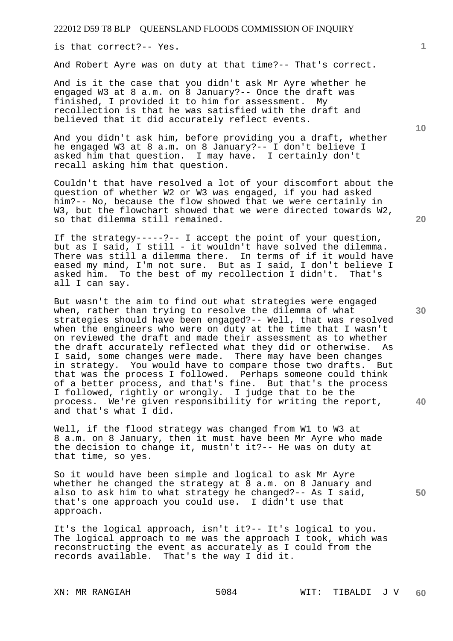is that correct?-- Yes.

And Robert Ayre was on duty at that time?-- That's correct.

And is it the case that you didn't ask Mr Ayre whether he engaged W3 at 8 a.m. on 8 January?-- Once the draft was finished, I provided it to him for assessment. My recollection is that he was satisfied with the draft and believed that it did accurately reflect events.

And you didn't ask him, before providing you a draft, whether he engaged W3 at 8 a.m. on 8 January?-- I don't believe I asked him that question. I may have. I certainly don't recall asking him that question.

Couldn't that have resolved a lot of your discomfort about the question of whether W2 or W3 was engaged, if you had asked him?-- No, because the flow showed that we were certainly in W3, but the flowchart showed that we were directed towards W2, so that dilemma still remained.

If the strategy-----?-- I accept the point of your question, but as I said, I still - it wouldn't have solved the dilemma. There was still a dilemma there. In terms of if it would have eased my mind, I'm not sure. But as I said, I don't believe I asked him. To the best of my recollection I didn't. That's all I can say.

But wasn't the aim to find out what strategies were engaged when, rather than trying to resolve the dilemma of what strategies should have been engaged?-- Well, that was resolved when the engineers who were on duty at the time that I wasn't on reviewed the draft and made their assessment as to whether the draft accurately reflected what they did or otherwise. As I said, some changes were made. There may have been changes in strategy. You would have to compare those two drafts. But that was the process I followed. Perhaps someone could think of a better process, and that's fine. But that's the process I followed, rightly or wrongly. I judge that to be the process. We're given responsibility for writing the report, and that's what I did.

Well, if the flood strategy was changed from W1 to W3 at 8 a.m. on 8 January, then it must have been Mr Ayre who made the decision to change it, mustn't it?-- He was on duty at that time, so yes.

So it would have been simple and logical to ask Mr Ayre whether he changed the strategy at 8 a.m. on 8 January and also to ask him to what strategy he changed?-- As I said, that's one approach you could use. I didn't use that approach.

It's the logical approach, isn't it?-- It's logical to you. The logical approach to me was the approach I took, which was reconstructing the event as accurately as I could from the records available. That's the way I did it.

**10** 

**1**

**30** 

**20** 

**40**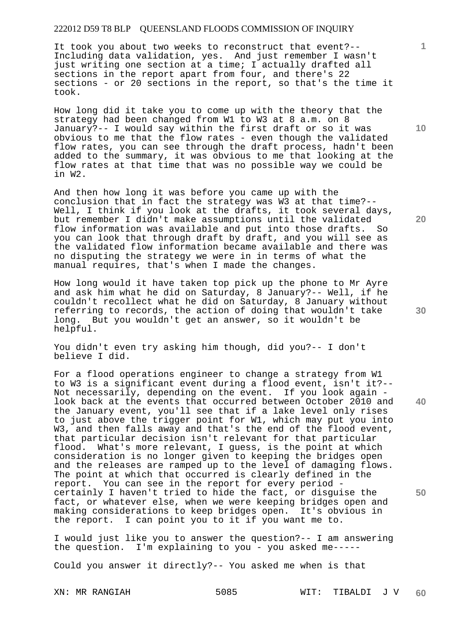It took you about two weeks to reconstruct that event?-- Including data validation, yes. And just remember I wasn't just writing one section at a time; I actually drafted all sections in the report apart from four, and there's 22 sections - or 20 sections in the report, so that's the time it took.

How long did it take you to come up with the theory that the strategy had been changed from W1 to W3 at 8 a.m. on 8 January?-- I would say within the first draft or so it was obvious to me that the flow rates - even though the validated flow rates, you can see through the draft process, hadn't been added to the summary, it was obvious to me that looking at the flow rates at that time that was no possible way we could be in W2.

And then how long it was before you came up with the conclusion that in fact the strategy was W3 at that time?-- Well, I think if you look at the drafts, it took several days, but remember I didn't make assumptions until the validated flow information was available and put into those drafts. So you can look that through draft by draft, and you will see as the validated flow information became available and there was no disputing the strategy we were in in terms of what the manual requires, that's when I made the changes.

How long would it have taken top pick up the phone to Mr Ayre and ask him what he did on Saturday, 8 January?-- Well, if he couldn't recollect what he did on Saturday, 8 January without referring to records, the action of doing that wouldn't take long. But you wouldn't get an answer, so it wouldn't be helpful.

You didn't even try asking him though, did you?-- I don't believe I did.

For a flood operations engineer to change a strategy from W1 to W3 is a significant event during a flood event, isn't it?-- Not necessarily, depending on the event. If you look again look back at the events that occurred between October 2010 and the January event, you'll see that if a lake level only rises to just above the trigger point for W1, which may put you into W3, and then falls away and that's the end of the flood event, that particular decision isn't relevant for that particular flood. What's more relevant, I guess, is the point at which consideration is no longer given to keeping the bridges open and the releases are ramped up to the level of damaging flows. The point at which that occurred is clearly defined in the report. You can see in the report for every period certainly I haven't tried to hide the fact, or disguise the fact, or whatever else, when we were keeping bridges open and making considerations to keep bridges open. It's obvious in the report. I can point you to it if you want me to.

I would just like you to answer the question?-- I am answering the question. I'm explaining to you - you asked me-----

Could you answer it directly?-- You asked me when is that

**10** 

**1**

**30** 

**40** 

**50**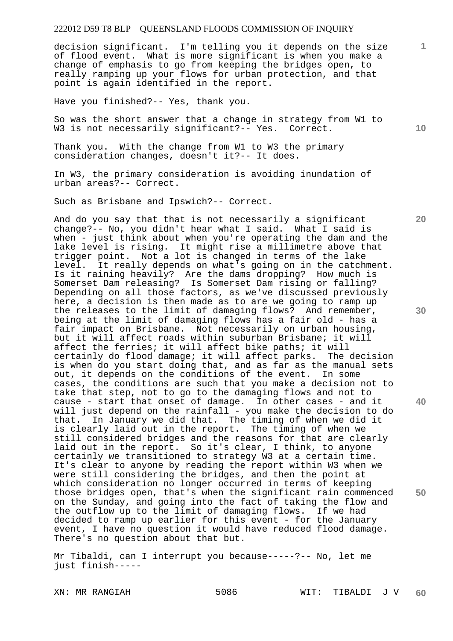decision significant. I'm telling you it depends on the size of flood event. What is more significant is when you make a change of emphasis to go from keeping the bridges open, to really ramping up your flows for urban protection, and that point is again identified in the report.

Have you finished?-- Yes, thank you.

So was the short answer that a change in strategy from W1 to W3 is not necessarily significant?-- Yes. Correct.

Thank you. With the change from W1 to W3 the primary consideration changes, doesn't it?-- It does.

In W3, the primary consideration is avoiding inundation of urban areas?-- Correct.

Such as Brisbane and Ipswich?-- Correct.

And do you say that that is not necessarily a significant change?-- No, you didn't hear what I said. What I said is when - just think about when you're operating the dam and the lake level is rising. It might rise a millimetre above that trigger point. Not a lot is changed in terms of the lake level. It really depends on what's going on in the catchment. Is it raining heavily? Are the dams dropping? How much is Somerset Dam releasing? Is Somerset Dam rising or falling? Depending on all those factors, as we've discussed previously here, a decision is then made as to are we going to ramp up the releases to the limit of damaging flows? And remember, being at the limit of damaging flows has a fair old - has a fair impact on Brisbane. Not necessarily on urban housing, but it will affect roads within suburban Brisbane; it will affect the ferries; it will affect bike paths; it will certainly do flood damage; it will affect parks. The decision is when do you start doing that, and as far as the manual sets out, it depends on the conditions of the event. In some cases, the conditions are such that you make a decision not to take that step, not to go to the damaging flows and not to cause - start that onset of damage. In other cases - and it will just depend on the rainfall - you make the decision to do that. In January we did that. The timing of when we did it is clearly laid out in the report. The timing of when we still considered bridges and the reasons for that are clearly laid out in the report. So it's clear, I think, to anyone certainly we transitioned to strategy W3 at a certain time. It's clear to anyone by reading the report within W3 when we were still considering the bridges, and then the point at which consideration no longer occurred in terms of keeping those bridges open, that's when the significant rain commenced on the Sunday, and going into the fact of taking the flow and the outflow up to the limit of damaging flows. If we had decided to ramp up earlier for this event - for the January event, I have no question it would have reduced flood damage. There's no question about that but.

Mr Tibaldi, can I interrupt you because-----?-- No, let me just finish-----

**20** 

**30** 

**40** 

**50** 

**1**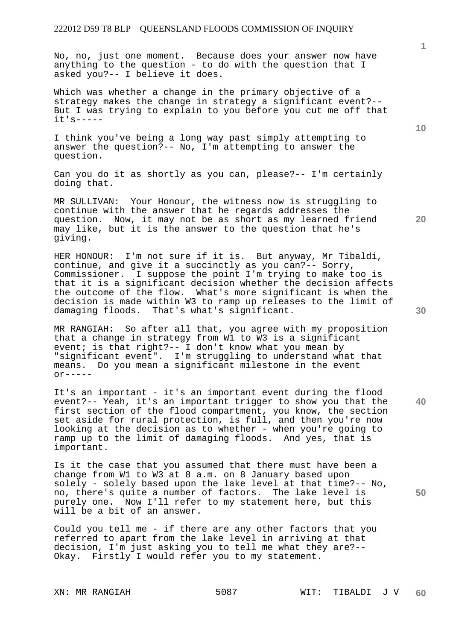No, no, just one moment. Because does your answer now have anything to the question - to do with the question that I asked you?-- I believe it does.

Which was whether a change in the primary objective of a strategy makes the change in strategy a significant event?-- But I was trying to explain to you before you cut me off that it's-----

I think you've being a long way past simply attempting to answer the question?-- No, I'm attempting to answer the question.

Can you do it as shortly as you can, please?-- I'm certainly doing that.

MR SULLIVAN: Your Honour, the witness now is struggling to continue with the answer that he regards addresses the question. Now, it may not be as short as my learned friend may like, but it is the answer to the question that he's giving.

HER HONOUR: I'm not sure if it is. But anyway, Mr Tibaldi, continue, and give it a succinctly as you can?-- Sorry, Commissioner. I suppose the point I'm trying to make too is that it is a significant decision whether the decision affects the outcome of the flow. What's more significant is when the decision is made within W3 to ramp up releases to the limit of damaging floods. That's what's significant.

MR RANGIAH: So after all that, you agree with my proposition that a change in strategy from W1 to W3 is a significant event; is that right?-- I don't know what you mean by "significant event". I'm struggling to understand what that means. Do you mean a significant milestone in the event  $\alpha$ r-----

It's an important - it's an important event during the flood event?-- Yeah, it's an important trigger to show you that the first section of the flood compartment, you know, the section set aside for rural protection, is full, and then you're now looking at the decision as to whether - when you're going to ramp up to the limit of damaging floods. And yes, that is important.

Is it the case that you assumed that there must have been a change from W1 to W3 at 8 a.m. on 8 January based upon solely - solely based upon the lake level at that time?-- No, no, there's quite a number of factors. The lake level is purely one. Now I'll refer to my statement here, but this will be a bit of an answer.

Could you tell me - if there are any other factors that you referred to apart from the lake level in arriving at that decision, I'm just asking you to tell me what they are?-- Okay. Firstly I would refer you to my statement.

**20** 

**30** 

**40** 

**50**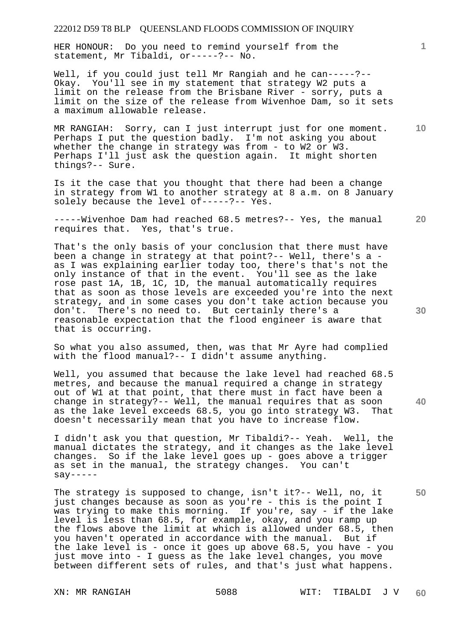HER HONOUR: Do you need to remind yourself from the statement, Mr Tibaldi, or-----?-- No.

Well, if you could just tell Mr Rangiah and he can-----?-- Okay. You'll see in my statement that strategy W2 puts a limit on the release from the Brisbane River - sorry, puts a limit on the size of the release from Wivenhoe Dam, so it sets a maximum allowable release.

**10**  MR RANGIAH: Sorry, can I just interrupt just for one moment. Perhaps I put the question badly. I'm not asking you about whether the change in strategy was from - to W2 or W3. Perhaps I'll just ask the question again. It might shorten things?-- Sure.

Is it the case that you thought that there had been a change in strategy from W1 to another strategy at 8 a.m. on 8 January solely because the level of-----?-- Yes.

-----Wivenhoe Dam had reached 68.5 metres?-- Yes, the manual requires that. Yes, that's true.

That's the only basis of your conclusion that there must have been a change in strategy at that point?-- Well, there's a as I was explaining earlier today too, there's that's not the only instance of that in the event. You'll see as the lake rose past 1A, 1B, 1C, 1D, the manual automatically requires that as soon as those levels are exceeded you're into the next strategy, and in some cases you don't take action because you don't. There's no need to. But certainly there's a reasonable expectation that the flood engineer is aware that that is occurring.

So what you also assumed, then, was that Mr Ayre had complied with the flood manual?-- I didn't assume anything.

Well, you assumed that because the lake level had reached 68.5 metres, and because the manual required a change in strategy out of W1 at that point, that there must in fact have been a change in strategy?-- Well, the manual requires that as soon as the lake level exceeds 68.5, you go into strategy W3. That doesn't necessarily mean that you have to increase flow.

I didn't ask you that question, Mr Tibaldi?-- Yeah. Well, the manual dictates the strategy, and it changes as the lake level changes. So if the lake level goes up - goes above a trigger as set in the manual, the strategy changes. You can't  $say---$ 

The strategy is supposed to change, isn't it?-- Well, no, it just changes because as soon as you're - this is the point I was trying to make this morning. If you're, say - if the lake level is less than 68.5, for example, okay, and you ramp up the flows above the limit at which is allowed under 68.5, then you haven't operated in accordance with the manual. But if the lake level is - once it goes up above 68.5, you have - you just move into - I guess as the lake level changes, you move between different sets of rules, and that's just what happens.

**30** 

**40** 

**50** 

**20**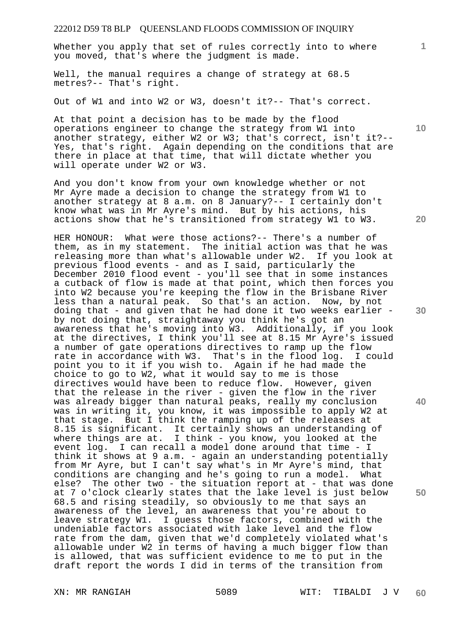Whether you apply that set of rules correctly into to where you moved, that's where the judgment is made.

Well, the manual requires a change of strategy at 68.5 metres?-- That's right.

Out of W1 and into W2 or W3, doesn't it?-- That's correct.

At that point a decision has to be made by the flood operations engineer to change the strategy from W1 into another strategy, either W2 or W3; that's correct, isn't it?-- Yes, that's right. Again depending on the conditions that are there in place at that time, that will dictate whether you will operate under W2 or W3.

And you don't know from your own knowledge whether or not Mr Ayre made a decision to change the strategy from W1 to another strategy at 8 a.m. on 8 January?-- I certainly don't know what was in Mr Ayre's mind. But by his actions, his actions show that he's transitioned from strategy W1 to W3.

HER HONOUR: What were those actions?-- There's a number of them, as in my statement. The initial action was that he was releasing more than what's allowable under W2. If you look at previous flood events - and as I said, particularly the December 2010 flood event - you'll see that in some instances a cutback of flow is made at that point, which then forces you into W2 because you're keeping the flow in the Brisbane River less than a natural peak. So that's an action. Now, by not doing that - and given that he had done it two weeks earlier by not doing that, straightaway you think he's got an awareness that he's moving into W3. Additionally, if you look at the directives, I think you'll see at 8.15 Mr Ayre's issued a number of gate operations directives to ramp up the flow rate in accordance with W3. That's in the flood log. I could point you to it if you wish to. Again if he had made the choice to go to W2, what it would say to me is those directives would have been to reduce flow. However, given that the release in the river - given the flow in the river was already bigger than natural peaks, really my conclusion was in writing it, you know, it was impossible to apply W2 at that stage. But I think the ramping up of the releases at 8.15 is significant. It certainly shows an understanding of where things are at. I think - you know, you looked at the event log. I can recall a model done around that time - I think it shows at 9 a.m. - again an understanding potentially from Mr Ayre, but I can't say what's in Mr Ayre's mind, that conditions are changing and he's going to run a model. What else? The other two - the situation report at - that was done at 7 o'clock clearly states that the lake level is just below 68.5 and rising steadily, so obviously to me that says an awareness of the level, an awareness that you're about to leave strategy W1. I guess those factors, combined with the undeniable factors associated with lake level and the flow rate from the dam, given that we'd completely violated what's allowable under W2 in terms of having a much bigger flow than is allowed, that was sufficient evidence to me to put in the draft report the words I did in terms of the transition from

**30** 

**20** 

**40** 

**50** 

**10**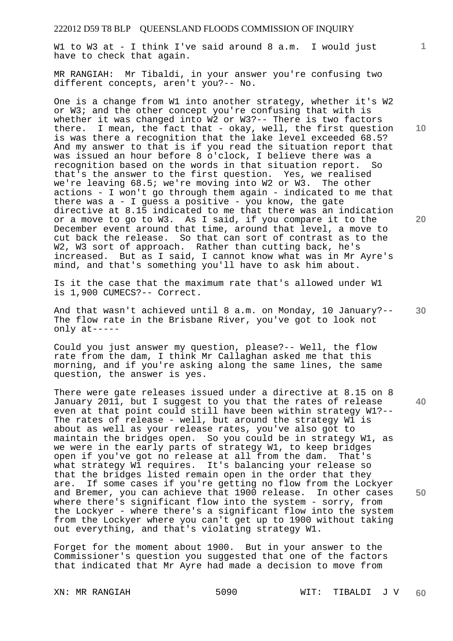W1 to W3 at - I think I've said around 8 a.m. I would just have to check that again.

MR RANGIAH: Mr Tibaldi, in your answer you're confusing two different concepts, aren't you?-- No.

One is a change from W1 into another strategy, whether it's W2 or W3; and the other concept you're confusing that with is whether it was changed into W2 or W3?-- There is two factors there. I mean, the fact that - okay, well, the first question is was there a recognition that the lake level exceeded 68.5? And my answer to that is if you read the situation report that was issued an hour before 8 o'clock, I believe there was a recognition based on the words in that situation report. So that's the answer to the first question. Yes, we realised we're leaving 68.5; we're moving into W2 or W3. The other actions - I won't go through them again - indicated to me that there was  $a - I$  guess a positive - you know, the gate directive at 8.15 indicated to me that there was an indication or a move to go to W3. As I said, if you compare it to the December event around that time, around that level, a move to cut back the release. So that can sort of contrast as to the W2, W3 sort of approach. Rather than cutting back, he's increased. But as I said, I cannot know what was in Mr Ayre's mind, and that's something you'll have to ask him about.

Is it the case that the maximum rate that's allowed under W1 is 1,900 CUMECS?-- Correct.

And that wasn't achieved until 8 a.m. on Monday, 10 January?-- The flow rate in the Brisbane River, you've got to look not only at-----

Could you just answer my question, please?-- Well, the flow rate from the dam, I think Mr Callaghan asked me that this morning, and if you're asking along the same lines, the same question, the answer is yes.

There were gate releases issued under a directive at 8.15 on 8 January 2011, but I suggest to you that the rates of release even at that point could still have been within strategy W1?-- The rates of release - well, but around the strategy W1 is about as well as your release rates, you've also got to maintain the bridges open. So you could be in strategy W1, as we were in the early parts of strategy W1, to keep bridges open if you've got no release at all from the dam. That's what strategy Wl requires. It's balancing your release so that the bridges listed remain open in the order that they are. If some cases if you're getting no flow from the Lockyer and Bremer, you can achieve that 1900 release. In other cases where there's significant flow into the system - sorry, from the Lockyer - where there's a significant flow into the system from the Lockyer where you can't get up to 1900 without taking out everything, and that's violating strategy W1.

Forget for the moment about 1900. But in your answer to the Commissioner's question you suggested that one of the factors that indicated that Mr Ayre had made a decision to move from

XN: MR RANGIAH 5090 WIT: TIBALDI J V **60** 

**10** 

**1**

**20** 

**40**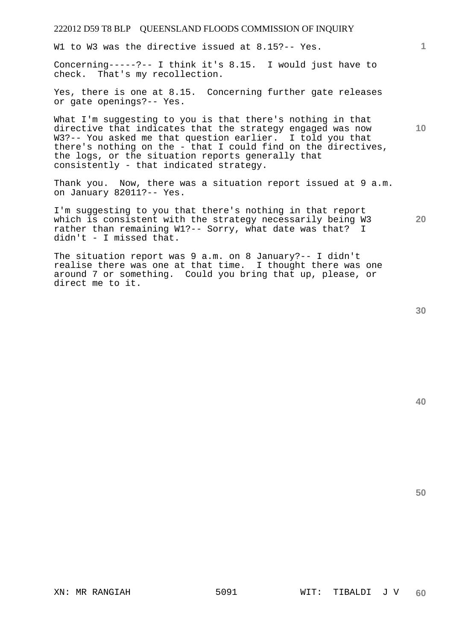W1 to W3 was the directive issued at 8.15?-- Yes.

Concerning-----?-- I think it's 8.15. I would just have to check. That's my recollection.

Yes, there is one at 8.15. Concerning further gate releases or gate openings?-- Yes.

What I'm suggesting to you is that there's nothing in that directive that indicates that the strategy engaged was now W3?-- You asked me that question earlier. I told you that there's nothing on the - that I could find on the directives, the logs, or the situation reports generally that consistently - that indicated strategy.

Thank you. Now, there was a situation report issued at 9 a.m. on January 82011?-- Yes.

I'm suggesting to you that there's nothing in that report which is consistent with the strategy necessarily being W3 rather than remaining W1?-- Sorry, what date was that? I didn't - I missed that.

The situation report was 9 a.m. on 8 January?-- I didn't realise there was one at that time. I thought there was one around 7 or something. Could you bring that up, please, or direct me to it.

**20** 

**10** 

**1**

**40**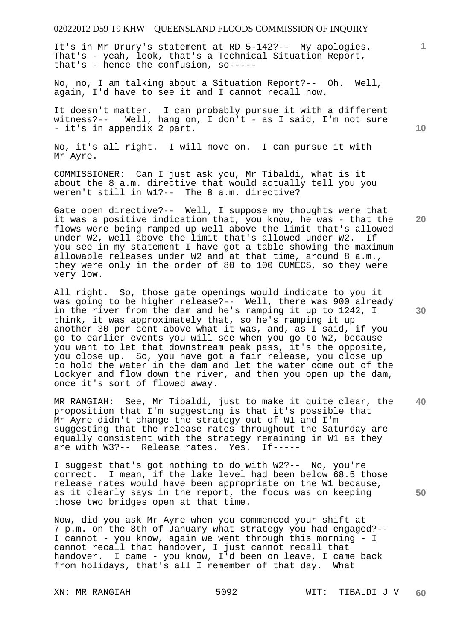It's in Mr Drury's statement at RD 5-142?-- My apologies. That's - yeah, look, that's a Technical Situation Report, that's - hence the confusion, so-----

No, no, I am talking about a Situation Report?-- Oh. Well, again, I'd have to see it and I cannot recall now.

It doesn't matter. I can probably pursue it with a different witness?-- Well, hang on, I don't - as I said, I'm not sure - it's in appendix 2 part.

No, it's all right. I will move on. I can pursue it with Mr Ayre.

COMMISSIONER: Can I just ask you, Mr Tibaldi, what is it about the 8 a.m. directive that would actually tell you you weren't still in W1?-- The 8 a.m. directive?

Gate open directive?-- Well, I suppose my thoughts were that it was a positive indication that, you know, he was - that the flows were being ramped up well above the limit that's allowed under W2. If under W2, well above the limit that's allowed under W2. you see in my statement I have got a table showing the maximum allowable releases under W2 and at that time, around 8 a.m., they were only in the order of 80 to 100 CUMECS, so they were very low.

All right. So, those gate openings would indicate to you it was going to be higher release?-- Well, there was 900 already in the river from the dam and he's ramping it up to 1242, I think, it was approximately that, so he's ramping it up another 30 per cent above what it was, and, as I said, if you go to earlier events you will see when you go to W2, because you want to let that downstream peak pass, it's the opposite, you close up. So, you have got a fair release, you close up to hold the water in the dam and let the water come out of the Lockyer and flow down the river, and then you open up the dam, once it's sort of flowed away.

**40**  MR RANGIAH: See, Mr Tibaldi, just to make it quite clear, the proposition that I'm suggesting is that it's possible that Mr Ayre didn't change the strategy out of W1 and I'm suggesting that the release rates throughout the Saturday are equally consistent with the strategy remaining in W1 as they are with W3?-- Release rates. Yes. If-----

I suggest that's got nothing to do with W2?-- No, you're correct. I mean, if the lake level had been below 68.5 those release rates would have been appropriate on the W1 because, as it clearly says in the report, the focus was on keeping those two bridges open at that time.

Now, did you ask Mr Ayre when you commenced your shift at 7 p.m. on the 8th of January what strategy you had engaged?-- I cannot - you know, again we went through this morning - I cannot recall that handover, I just cannot recall that handover. I came - you know, I'd been on leave, I came back from holidays, that's all I remember of that day. What

**10** 

**1**

**20** 

**30**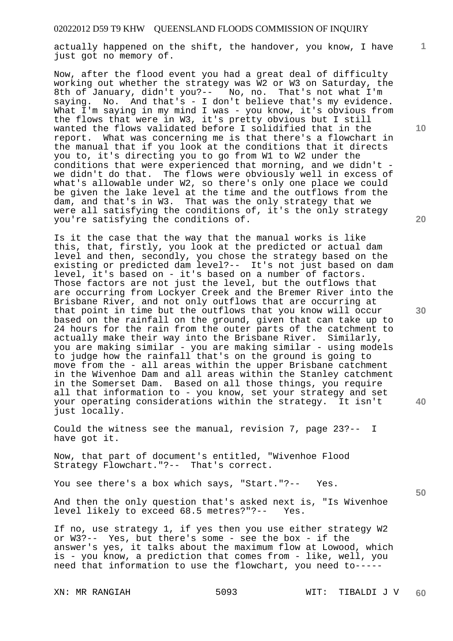actually happened on the shift, the handover, you know, I have just got no memory of.

Now, after the flood event you had a great deal of difficulty working out whether the strategy was W2 or W3 on Saturday, the 8th of January, didn't you?-- No, no. That's not what I'm saying. No. And that's - I don't believe that's my evidence. What I'm saying in my mind I was - you know, it's obvious from the flows that were in W3, it's pretty obvious but I still wanted the flows validated before I solidified that in the report. What was concerning me is that there's a flowchart in the manual that if you look at the conditions that it directs you to, it's directing you to go from W1 to W2 under the conditions that were experienced that morning, and we didn't we didn't do that. The flows were obviously well in excess of what's allowable under W2, so there's only one place we could be given the lake level at the time and the outflows from the dam, and that's in W3. That was the only strategy that we were all satisfying the conditions of, it's the only strategy you're satisfying the conditions of.

Is it the case that the way that the manual works is like this, that, firstly, you look at the predicted or actual dam level and then, secondly, you chose the strategy based on the existing or predicted dam level?-- It's not just based on dam level, it's based on - it's based on a number of factors. Those factors are not just the level, but the outflows that are occurring from Lockyer Creek and the Bremer River into the Brisbane River, and not only outflows that are occurring at that point in time but the outflows that you know will occur based on the rainfall on the ground, given that can take up to 24 hours for the rain from the outer parts of the catchment to actually make their way into the Brisbane River. Similarly, you are making similar - you are making similar - using models to judge how the rainfall that's on the ground is going to move from the - all areas within the upper Brisbane catchment in the Wivenhoe Dam and all areas within the Stanley catchment in the Somerset Dam. Based on all those things, you require all that information to - you know, set your strategy and set your operating considerations within the strategy. It isn't just locally.

Could the witness see the manual, revision 7, page 23?-- I have got it.

Now, that part of document's entitled, "Wivenhoe Flood Strategy Flowchart."?-- That's correct.

You see there's a box which says, "Start."?-- Yes.

And then the only question that's asked next is, "Is Wivenhoe level likely to exceed 68.5 metres?"?-- Yes. level likely to exceed 68.5 metres?"?--

If no, use strategy 1, if yes then you use either strategy W2 or W3?-- Yes, but there's some - see the box - if the answer's yes, it talks about the maximum flow at Lowood, which is - you know, a prediction that comes from - like, well, you need that information to use the flowchart, you need to-----

**10** 

**1**

**20** 

**30** 

**40**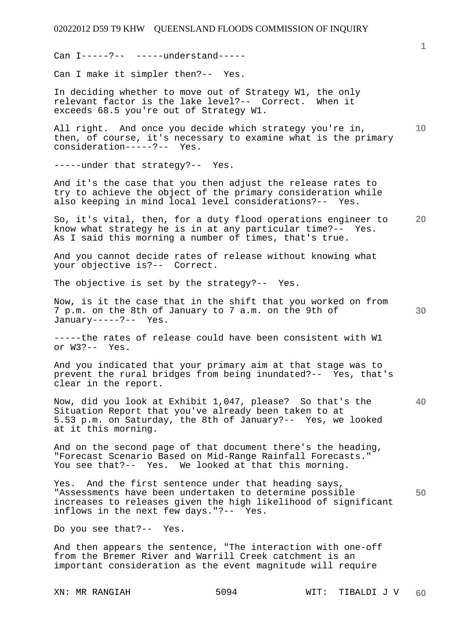Can I-----?-- -----understand-----

Can I make it simpler then?-- Yes.

In deciding whether to move out of Strategy W1, the only relevant factor is the lake level?-- Correct. When it exceeds 68.5 you're out of Strategy W1.

All right. And once you decide which strategy you're in, then, of course, it's necessary to examine what is the primary consideration-----?-- Yes.

-----under that strategy?-- Yes.

And it's the case that you then adjust the release rates to try to achieve the object of the primary consideration while also keeping in mind local level considerations?-- Yes.

**20**  So, it's vital, then, for a duty flood operations engineer to know what strategy he is in at any particular time?-- Yes. As I said this morning a number of times, that's true.

And you cannot decide rates of release without knowing what your objective is?-- Correct.

The objective is set by the strategy?-- Yes.

Now, is it the case that in the shift that you worked on from 7 p.m. on the 8th of January to 7 a.m. on the 9th of January-----?-- Yes.

-----the rates of release could have been consistent with W1 or W3?-- Yes.

And you indicated that your primary aim at that stage was to prevent the rural bridges from being inundated?-- Yes, that's clear in the report.

Now, did you look at Exhibit 1,047, please? So that's the Situation Report that you've already been taken to at 5.53 p.m. on Saturday, the 8th of January?-- Yes, we looked at it this morning.

And on the second page of that document there's the heading, "Forecast Scenario Based on Mid-Range Rainfall Forecasts." You see that?-- Yes. We looked at that this morning.

**50**  Yes. And the first sentence under that heading says, "Assessments have been undertaken to determine possible increases to releases given the high likelihood of significant inflows in the next few days."?-- Yes.

Do you see that?-- Yes.

And then appears the sentence, "The interaction with one-off from the Bremer River and Warrill Creek catchment is an important consideration as the event magnitude will require

**1**

**10** 

**30**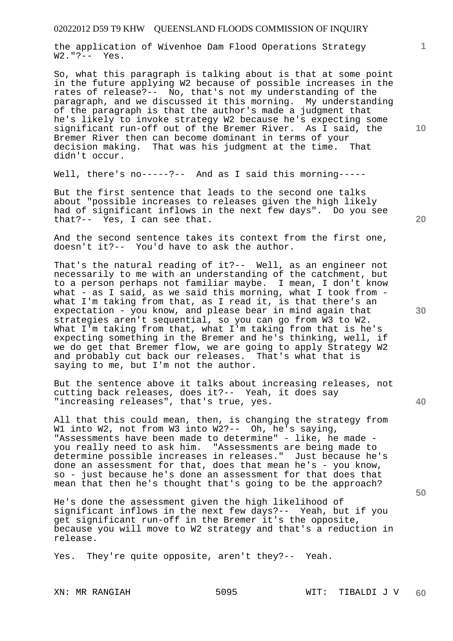the application of Wivenhoe Dam Flood Operations Strategy W2."?-- Yes.

So, what this paragraph is talking about is that at some point in the future applying W2 because of possible increases in the rates of release?-- No, that's not my understanding of the paragraph, and we discussed it this morning. My understanding of the paragraph is that the author's made a judgment that he's likely to invoke strategy W2 because he's expecting some significant run-off out of the Bremer River. As I said, the Bremer River then can become dominant in terms of your decision making. That was his judgment at the time. That didn't occur.

Well, there's no-----?-- And as I said this morning-----

But the first sentence that leads to the second one talks about "possible increases to releases given the high likely had of significant inflows in the next few days". Do you see that?-- Yes, I can see that.

And the second sentence takes its context from the first one, doesn't it?-- You'd have to ask the author.

That's the natural reading of it?-- Well, as an engineer not necessarily to me with an understanding of the catchment, but to a person perhaps not familiar maybe. I mean, I don't know what - as I said, as we said this morning, what I took from what I'm taking from that, as I read it, is that there's an expectation - you know, and please bear in mind again that strategies aren't sequential, so you can go from W3 to W2. What I'm taking from that, what I'm taking from that is he's expecting something in the Bremer and he's thinking, well, if we do get that Bremer flow, we are going to apply Strategy W2 and probably cut back our releases. That's what that is saying to me, but I'm not the author.

But the sentence above it talks about increasing releases, not cutting back releases, does it?-- Yeah, it does say "increasing releases", that's true, yes.

All that this could mean, then, is changing the strategy from W1 into W2, not from W3 into W2?-- Oh, he's saying, "Assessments have been made to determine" - like, he made you really need to ask him. "Assessments are being made to determine possible increases in releases." Just because he's done an assessment for that, does that mean he's - you know, so - just because he's done an assessment for that does that mean that then he's thought that's going to be the approach?

He's done the assessment given the high likelihood of significant inflows in the next few days?-- Yeah, but if you get significant run-off in the Bremer it's the opposite, because you will move to W2 strategy and that's a reduction in release.

Yes. They're quite opposite, aren't they?-- Yeah.

**10** 

**1**

**20** 

**30**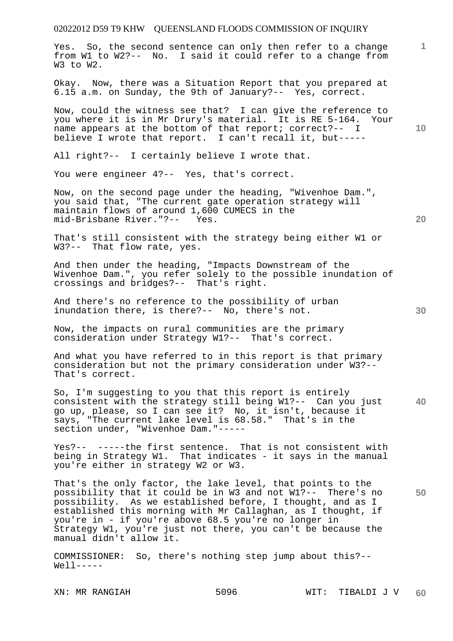**1 10 20 30 40**  Yes. So, the second sentence can only then refer to a change from W1 to W2?-- No. I said it could refer to a change from W3 to W2. Okay. Now, there was a Situation Report that you prepared at 6.15 a.m. on Sunday, the 9th of January?-- Yes, correct. Now, could the witness see that? I can give the reference to you where it is in Mr Drury's material. It is RE 5-164. Your name appears at the bottom of that report; correct?-- I believe I wrote that report. I can't recall it, but----- All right?-- I certainly believe I wrote that. You were engineer 4?-- Yes, that's correct. Now, on the second page under the heading, "Wivenhoe Dam.", you said that, "The current gate operation strategy will maintain flows of around 1,600 CUMECS in the<br>mid-Brisbane River."?-- Yes. mid-Brisbane River."?--That's still consistent with the strategy being either W1 or W3?-- That flow rate, yes. And then under the heading, "Impacts Downstream of the Wivenhoe Dam.", you refer solely to the possible inundation of crossings and bridges?-- That's right. And there's no reference to the possibility of urban inundation there, is there?-- No, there's not. Now, the impacts on rural communities are the primary consideration under Strategy W1?-- That's correct. And what you have referred to in this report is that primary consideration but not the primary consideration under W3?-- That's correct. So, I'm suggesting to you that this report is entirely consistent with the strategy still being W1?-- Can you just go up, please, so I can see it? No, it isn't, because it

Yes?-- -----the first sentence. That is not consistent with being in Strategy W1. That indicates - it says in the manual you're either in strategy W2 or W3.

says, "The current lake level is 68.58." That's in the

section under, "Wivenhoe Dam."-----

**50**  That's the only factor, the lake level, that points to the possibility that it could be in W3 and not W1?-- There's no possibility. As we established before, I thought, and as I established this morning with Mr Callaghan, as I thought, if you're in - if you're above 68.5 you're no longer in Strategy W1, you're just not there, you can't be because the manual didn't allow it.

COMMISSIONER: So, there's nothing step jump about this?--  $Well1$ -----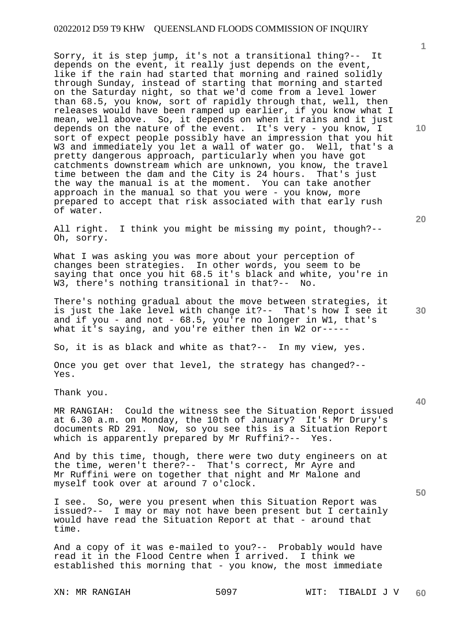Sorry, it is step jump, it's not a transitional thing?-- It depends on the event, it really just depends on the event, like if the rain had started that morning and rained solidly through Sunday, instead of starting that morning and started on the Saturday night, so that we'd come from a level lower than 68.5, you know, sort of rapidly through that, well, then releases would have been ramped up earlier, if you know what I mean, well above. So, it depends on when it rains and it just depends on the nature of the event. It's very - you know, I sort of expect people possibly have an impression that you hit W3 and immediately you let a wall of water go. Well, that's a pretty dangerous approach, particularly when you have got catchments downstream which are unknown, you know, the travel time between the dam and the City is 24 hours. That's just the way the manual is at the moment. You can take another approach in the manual so that you were - you know, more prepared to accept that risk associated with that early rush of water.

All right. I think you might be missing my point, though?-- Oh, sorry.

What I was asking you was more about your perception of changes been strategies. In other words, you seem to be saying that once you hit 68.5 it's black and white, you're in W3, there's nothing transitional in that?-- No.

There's nothing gradual about the move between strategies, it is just the lake level with change it?-- That's how I see it and if you - and not - 68.5, you're no longer in W1, that's what it's saying, and you're either then in W2 or-----

So, it is as black and white as that?-- In my view, yes.

Once you get over that level, the strategy has changed?-- Yes.

Thank you.

MR RANGIAH: Could the witness see the Situation Report issued at 6.30 a.m. on Monday, the 10th of January? It's Mr Drury's documents RD 291. Now, so you see this is a Situation Report which is apparently prepared by Mr Ruffini?-- Yes.

And by this time, though, there were two duty engineers on at the time, weren't there?-- That's correct, Mr Ayre and Mr Ruffini were on together that night and Mr Malone and myself took over at around 7 o'clock.

I see. So, were you present when this Situation Report was issued?-- I may or may not have been present but I certainly would have read the Situation Report at that - around that time.

And a copy of it was e-mailed to you?-- Probably would have read it in the Flood Centre when I arrived. I think we established this morning that - you know, the most immediate

**10** 

**1**

**40** 

**50**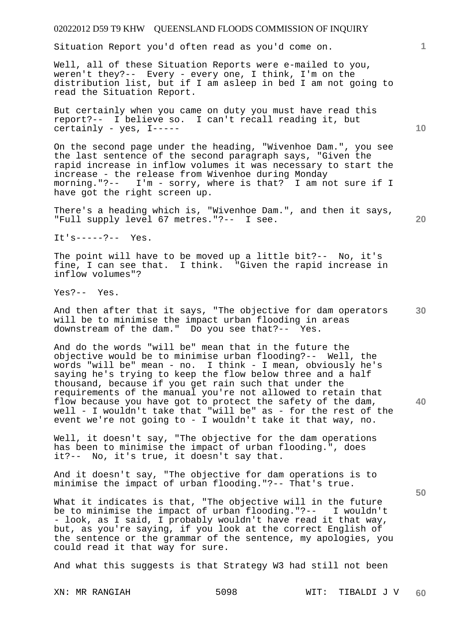Situation Report you'd often read as you'd come on.

Well, all of these Situation Reports were e-mailed to you, weren't they?-- Every - every one, I think, I'm on the distribution list, but if I am asleep in bed I am not going to read the Situation Report.

But certainly when you came on duty you must have read this report?-- I believe so. I can't recall reading it, but certainly - yes, I-----

On the second page under the heading, "Wivenhoe Dam.", you see the last sentence of the second paragraph says, "Given the rapid increase in inflow volumes it was necessary to start the increase - the release from Wivenhoe during Monday morning."?-- I'm - sorry, where is that? I am not sure if I have got the right screen up.

There's a heading which is, "Wivenhoe Dam.", and then it says, "Full supply level 67 metres."?-- I see.

It's-----?-- Yes.

The point will have to be moved up a little bit?-- No, it's fine, I can see that. I think. "Given the rapid increase in inflow volumes"?

Yes?-- Yes.

**30**  And then after that it says, "The objective for dam operators will be to minimise the impact urban flooding in areas downstream of the dam." Do you see that?-- Yes.

And do the words "will be" mean that in the future the objective would be to minimise urban flooding?-- Well, the words "will be" mean - no. I think - I mean, obviously he's saying he's trying to keep the flow below three and a half thousand, because if you get rain such that under the requirements of the manual you're not allowed to retain that flow because you have got to protect the safety of the dam, well - I wouldn't take that "will be" as - for the rest of the event we're not going to - I wouldn't take it that way, no.

Well, it doesn't say, "The objective for the dam operations has been to minimise the impact of urban flooding.", does it?-- No, it's true, it doesn't say that.

And it doesn't say, "The objective for dam operations is to minimise the impact of urban flooding."?-- That's true.

What it indicates is that, "The objective will in the future be to minimise the impact of urban flooding."?-- I wouldn't - look, as I said, I probably wouldn't have read it that way, but, as you're saying, if you look at the correct English of the sentence or the grammar of the sentence, my apologies, you could read it that way for sure.

And what this suggests is that Strategy W3 had still not been

**10** 

**1**

**20** 

**40**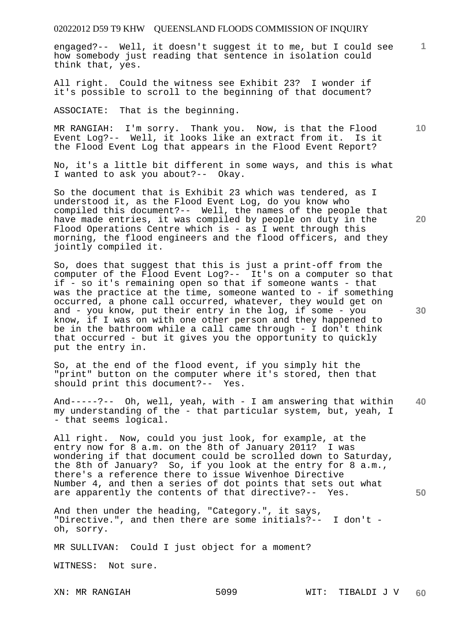engaged?-- Well, it doesn't suggest it to me, but I could see how somebody just reading that sentence in isolation could think that, yes.

All right. Could the witness see Exhibit 23? I wonder if it's possible to scroll to the beginning of that document?

ASSOCIATE: That is the beginning.

MR RANGIAH: I'm sorry. Thank you. Now, is that the Flood Event Log?-- Well, it looks like an extract from it. Is it the Flood Event Log that appears in the Flood Event Report?

No, it's a little bit different in some ways, and this is what I wanted to ask you about?-- Okay.

So the document that is Exhibit 23 which was tendered, as I understood it, as the Flood Event Log, do you know who compiled this document?-- Well, the names of the people that have made entries, it was compiled by people on duty in the Flood Operations Centre which is - as I went through this morning, the flood engineers and the flood officers, and they jointly compiled it.

So, does that suggest that this is just a print-off from the computer of the Flood Event Log?-- It's on a computer so that if - so it's remaining open so that if someone wants - that was the practice at the time, someone wanted to - if something occurred, a phone call occurred, whatever, they would get on and - you know, put their entry in the log, if some - you know, if I was on with one other person and they happened to be in the bathroom while a call came through - I don't think that occurred - but it gives you the opportunity to quickly put the entry in.

So, at the end of the flood event, if you simply hit the "print" button on the computer where it's stored, then that should print this document?-- Yes.

**40**  And-----?-- Oh, well, yeah, with - I am answering that within my understanding of the - that particular system, but, yeah, I - that seems logical.

All right. Now, could you just look, for example, at the entry now for 8 a.m. on the 8th of January 2011? I was wondering if that document could be scrolled down to Saturday, the 8th of January? So, if you look at the entry for 8 a.m., there's a reference there to issue Wivenhoe Directive Number 4, and then a series of dot points that sets out what are apparently the contents of that directive?-- Yes.

And then under the heading, "Category.", it says, "Directive.", and then there are some initials?-- I don't oh, sorry.

MR SULLIVAN: Could I just object for a moment?

WITNESS: Not sure.

**20** 

**50** 

**10**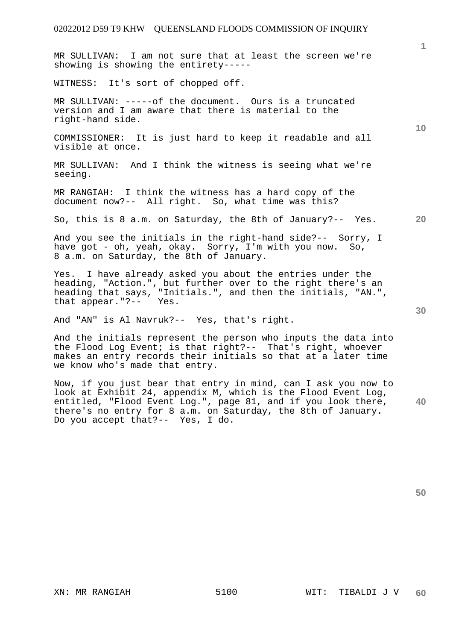MR SULLIVAN: I am not sure that at least the screen we're showing is showing the entirety-----

WITNESS: It's sort of chopped off.

MR SULLIVAN: -----of the document. Ours is a truncated version and I am aware that there is material to the right-hand side.

COMMISSIONER: It is just hard to keep it readable and all visible at once.

MR SULLIVAN: And I think the witness is seeing what we're seeing.

MR RANGIAH: I think the witness has a hard copy of the document now?-- All right. So, what time was this?

So, this is 8 a.m. on Saturday, the 8th of January?-- Yes.

And you see the initials in the right-hand side?-- Sorry, I have got - oh, yeah, okay. Sorry, I'm with you now. So, 8 a.m. on Saturday, the 8th of January.

Yes. I have already asked you about the entries under the heading, "Action.", but further over to the right there's an heading that says, "Initials.", and then the initials, "AN.", that appear."?-- Yes.

And "AN" is Al Navruk?-- Yes, that's right.

And the initials represent the person who inputs the data into the Flood Log Event; is that right?-- That's right, whoever makes an entry records their initials so that at a later time we know who's made that entry.

**40**  Now, if you just bear that entry in mind, can I ask you now to look at Exhibit 24, appendix M, which is the Flood Event Log, entitled, "Flood Event Log.", page 81, and if you look there, there's no entry for 8 a.m. on Saturday, the 8th of January. Do you accept that?-- Yes, I do.

**50** 

**10** 

**1**

**30**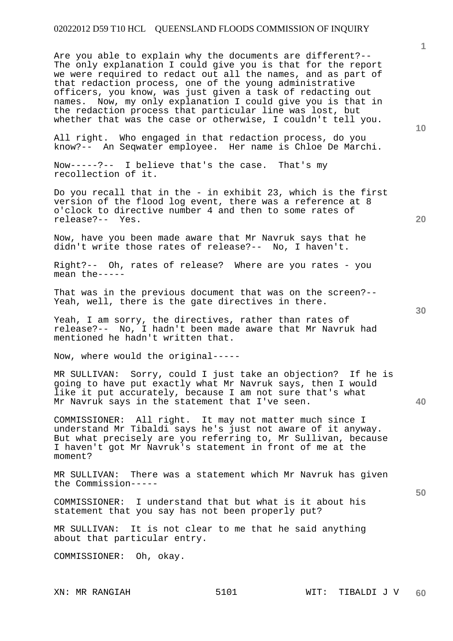Are you able to explain why the documents are different?-- The only explanation I could give you is that for the report we were required to redact out all the names, and as part of that redaction process, one of the young administrative officers, you know, was just given a task of redacting out names. Now, my only explanation I could give you is that in the redaction process that particular line was lost, but whether that was the case or otherwise, I couldn't tell you.

All right. Who engaged in that redaction process, do you know?-- An Seqwater employee. Her name is Chloe De Marchi.

Now-----?-- I believe that's the case. That's my recollection of it.

Do you recall that in the - in exhibit 23, which is the first version of the flood log event, there was a reference at 8 o'clock to directive number 4 and then to some rates of release?-- Yes.

Now, have you been made aware that Mr Navruk says that he didn't write those rates of release?-- No, I haven't.

Right?-- Oh, rates of release? Where are you rates - you mean the-----

That was in the previous document that was on the screen?-- Yeah, well, there is the gate directives in there.

Yeah, I am sorry, the directives, rather than rates of release?-- No, I hadn't been made aware that Mr Navruk had mentioned he hadn't written that.

Now, where would the original-----

MR SULLIVAN: Sorry, could I just take an objection? If he is going to have put exactly what Mr Navruk says, then I would like it put accurately, because I am not sure that's what Mr Navruk says in the statement that I've seen.

COMMISSIONER: All right. It may not matter much since I understand Mr Tibaldi says he's just not aware of it anyway. But what precisely are you referring to, Mr Sullivan, because I haven't got Mr Navruk's statement in front of me at the moment?

MR SULLIVAN: There was a statement which Mr Navruk has given the Commission-----

COMMISSIONER: I understand that but what is it about his statement that you say has not been properly put?

MR SULLIVAN: It is not clear to me that he said anything about that particular entry.

COMMISSIONER: Oh, okay.

**10** 

**1**

**40**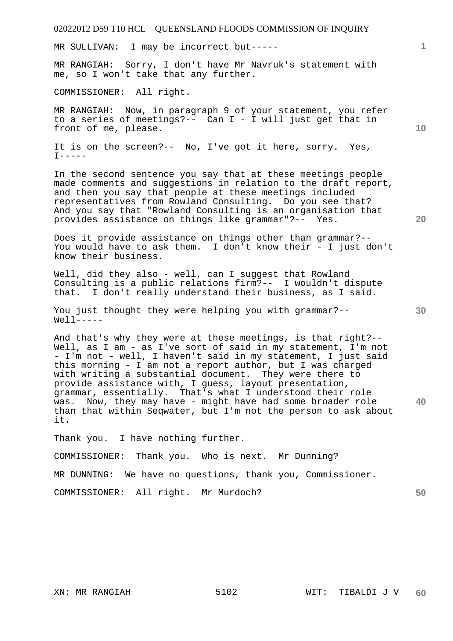| 02022012 D59 T10 HCL QUEENSLAND FLOODS COMMISSION OF INQUIRY                                                                                                                                                                                                                                                                                                                                                                                                                                                                                                                          |                 |
|---------------------------------------------------------------------------------------------------------------------------------------------------------------------------------------------------------------------------------------------------------------------------------------------------------------------------------------------------------------------------------------------------------------------------------------------------------------------------------------------------------------------------------------------------------------------------------------|-----------------|
| MR SULLIVAN: I may be incorrect but-----                                                                                                                                                                                                                                                                                                                                                                                                                                                                                                                                              | $\mathbf{1}$    |
| MR RANGIAH: Sorry, I don't have Mr Navruk's statement with<br>me, so I won't take that any further.                                                                                                                                                                                                                                                                                                                                                                                                                                                                                   |                 |
| COMMISSIONER: All right.                                                                                                                                                                                                                                                                                                                                                                                                                                                                                                                                                              |                 |
| MR RANGIAH: Now, in paragraph 9 of your statement, you refer<br>to a series of meetings?-- Can I - I will just get that in<br>front of me, please.                                                                                                                                                                                                                                                                                                                                                                                                                                    | 10 <sup>°</sup> |
| It is on the screen?-- No, I've got it here, sorry. Yes,<br>$I$ -----                                                                                                                                                                                                                                                                                                                                                                                                                                                                                                                 |                 |
| In the second sentence you say that at these meetings people<br>made comments and suggestions in relation to the draft report,<br>and then you say that people at these meetings included<br>representatives from Rowland Consulting. Do you see that?<br>And you say that "Rowland Consulting is an organisation that<br>provides assistance on things like grammar"?-- Yes.                                                                                                                                                                                                         | 20              |
| Does it provide assistance on things other than grammar?--<br>You would have to ask them. I don't know their - I just don't<br>know their business.                                                                                                                                                                                                                                                                                                                                                                                                                                   |                 |
| Well, did they also - well, can I suggest that Rowland<br>Consulting is a public relations firm?-- I wouldn't dispute<br>that. I don't really understand their business, as I said.                                                                                                                                                                                                                                                                                                                                                                                                   |                 |
| You just thought they were helping you with grammar?--<br>$Well-----$                                                                                                                                                                                                                                                                                                                                                                                                                                                                                                                 | 30              |
| And that's why they were at these meetings, is that right?--<br>Well, as I am - as I've sort of said in my statement, I'm not<br>- I'm not - well, I haven't said in my statement, I just said<br>this morning - I am not a report author, but I was charged<br>with writing a substantial document. They were there to<br>provide assistance with, I quess, layout presentation,<br>grammar, essentially. That's what I understood their role<br>was. Now, they may have - might have had some broader role<br>than that within Seqwater, but I'm not the person to ask about<br>it. | 40              |
| Thank you. I have nothing further.                                                                                                                                                                                                                                                                                                                                                                                                                                                                                                                                                    |                 |
| COMMISSIONER:<br>Thank you. Who is next. Mr Dunning?                                                                                                                                                                                                                                                                                                                                                                                                                                                                                                                                  |                 |
| MR DUNNING: We have no questions, thank you, Commissioner.                                                                                                                                                                                                                                                                                                                                                                                                                                                                                                                            |                 |
| COMMISSIONER: All right. Mr Murdoch?                                                                                                                                                                                                                                                                                                                                                                                                                                                                                                                                                  | 50              |
|                                                                                                                                                                                                                                                                                                                                                                                                                                                                                                                                                                                       |                 |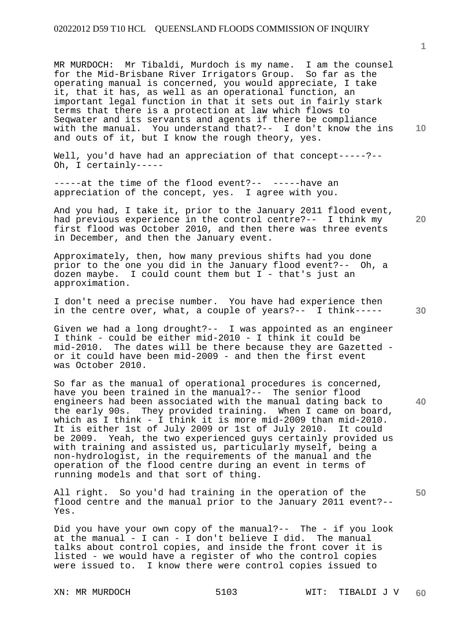MR MURDOCH: Mr Tibaldi, Murdoch is my name. I am the counsel for the Mid-Brisbane River Irrigators Group. So far as the operating manual is concerned, you would appreciate, I take it, that it has, as well as an operational function, an important legal function in that it sets out in fairly stark terms that there is a protection at law which flows to Seqwater and its servants and agents if there be compliance with the manual. You understand that?-- I don't know the ins and outs of it, but I know the rough theory, yes.

Well, you'd have had an appreciation of that concept-----?--Oh, I certainly-----

-----at the time of the flood event?-- -----have an appreciation of the concept, yes. I agree with you.

And you had, I take it, prior to the January 2011 flood event, had previous experience in the control centre?-- I think my first flood was October 2010, and then there was three events in December, and then the January event.

Approximately, then, how many previous shifts had you done prior to the one you did in the January flood event?-- Oh, a dozen maybe. I could count them but I - that's just an approximation.

I don't need a precise number. You have had experience then in the centre over, what, a couple of years?-- I think-----

Given we had a long drought?-- I was appointed as an engineer I think - could be either mid-2010 - I think it could be mid-2010. The dates will be there because they are Gazetted or it could have been mid-2009 - and then the first event was October 2010.

So far as the manual of operational procedures is concerned, have you been trained in the manual?-- The senior flood engineers had been associated with the manual dating back to the early 90s. They provided training. When I came on board, which as I think - I think it is more mid-2009 than mid-2010. It is either 1st of July 2009 or 1st of July 2010. It could be 2009. Yeah, the two experienced guys certainly provided us with training and assisted us, particularly myself, being a non-hydrologist, in the requirements of the manual and the operation of the flood centre during an event in terms of running models and that sort of thing.

All right. So you'd had training in the operation of the flood centre and the manual prior to the January 2011 event?-- Yes.

Did you have your own copy of the manual?-- The - if you look at the manual - I can - I don't believe I did. The manual talks about control copies, and inside the front cover it is listed - we would have a register of who the control copies were issued to. I know there were control copies issued to

**1**

**10** 

**20** 

**30** 

**40**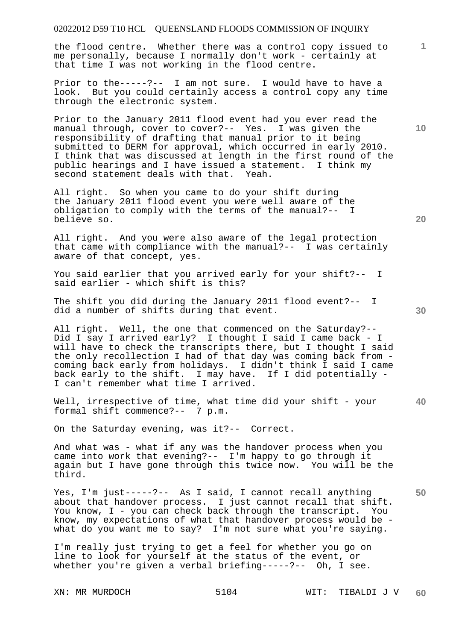the flood centre. Whether there was a control copy issued to me personally, because I normally don't work - certainly at that time I was not working in the flood centre.

Prior to the-----?-- I am not sure. I would have to have a look. But you could certainly access a control copy any time through the electronic system.

Prior to the January 2011 flood event had you ever read the manual through, cover to cover?-- Yes. I was given the responsibility of drafting that manual prior to it being submitted to DERM for approval, which occurred in early 2010. I think that was discussed at length in the first round of the public hearings and I have issued a statement. I think my second statement deals with that. Yeah.

All right. So when you came to do your shift during the January 2011 flood event you were well aware of the obligation to comply with the terms of the manual?-- I believe so.

All right. And you were also aware of the legal protection that came with compliance with the manual?-- I was certainly aware of that concept, yes.

You said earlier that you arrived early for your shift?-- I said earlier - which shift is this?

The shift you did during the January 2011 flood event?-- I did a number of shifts during that event.

All right. Well, the one that commenced on the Saturday?-- Did I say I arrived early? I thought I said I came back - I will have to check the transcripts there, but I thought I said the only recollection I had of that day was coming back from coming back early from holidays. I didn't think I said I came back early to the shift. I may have. If I did potentially - I can't remember what time I arrived.

Well, irrespective of time, what time did your shift - your formal shift commence?-- 7 p.m.

On the Saturday evening, was it?-- Correct.

And what was - what if any was the handover process when you came into work that evening?-- I'm happy to go through it again but I have gone through this twice now. You will be the third.

Yes, I'm just-----?-- As I said, I cannot recall anything about that handover process. I just cannot recall that shift. You know, I - you can check back through the transcript. You know, my expectations of what that handover process would be what do you want me to say? I'm not sure what you're saying.

I'm really just trying to get a feel for whether you go on line to look for yourself at the status of the event, or whether you're given a verbal briefing-----?-- Oh, I see.

**20** 

**40** 

**50** 

**10**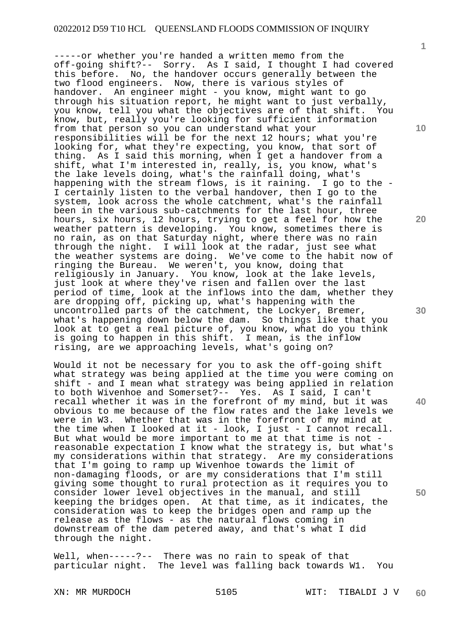-----or whether you're handed a written memo from the off-going shift?-- Sorry. As I said, I thought I had covered this before. No, the handover occurs generally between the two flood engineers. Now, there is various styles of handover. An engineer might - you know, might want to go through his situation report, he might want to just verbally, you know, tell you what the objectives are of that shift. You know, but, really you're looking for sufficient information from that person so you can understand what your responsibilities will be for the next 12 hours; what you're looking for, what they're expecting, you know, that sort of thing. As I said this morning, when I get a handover from a shift, what I'm interested in, really, is, you know, what's the lake levels doing, what's the rainfall doing, what's happening with the stream flows, is it raining. I go to the - I certainly listen to the verbal handover, then I go to the system, look across the whole catchment, what's the rainfall been in the various sub-catchments for the last hour, three hours, six hours, 12 hours, trying to get a feel for how the weather pattern is developing. You know, sometimes there is no rain, as on that Saturday night, where there was no rain through the night. I will look at the radar, just see what the weather systems are doing. We've come to the habit now of ringing the Bureau. We weren't, you know, doing that religiously in January. You know, look at the lake levels, just look at where they've risen and fallen over the last period of time, look at the inflows into the dam, whether they are dropping off, picking up, what's happening with the uncontrolled parts of the catchment, the Lockyer, Bremer, what's happening down below the dam. So things like that you look at to get a real picture of, you know, what do you think is going to happen in this shift. I mean, is the inflow rising, are we approaching levels, what's going on?

Would it not be necessary for you to ask the off-going shift what strategy was being applied at the time you were coming on shift - and I mean what strategy was being applied in relation to both Wivenhoe and Somerset?-- Yes. As I said, I can't recall whether it was in the forefront of my mind, but it was obvious to me because of the flow rates and the lake levels we<br>were in W3. Whether that was in the forefront of my mind at Whether that was in the forefront of my mind at the time when I looked at it - look, I just - I cannot recall. But what would be more important to me at that time is not reasonable expectation I know what the strategy is, but what's my considerations within that strategy. Are my considerations that I'm going to ramp up Wivenhoe towards the limit of non-damaging floods, or are my considerations that I'm still giving some thought to rural protection as it requires you to consider lower level objectives in the manual, and still keeping the bridges open. At that time, as it indicates, the consideration was to keep the bridges open and ramp up the release as the flows - as the natural flows coming in downstream of the dam petered away, and that's what I did through the night.

Well, when-----?-- There was no rain to speak of that particular night. The level was falling back towards W1. You

**10** 

**1**

**20** 

**30** 

**40**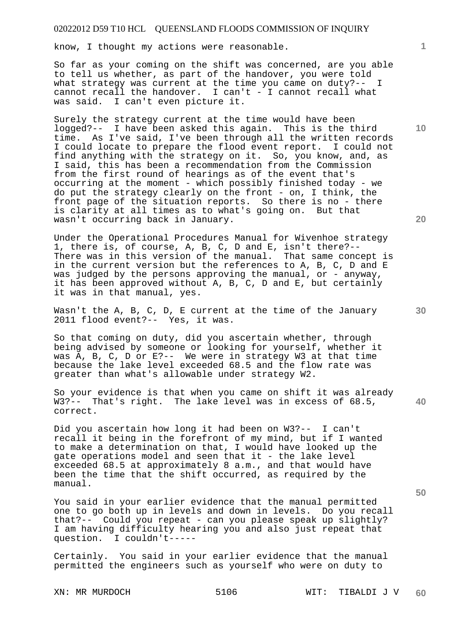know, I thought my actions were reasonable.

So far as your coming on the shift was concerned, are you able to tell us whether, as part of the handover, you were told what strategy was current at the time you came on duty?-- I cannot recall the handover. I can't - I cannot recall what was said. I can't even picture it.

Surely the strategy current at the time would have been logged?-- I have been asked this again. This is the third time. As I've said, I've been through all the written records I could locate to prepare the flood event report. I could not find anything with the strategy on it. So, you know, and, as I said, this has been a recommendation from the Commission from the first round of hearings as of the event that's occurring at the moment - which possibly finished today - we do put the strategy clearly on the front - on, I think, the front page of the situation reports. So there is no - there is clarity at all times as to what's going on. But that wasn't occurring back in January.

Under the Operational Procedures Manual for Wivenhoe strategy 1, there is, of course, A, B, C, D and E, isn't there?-- There was in this version of the manual. That same concept is in the current version but the references to A, B, C, D and E was judged by the persons approving the manual, or - anyway, it has been approved without A, B, C, D and E, but certainly it was in that manual, yes.

Wasn't the A, B, C, D, E current at the time of the January 2011 flood event?-- Yes, it was.

So that coming on duty, did you ascertain whether, through being advised by someone or looking for yourself, whether it was A, B, C, D or E?-- We were in strategy W3 at that time because the lake level exceeded 68.5 and the flow rate was greater than what's allowable under strategy W2.

**40**  So your evidence is that when you came on shift it was already W3?-- That's right. The lake level was in excess of 68.5, correct.

Did you ascertain how long it had been on W3?-- I can't recall it being in the forefront of my mind, but if I wanted to make a determination on that, I would have looked up the gate operations model and seen that it - the lake level exceeded 68.5 at approximately 8 a.m., and that would have been the time that the shift occurred, as required by the manual.

You said in your earlier evidence that the manual permitted one to go both up in levels and down in levels. Do you recall that?-- Could you repeat - can you please speak up slightly? I am having difficulty hearing you and also just repeat that question. I couldn't-----

Certainly. You said in your earlier evidence that the manual permitted the engineers such as yourself who were on duty to

**20** 

**10** 

**50**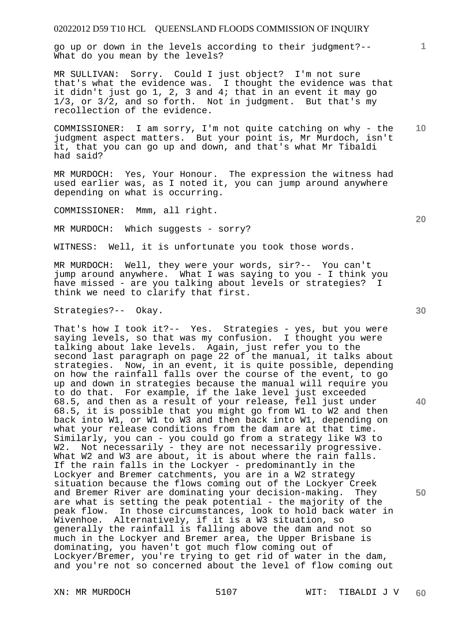go up or down in the levels according to their judgment?-- What do you mean by the levels?

MR SULLIVAN: Sorry. Could I just object? I'm not sure that's what the evidence was. I thought the evidence was that it didn't just go 1, 2, 3 and 4; that in an event it may go  $1/3$ , or  $3/\overline{2}$ , and so forth. Not in judgment. But that's my recollection of the evidence.

COMMISSIONER: I am sorry, I'm not quite catching on why - the judgment aspect matters. But your point is, Mr Murdoch, isn't it, that you can go up and down, and that's what Mr Tibaldi had said?

MR MURDOCH: Yes, Your Honour. The expression the witness had used earlier was, as I noted it, you can jump around anywhere depending on what is occurring.

COMMISSIONER: Mmm, all right.

MR MURDOCH: Which suggests - sorry?

WITNESS: Well, it is unfortunate you took those words.

MR MURDOCH: Well, they were your words, sir?-- You can't jump around anywhere. What I was saying to you - I think you have missed - are you talking about levels or strategies? I think we need to clarify that first.

Strategies?-- Okay.

That's how I took it?-- Yes. Strategies - yes, but you were saying levels, so that was my confusion. I thought you were talking about lake levels. Again, just refer you to the second last paragraph on page 22 of the manual, it talks about strategies. Now, in an event, it is quite possible, depending on how the rainfall falls over the course of the event, to go up and down in strategies because the manual will require you to do that. For example, if the lake level just exceeded 68.5, and then as a result of your release, fell just under 68.5, it is possible that you might go from W1 to W2 and then back into W1, or W1 to W3 and then back into W1, depending on what your release conditions from the dam are at that time. Similarly, you can - you could go from a strategy like W3 to W2. Not necessarily - they are not necessarily progressive. What W2 and W3 are about, it is about where the rain falls. If the rain falls in the Lockyer - predominantly in the Lockyer and Bremer catchments, you are in a W2 strategy situation because the flows coming out of the Lockyer Creek and Bremer River are dominating your decision-making. They are what is setting the peak potential - the majority of the peak flow. In those circumstances, look to hold back water in Wivenhoe. Alternatively, if it is a W3 situation, so generally the rainfall is falling above the dam and not so much in the Lockyer and Bremer area, the Upper Brisbane is dominating, you haven't got much flow coming out of Lockyer/Bremer, you're trying to get rid of water in the dam, and you're not so concerned about the level of flow coming out

**30** 

**20** 

**40** 

**50** 

**10**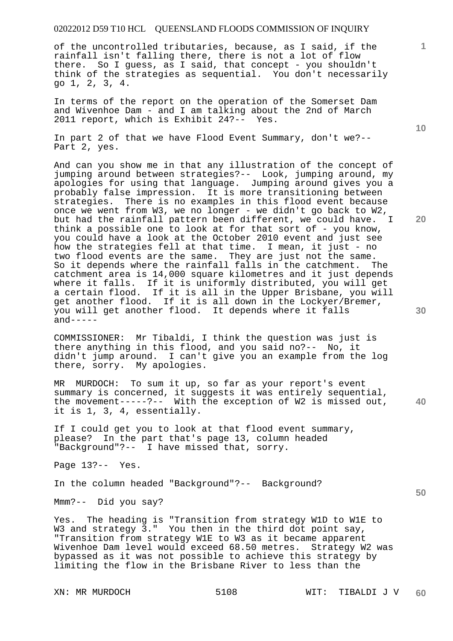of the uncontrolled tributaries, because, as I said, if the rainfall isn't falling there, there is not a lot of flow there. So I guess, as I said, that concept - you shouldn't think of the strategies as sequential. You don't necessarily go 1, 2, 3, 4.

In terms of the report on the operation of the Somerset Dam and Wivenhoe Dam - and I am talking about the 2nd of March 2011 report, which is Exhibit 24?-- Yes.

In part 2 of that we have Flood Event Summary, don't we?-- Part 2, yes.

And can you show me in that any illustration of the concept of jumping around between strategies?-- Look, jumping around, my apologies for using that language. Jumping around gives you a probably false impression. It is more transitioning between strategies. There is no examples in this flood event because once we went from W3, we no longer - we didn't go back to W2, but had the rainfall pattern been different, we could have. I think a possible one to look at for that sort of - you know, you could have a look at the October 2010 event and just see how the strategies fell at that time. I mean, it just - no two flood events are the same. They are just not the same. So it depends where the rainfall falls in the catchment. The catchment area is 14,000 square kilometres and it just depends where it falls. If it is uniformly distributed, you will get a certain flood. If it is all in the Upper Brisbane, you will get another flood. If it is all down in the Lockyer/Bremer, you will get another flood. It depends where it falls  $and----$ 

COMMISSIONER: Mr Tibaldi, I think the question was just is there anything in this flood, and you said no?-- No, it didn't jump around. I can't give you an example from the log there, sorry. My apologies.

**40**  MR MURDOCH: To sum it up, so far as your report's event summary is concerned, it suggests it was entirely sequential, the movement-----?-- With the exception of W2 is missed out, it is 1, 3, 4, essentially.

If I could get you to look at that flood event summary, please? In the part that's page 13, column headed "Background"?-- I have missed that, sorry.

Page 13?-- Yes.

In the column headed "Background"?-- Background?

Mmm?-- Did you say?

Yes. The heading is "Transition from strategy W1D to W1E to W3 and strategy 3." You then in the third dot point say, "Transition from strategy W1E to W3 as it became apparent Wivenhoe Dam level would exceed 68.50 metres. Strategy W2 was bypassed as it was not possible to achieve this strategy by limiting the flow in the Brisbane River to less than the

**10** 

**1**

**20**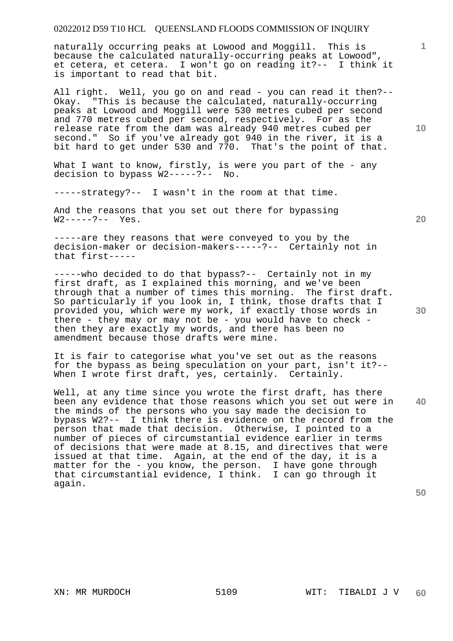naturally occurring peaks at Lowood and Moggill. This is because the calculated naturally-occurring peaks at Lowood", et cetera, et cetera. I won't go on reading it?-- I think it is important to read that bit.

All right. Well, you go on and read - you can read it then?-- Okay. "This is because the calculated, naturally-occurring peaks at Lowood and Moggill were 530 metres cubed per second and 770 metres cubed per second, respectively. For as the release rate from the dam was already 940 metres cubed per second." So if you've already got 940 in the river, it is a bit hard to get under 530 and 770. That's the point of that.

What I want to know, firstly, is were you part of the - any decision to bypass W2-----?-- No.

-----strategy?-- I wasn't in the room at that time.

And the reasons that you set out there for bypassing W2-----?-- Yes.

-----are they reasons that were conveyed to you by the decision-maker or decision-makers-----?-- Certainly not in that first-----

-----who decided to do that bypass?-- Certainly not in my first draft, as I explained this morning, and we've been through that a number of times this morning. The first draft. So particularly if you look in, I think, those drafts that I provided you, which were my work, if exactly those words in there - they may or may not be - you would have to check then they are exactly my words, and there has been no amendment because those drafts were mine.

It is fair to categorise what you've set out as the reasons for the bypass as being speculation on your part, isn't it?-- When I wrote first draft, yes, certainly. Certainly.

**40**  Well, at any time since you wrote the first draft, has there been any evidence that those reasons which you set out were in the minds of the persons who you say made the decision to bypass W2?-- I think there is evidence on the record from the person that made that decision. Otherwise, I pointed to a number of pieces of circumstantial evidence earlier in terms of decisions that were made at 8.15, and directives that were issued at that time. Again, at the end of the day, it is a matter for the - you know, the person. I have gone through that circumstantial evidence, I think. I can go through it again.

**50** 

**10** 

**1**

**20**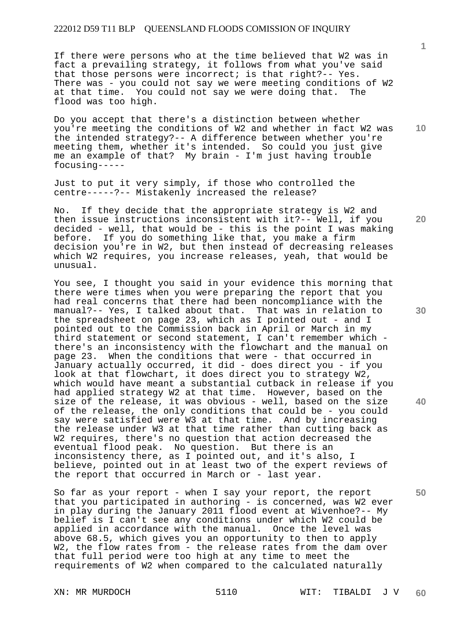If there were persons who at the time believed that W2 was in fact a prevailing strategy, it follows from what you've said that those persons were incorrect; is that right?-- Yes. There was - you could not say we were meeting conditions of W2 at that time. You could not say we were doing that. The flood was too high.

Do you accept that there's a distinction between whether you're meeting the conditions of W2 and whether in fact W2 was the intended strategy?-- A difference between whether you're meeting them, whether it's intended. So could you just give me an example of that? My brain - I'm just having trouble focusing-----

Just to put it very simply, if those who controlled the centre-----?-- Mistakenly increased the release?

No. If they decide that the appropriate strategy is W2 and then issue instructions inconsistent with it?-- Well, if you decided - well, that would be - this is the point I was making before. If you do something like that, you make a firm decision you're in W2, but then instead of decreasing releases which W2 requires, you increase releases, yeah, that would be unusual.

You see, I thought you said in your evidence this morning that there were times when you were preparing the report that you had real concerns that there had been noncompliance with the manual?-- Yes, I talked about that. That was in relation to the spreadsheet on page 23, which as I pointed out - and I pointed out to the Commission back in April or March in my third statement or second statement, I can't remember which there's an inconsistency with the flowchart and the manual on page 23. When the conditions that were - that occurred in January actually occurred, it did - does direct you - if you look at that flowchart, it does direct you to strategy W2, which would have meant a substantial cutback in release if you had applied strategy W2 at that time. However, based on the size of the release, it was obvious - well, based on the size of the release, the only conditions that could be - you could say were satisfied were W3 at that time. And by increasing the release under W3 at that time rather than cutting back as W2 requires, there's no question that action decreased the eventual flood peak. No question. But there is an inconsistency there, as I pointed out, and it's also, I believe, pointed out in at least two of the expert reviews of the report that occurred in March or - last year.

So far as your report - when I say your report, the report that you participated in authoring - is concerned, was W2 ever in play during the January 2011 flood event at Wivenhoe?-- My belief is I can't see any conditions under which W2 could be applied in accordance with the manual. Once the level was above 68.5, which gives you an opportunity to then to apply W2, the flow rates from - the release rates from the dam over that full period were too high at any time to meet the requirements of W2 when compared to the calculated naturally

**1**

**10** 

**30** 

**20** 

**40**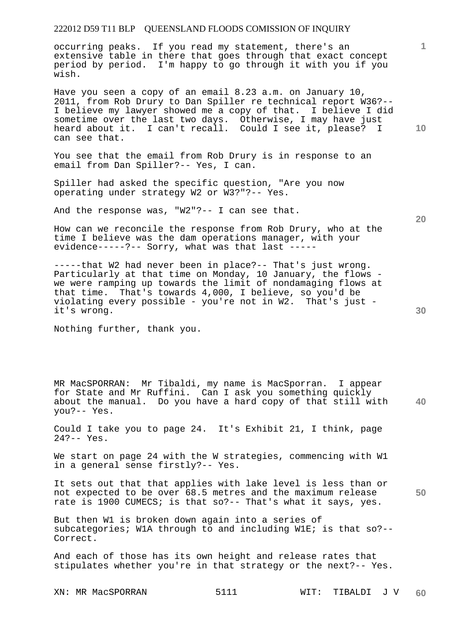occurring peaks. If you read my statement, there's an extensive table in there that goes through that exact concept period by period. I'm happy to go through it with you if you wish.

Have you seen a copy of an email 8.23 a.m. on January 10, 2011, from Rob Drury to Dan Spiller re technical report W36?-- I believe my lawyer showed me a copy of that. I believe I did sometime over the last two days. Otherwise, I may have just heard about it. I can't recall. Could I see it, please? I can see that.

You see that the email from Rob Drury is in response to an email from Dan Spiller?-- Yes, I can.

Spiller had asked the specific question, "Are you now operating under strategy W2 or W3?"?-- Yes.

And the response was, "W2"?-- I can see that.

How can we reconcile the response from Rob Drury, who at the time I believe was the dam operations manager, with your evidence-----?-- Sorry, what was that last -----

-----that W2 had never been in place?-- That's just wrong. Particularly at that time on Monday, 10 January, the flows we were ramping up towards the limit of nondamaging flows at that time. That's towards 4,000, I believe, so you'd be violating every possible - you're not in W2. That's just it's wrong.

Nothing further, thank you.

**40**  MR MacSPORRAN: Mr Tibaldi, my name is MacSporran. I appear for State and Mr Ruffini. Can I ask you something quickly about the manual. Do you have a hard copy of that still with you?-- Yes.

Could I take you to page 24. It's Exhibit 21, I think, page 24?-- Yes.

We start on page 24 with the W strategies, commencing with W1 in a general sense firstly?-- Yes.

**50**  It sets out that that applies with lake level is less than or not expected to be over 68.5 metres and the maximum release rate is 1900 CUMECS; is that so?-- That's what it says, yes.

But then W1 is broken down again into a series of subcategories; W1A through to and including W1E; is that so?-- Correct.

And each of those has its own height and release rates that stipulates whether you're in that strategy or the next?-- Yes.

XN: MR MacSPORRAN 5111 WIT: TIBALDI J V **60** 

**30** 

**20**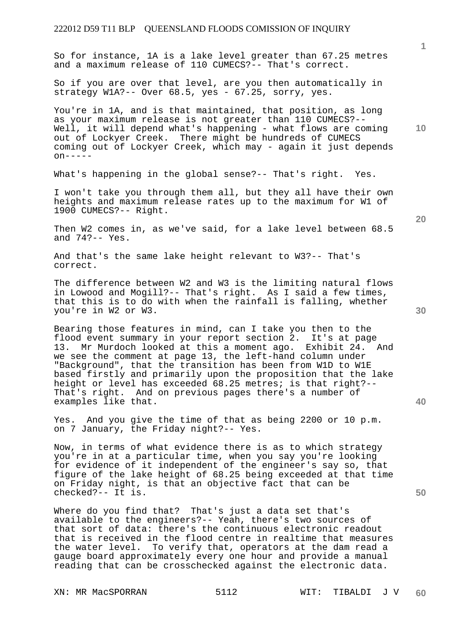**1 10 20 30 40 50**  So for instance, 1A is a lake level greater than 67.25 metres and a maximum release of 110 CUMECS?-- That's correct. So if you are over that level, are you then automatically in strategy W1A?-- Over 68.5, yes - 67.25, sorry, yes. You're in 1A, and is that maintained, that position, as long as your maximum release is not greater than 110 CUMECS?-- Well, it will depend what's happening - what flows are coming out of Lockyer Creek. There might be hundreds of CUMECS coming out of Lockyer Creek, which may - again it just depends  $on---$ What's happening in the global sense?-- That's right. Yes. I won't take you through them all, but they all have their own heights and maximum release rates up to the maximum for W1 of 1900 CUMECS?-- Right. Then W2 comes in, as we've said, for a lake level between 68.5 and 74?-- Yes. And that's the same lake height relevant to W3?-- That's correct. The difference between W2 and W3 is the limiting natural flows in Lowood and Mogill?-- That's right. As I said a few times, that this is to do with when the rainfall is falling, whether you're in W2 or W3. Bearing those features in mind, can I take you then to the flood event summary in your report section 2. It's at page 13. Mr Murdoch looked at this a moment ago. Exhibit 24. And we see the comment at page 13, the left-hand column under "Background", that the transition has been from W1D to W1E based firstly and primarily upon the proposition that the lake height or level has exceeded 68.25 metres; is that right?--That's right. And on previous pages there's a number of examples like that. Yes. And you give the time of that as being 2200 or 10 p.m. on 7 January, the Friday night?-- Yes. Now, in terms of what evidence there is as to which strategy you're in at a particular time, when you say you're looking for evidence of it independent of the engineer's say so, that figure of the lake height of 68.25 being exceeded at that time on Friday night, is that an objective fact that can be checked?-- It is. Where do you find that? That's just a data set that's

available to the engineers?-- Yeah, there's two sources of that sort of data: there's the continuous electronic readout that is received in the flood centre in realtime that measures the water level. To verify that, operators at the dam read a gauge board approximately every one hour and provide a manual reading that can be crosschecked against the electronic data.

XN: MR MacSPORRAN 5112 WIT: TIBALDI J V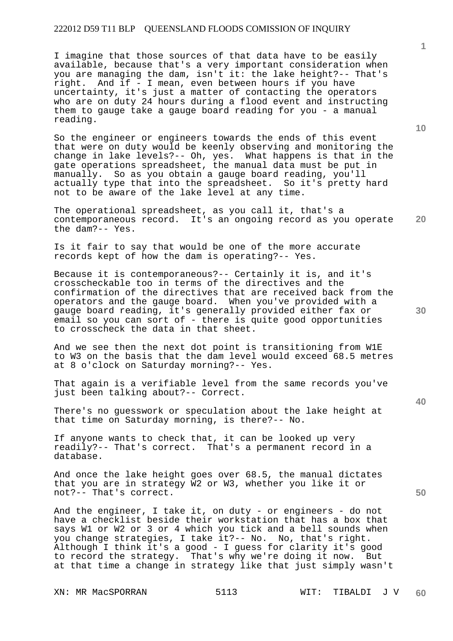I imagine that those sources of that data have to be easily available, because that's a very important consideration when you are managing the dam, isn't it: the lake height?-- That's right. And if - I mean, even between hours if you have uncertainty, it's just a matter of contacting the operators who are on duty 24 hours during a flood event and instructing them to gauge take a gauge board reading for you - a manual reading.

So the engineer or engineers towards the ends of this event that were on duty would be keenly observing and monitoring the change in lake levels?-- Oh, yes. What happens is that in the gate operations spreadsheet, the manual data must be put in manually. So as you obtain a gauge board reading, you'll actually type that into the spreadsheet. So it's pretty hard not to be aware of the lake level at any time.

**20**  The operational spreadsheet, as you call it, that's a contemporaneous record. It's an ongoing record as you operate the dam?-- Yes.

Is it fair to say that would be one of the more accurate records kept of how the dam is operating?-- Yes.

Because it is contemporaneous?-- Certainly it is, and it's crosscheckable too in terms of the directives and the confirmation of the directives that are received back from the operators and the gauge board. When you've provided with a gauge board reading, it's generally provided either fax or email so you can sort of - there is quite good opportunities to crosscheck the data in that sheet.

And we see then the next dot point is transitioning from W1E to W3 on the basis that the dam level would exceed 68.5 metres at 8 o'clock on Saturday morning?-- Yes.

That again is a verifiable level from the same records you've just been talking about?-- Correct.

There's no guesswork or speculation about the lake height at that time on Saturday morning, is there?-- No.

If anyone wants to check that, it can be looked up very readily?-- That's correct. That's a permanent record in a database.

And once the lake height goes over 68.5, the manual dictates that you are in strategy W2 or W3, whether you like it or not?-- That's correct.

And the engineer, I take it, on duty - or engineers - do not have a checklist beside their workstation that has a box that says W1 or W2 or 3 or 4 which you tick and a bell sounds when you change strategies, I take it?-- No. No, that's right. Although I think it's a good - I guess for clarity it's good to record the strategy. That's why we're doing it now. But at that time a change in strategy like that just simply wasn't

XN: MR MacSPORRAN 5113 WIT: TIBALDI J V

**1**

**10** 

**30** 

**40**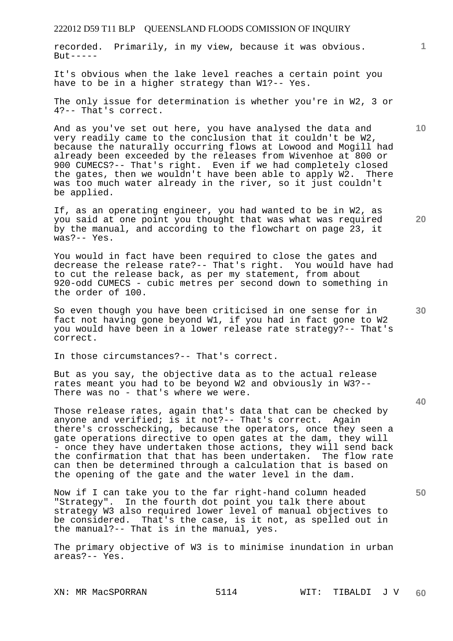recorded. Primarily, in my view, because it was obvious.  $B<sub>11</sub>+ - - - - -$ 

It's obvious when the lake level reaches a certain point you have to be in a higher strategy than W1?-- Yes.

The only issue for determination is whether you're in W2, 3 or 4?-- That's correct.

And as you've set out here, you have analysed the data and very readily came to the conclusion that it couldn't be W2, because the naturally occurring flows at Lowood and Mogill had already been exceeded by the releases from Wivenhoe at 800 or 900 CUMECS?-- That's right. Even if we had completely closed the gates, then we wouldn't have been able to apply W2. There was too much water already in the river, so it just couldn't be applied.

If, as an operating engineer, you had wanted to be in W2, as you said at one point you thought that was what was required by the manual, and according to the flowchart on page 23, it was?-- Yes.

You would in fact have been required to close the gates and decrease the release rate?-- That's right. You would have had to cut the release back, as per my statement, from about 920-odd CUMECS - cubic metres per second down to something in the order of 100.

So even though you have been criticised in one sense for in fact not having gone beyond W1, if you had in fact gone to W2 you would have been in a lower release rate strategy?-- That's correct.

In those circumstances?-- That's correct.

But as you say, the objective data as to the actual release rates meant you had to be beyond W2 and obviously in W3?-- There was no - that's where we were.

Those release rates, again that's data that can be checked by anyone and verified; is it not?-- That's correct. Again there's crosschecking, because the operators, once they seen a gate operations directive to open gates at the dam, they will - once they have undertaken those actions, they will send back the confirmation that that has been undertaken. The flow rate can then be determined through a calculation that is based on the opening of the gate and the water level in the dam.

Now if I can take you to the far right-hand column headed "Strategy". In the fourth dot point you talk there about strategy W3 also required lower level of manual objectives to be considered. That's the case, is it not, as spelled out in the manual?-- That is in the manual, yes.

The primary objective of W3 is to minimise inundation in urban areas?-- Yes.

**1**

**20** 

**10** 

**30** 

**50**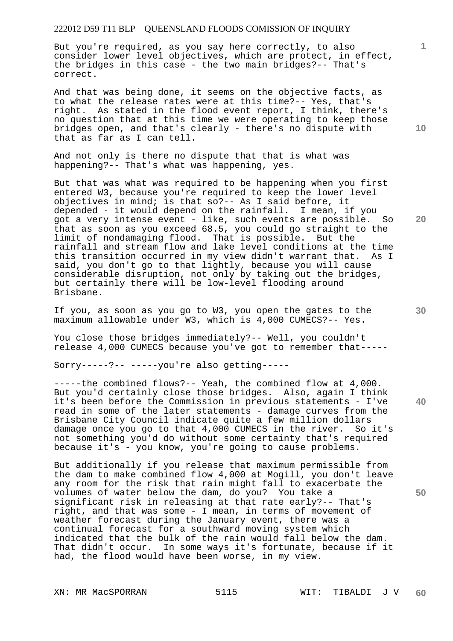But you're required, as you say here correctly, to also consider lower level objectives, which are protect, in effect, the bridges in this case - the two main bridges?-- That's correct.

And that was being done, it seems on the objective facts, as to what the release rates were at this time?-- Yes, that's right. As stated in the flood event report, I think, there's no question that at this time we were operating to keep those bridges open, and that's clearly - there's no dispute with that as far as I can tell.

And not only is there no dispute that that is what was happening?-- That's what was happening, yes.

But that was what was required to be happening when you first entered W3, because you're required to keep the lower level objectives in mind; is that so?-- As I said before, it depended - it would depend on the rainfall. I mean, if you got a very intense event - like, such events are possible. So that as soon as you exceed 68.5, you could go straight to the limit of nondamaging flood. That is possible. But the rainfall and stream flow and lake level conditions at the time this transition occurred in my view didn't warrant that. As I said, you don't go to that lightly, because you will cause considerable disruption, not only by taking out the bridges, but certainly there will be low-level flooding around Brisbane.

If you, as soon as you go to W3, you open the gates to the maximum allowable under W3, which is 4,000 CUMECS?-- Yes.

You close those bridges immediately?-- Well, you couldn't release 4,000 CUMECS because you've got to remember that-----

Sorry-----?-- -----you're also getting-----

-----the combined flows?-- Yeah, the combined flow at 4,000. But you'd certainly close those bridges. Also, again I think it's been before the Commission in previous statements - I've read in some of the later statements - damage curves from the Brisbane City Council indicate quite a few million dollars damage once you go to that 4,000 CUMECS in the river. So it's not something you'd do without some certainty that's required because it's - you know, you're going to cause problems.

But additionally if you release that maximum permissible from the dam to make combined flow 4,000 at Mogill, you don't leave any room for the risk that rain might fall to exacerbate the volumes of water below the dam, do you? You take a significant risk in releasing at that rate early?-- That's right, and that was some - I mean, in terms of movement of weather forecast during the January event, there was a continual forecast for a southward moving system which indicated that the bulk of the rain would fall below the dam. That didn't occur. In some ways it's fortunate, because if it had, the flood would have been worse, in my view.

**10** 

**1**

**30** 

**40** 

**50**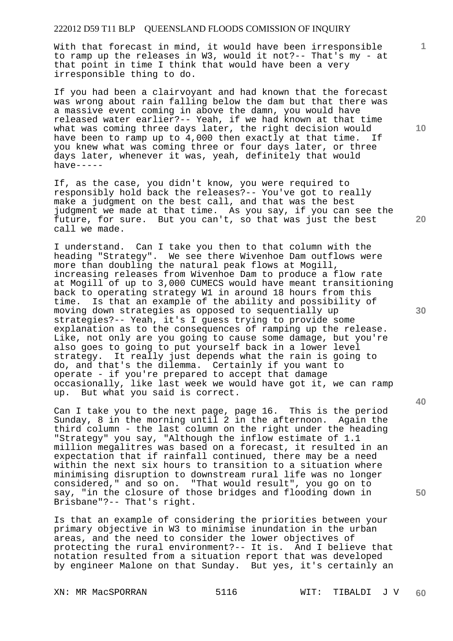With that forecast in mind, it would have been irresponsible to ramp up the releases in W3, would it not?-- That's my - at that point in time I think that would have been a very irresponsible thing to do.

If you had been a clairvoyant and had known that the forecast was wrong about rain falling below the dam but that there was a massive event coming in above the damn, you would have released water earlier?-- Yeah, if we had known at that time what was coming three days later, the right decision would have been to ramp up to 4,000 then exactly at that time. If you knew what was coming three or four days later, or three days later, whenever it was, yeah, definitely that would  $h$ ave-----

If, as the case, you didn't know, you were required to responsibly hold back the releases?-- You've got to really make a judgment on the best call, and that was the best judgment we made at that time. As you say, if you can see the future, for sure. But you can't, so that was just the best call we made.

I understand. Can I take you then to that column with the heading "Strategy". We see there Wivenhoe Dam outflows were more than doubling the natural peak flows at Mogill, increasing releases from Wivenhoe Dam to produce a flow rate at Mogill of up to 3,000 CUMECS would have meant transitioning back to operating strategy W1 in around 18 hours from this time. Is that an example of the ability and possibility of moving down strategies as opposed to sequentially up strategies?-- Yeah, it's I guess trying to provide some explanation as to the consequences of ramping up the release. Like, not only are you going to cause some damage, but you're also goes to going to put yourself back in a lower level strategy. It really just depends what the rain is going to do, and that's the dilemma. Certainly if you want to operate - if you're prepared to accept that damage occasionally, like last week we would have got it, we can ramp up. But what you said is correct.

Can I take you to the next page, page 16. This is the period Sunday, 8 in the morning until 2 in the afternoon. Again the third column - the last column on the right under the heading "Strategy" you say, "Although the inflow estimate of 1.1 million megalitres was based on a forecast, it resulted in an expectation that if rainfall continued, there may be a need within the next six hours to transition to a situation where minimising disruption to downstream rural life was no longer considered," and so on. "That would result", you go on to say, "in the closure of those bridges and flooding down in Brisbane"?-- That's right.

Is that an example of considering the priorities between your primary objective in W3 to minimise inundation in the urban areas, and the need to consider the lower objectives of protecting the rural environment?-- It is. And I believe that notation resulted from a situation report that was developed by engineer Malone on that Sunday. But yes, it's certainly an

**10** 

**1**

**20** 

**30** 

**40**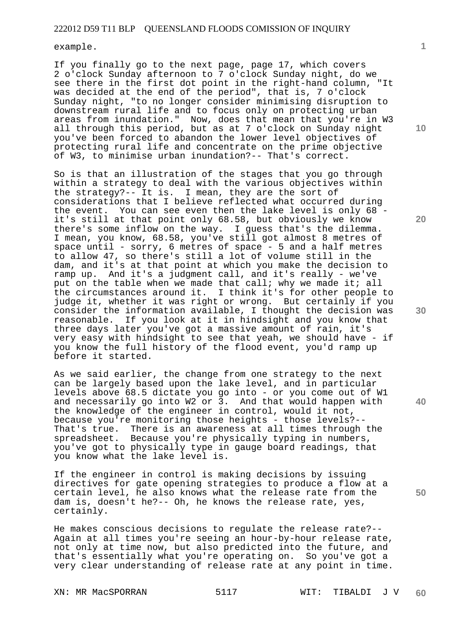example.

If you finally go to the next page, page 17, which covers 2 o'clock Sunday afternoon to 7 o'clock Sunday night, do we see there in the first dot point in the right-hand column, "It was decided at the end of the period", that is, 7 o'clock Sunday night, "to no longer consider minimising disruption to downstream rural life and to focus only on protecting urban areas from inundation." Now, does that mean that you're in W3 all through this period, but as at 7 o'clock on Sunday night you've been forced to abandon the lower level objectives of protecting rural life and concentrate on the prime objective of W3, to minimise urban inundation?-- That's correct.

So is that an illustration of the stages that you go through within a strategy to deal with the various objectives within the strategy?-- It is. I mean, they are the sort of considerations that I believe reflected what occurred during the event. You can see even then the lake level is only 68 it's still at that point only 68.58, but obviously we know there's some inflow on the way. I guess that's the dilemma. I mean, you know, 68.58, you've still got almost 8 metres of space until - sorry, 6 metres of space - 5 and a half metres to allow 47, so there's still a lot of volume still in the dam, and it's at that point at which you make the decision to ramp up. And it's a judgment call, and it's really - we've put on the table when we made that call; why we made it; all the circumstances around it. I think it's for other people to judge it, whether it was right or wrong. But certainly if you consider the information available, I thought the decision was reasonable. If you look at it in hindsight and you know that three days later you've got a massive amount of rain, it's very easy with hindsight to see that yeah, we should have - if you know the full history of the flood event, you'd ramp up before it started.

As we said earlier, the change from one strategy to the next can be largely based upon the lake level, and in particular levels above 68.5 dictate you go into - or you come out of W1 and necessarily go into W2 or 3. And that would happen with the knowledge of the engineer in control, would it not, because you're monitoring those heights - those levels?-- That's true. There is an awareness at all times through the spreadsheet. Because you're physically typing in numbers, you've got to physically type in gauge board readings, that you know what the lake level is.

If the engineer in control is making decisions by issuing directives for gate opening strategies to produce a flow at a certain level, he also knows what the release rate from the dam is, doesn't he?-- Oh, he knows the release rate, yes, certainly.

He makes conscious decisions to regulate the release rate?-- Again at all times you're seeing an hour-by-hour release rate, not only at time now, but also predicted into the future, and that's essentially what you're operating on. So you've got a very clear understanding of release rate at any point in time.

XN: MR MacSPORRAN 5117 WIT: TIBALDI J V **60** 

**10** 

**1**

**20** 

**30** 

**40**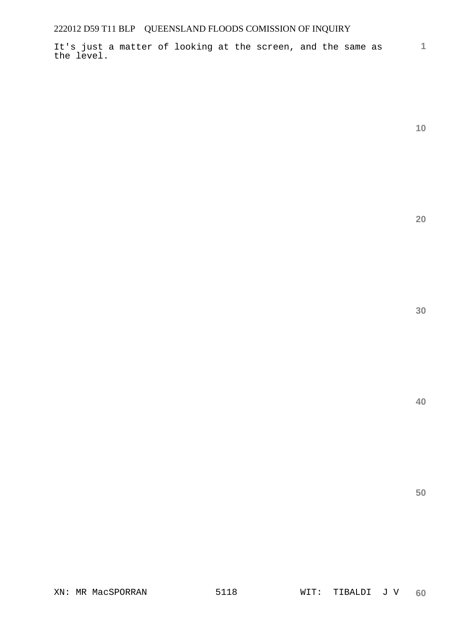It's just a matter of looking at the screen, and the same as the level.

**10** 

**1**

**20** 

**30** 

**40**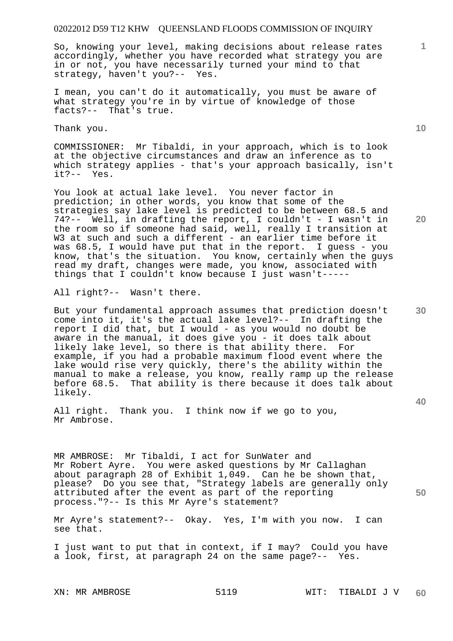So, knowing your level, making decisions about release rates accordingly, whether you have recorded what strategy you are in or not, you have necessarily turned your mind to that strategy, haven't you?-- Yes.

I mean, you can't do it automatically, you must be aware of what strategy you're in by virtue of knowledge of those facts?-- That's true.

Thank you.

COMMISSIONER: Mr Tibaldi, in your approach, which is to look at the objective circumstances and draw an inference as to which strategy applies - that's your approach basically, isn't it?-- Yes.

You look at actual lake level. You never factor in prediction; in other words, you know that some of the strategies say lake level is predicted to be between 68.5 and 74?-- Well, in drafting the report, I couldn't - I wasn't in the room so if someone had said, well, really I transition at W3 at such and such a different - an earlier time before it was 68.5, I would have put that in the report. I guess - you know, that's the situation. You know, certainly when the guys read my draft, changes were made, you know, associated with things that I couldn't know because I just wasn't-----

All right?-- Wasn't there.

But your fundamental approach assumes that prediction doesn't come into it, it's the actual lake level?-- In drafting the report I did that, but I would - as you would no doubt be aware in the manual, it does give you - it does talk about likely lake level, so there is that ability there. For example, if you had a probable maximum flood event where the lake would rise very quickly, there's the ability within the manual to make a release, you know, really ramp up the release before 68.5. That ability is there because it does talk about likely.

All right. Thank you. I think now if we go to you, Mr Ambrose.

MR AMBROSE: Mr Tibaldi, I act for SunWater and Mr Robert Ayre. You were asked questions by Mr Callaghan about paragraph 28 of Exhibit 1,049. Can he be shown that, please? Do you see that, "Strategy labels are generally only attributed after the event as part of the reporting process."?-- Is this Mr Ayre's statement?

Mr Ayre's statement?-- Okay. Yes, I'm with you now. I can see that.

I just want to put that in context, if I may? Could you have a look, first, at paragraph 24 on the same page?-- Yes.

**10** 

**1**

**30** 

**40** 

**50**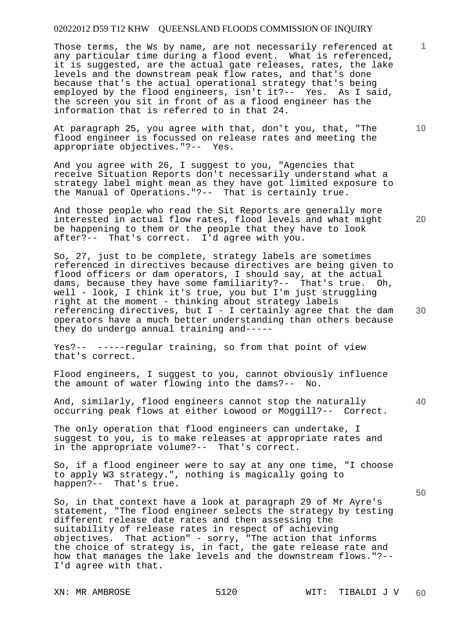Those terms, the Ws by name, are not necessarily referenced at any particular time during a flood event. What is referenced, it is suggested, are the actual gate releases, rates, the lake levels and the downstream peak flow rates, and that's done because that's the actual operational strategy that's being employed by the flood engineers, isn't it?-- Yes. As I said, the screen you sit in front of as a flood engineer has the information that is referred to in that 24.

At paragraph 25, you agree with that, don't you, that, "The flood engineer is focussed on release rates and meeting the appropriate objectives."?-- Yes.

And you agree with 26, I suggest to you, "Agencies that receive Situation Reports don't necessarily understand what a strategy label might mean as they have got limited exposure to the Manual of Operations."?-- That is certainly true.

And those people who read the Sit Reports are generally more interested in actual flow rates, flood levels and what might be happening to them or the people that they have to look after?-- That's correct. I'd agree with you.

So, 27, just to be complete, strategy labels are sometimes referenced in directives because directives are being given to flood officers or dam operators, I should say, at the actual dams, because they have some familiarity?-- That's true. Oh, well - look, I think it's true, you but I'm just struggling right at the moment - thinking about strategy labels referencing directives, but  $I - I$  certainly agree that the dam operators have a much better understanding than others because they do undergo annual training and-----

Yes?-- -----regular training, so from that point of view that's correct.

Flood engineers, I suggest to you, cannot obviously influence the amount of water flowing into the dams?-- No.

And, similarly, flood engineers cannot stop the naturally occurring peak flows at either Lowood or Moggill?-- Correct.

The only operation that flood engineers can undertake, I suggest to you, is to make releases at appropriate rates and in the appropriate volume?-- That's correct.

So, if a flood engineer were to say at any one time, "I choose to apply W3 strategy.", nothing is magically going to happen?-- That's true.

So, in that context have a look at paragraph 29 of Mr Ayre's statement, "The flood engineer selects the strategy by testing different release date rates and then assessing the suitability of release rates in respect of achieving objectives. That action" - sorry, "The action that informs the choice of strategy is, in fact, the gate release rate and how that manages the lake levels and the downstream flows."?-- I'd agree with that.

**10** 

**1**

**20** 

**40**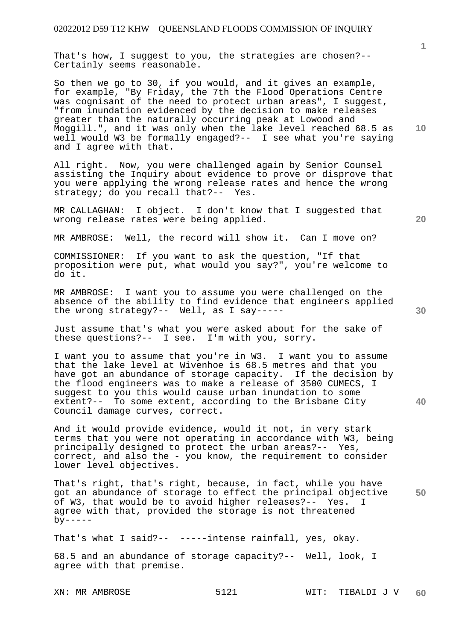That's how, I suggest to you, the strategies are chosen?-- Certainly seems reasonable.

So then we go to 30, if you would, and it gives an example, for example, "By Friday, the 7th the Flood Operations Centre was cognisant of the need to protect urban areas", I suggest, "from inundation evidenced by the decision to make releases greater than the naturally occurring peak at Lowood and Moggill.", and it was only when the lake level reached 68.5 as well would W3 be formally engaged?-- I see what you're saying and I agree with that.

All right. Now, you were challenged again by Senior Counsel assisting the Inquiry about evidence to prove or disprove that you were applying the wrong release rates and hence the wrong strategy; do you recall that?-- Yes.

MR CALLAGHAN: I object. I don't know that I suggested that wrong release rates were being applied.

MR AMBROSE: Well, the record will show it. Can I move on?

COMMISSIONER: If you want to ask the question, "If that proposition were put, what would you say?", you're welcome to do it.

MR AMBROSE: I want you to assume you were challenged on the absence of the ability to find evidence that engineers applied the wrong strategy?-- Well, as I say-----

Just assume that's what you were asked about for the sake of these questions?-- I see. I'm with you, sorry.

I want you to assume that you're in W3. I want you to assume that the lake level at Wivenhoe is 68.5 metres and that you have got an abundance of storage capacity. If the decision by the flood engineers was to make a release of 3500 CUMECS, I suggest to you this would cause urban inundation to some extent?-- To some extent, according to the Brisbane City Council damage curves, correct.

And it would provide evidence, would it not, in very stark terms that you were not operating in accordance with W3, being principally designed to protect the urban areas?-- Yes, correct, and also the - you know, the requirement to consider lower level objectives.

**50**  That's right, that's right, because, in fact, while you have got an abundance of storage to effect the principal objective of W3, that would be to avoid higher releases?-- Yes. I agree with that, provided the storage is not threatened  $by----$ 

That's what I said?-- -----intense rainfall, yes, okay.

68.5 and an abundance of storage capacity?-- Well, look, I agree with that premise.

**20** 

**10** 

**1**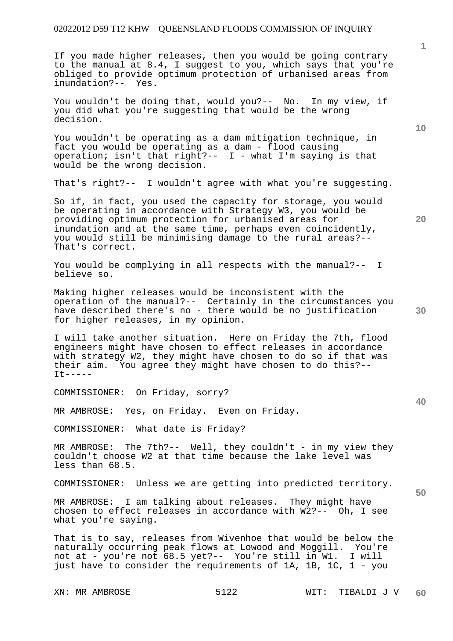If you made higher releases, then you would be going contrary to the manual at 8.4, I suggest to you, which says that you're obliged to provide optimum protection of urbanised areas from inundation?-- Yes.

You wouldn't be doing that, would you?-- No. In my view, if you did what you're suggesting that would be the wrong decision.

You wouldn't be operating as a dam mitigation technique, in fact you would be operating as a dam - flood causing operation; isn't that right?-- I - what I'm saying is that would be the wrong decision.

That's right?-- I wouldn't agree with what you're suggesting.

So if, in fact, you used the capacity for storage, you would be operating in accordance with Strategy W3, you would be providing optimum protection for urbanised areas for inundation and at the same time, perhaps even coincidently, you would still be minimising damage to the rural areas?-- That's correct.

You would be complying in all respects with the manual?-- I believe so.

Making higher releases would be inconsistent with the operation of the manual?-- Certainly in the circumstances you have described there's no - there would be no justification for higher releases, in my opinion.

I will take another situation. Here on Friday the 7th, flood engineers might have chosen to effect releases in accordance with strategy W2, they might have chosen to do so if that was their aim. You agree they might have chosen to do this?--  $It-----$ 

COMMISSIONER: On Friday, sorry?

MR AMBROSE: Yes, on Friday. Even on Friday.

COMMISSIONER: What date is Friday?

MR AMBROSE: The 7th?-- Well, they couldn't - in my view they couldn't choose W2 at that time because the lake level was less than 68.5.

COMMISSIONER: Unless we are getting into predicted territory.

MR AMBROSE: I am talking about releases. They might have chosen to effect releases in accordance with W2?-- Oh, I see what you're saying.

That is to say, releases from Wivenhoe that would be below the naturally occurring peak flows at Lowood and Moggill. You're not at - you're not 68.5 yet?-- You're still in W1. I will just have to consider the requirements of 1A, 1B, 1C, 1 - you

**10** 

**1**

**20** 

**50**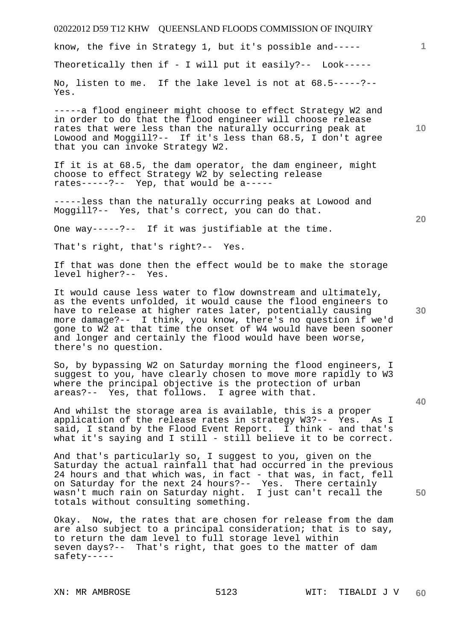know, the five in Strategy 1, but it's possible and-----

Theoretically then if - I will put it easily?-- Look-----

No, listen to me. If the lake level is not at 68.5-----?-- Yes.

-----a flood engineer might choose to effect Strategy W2 and in order to do that the flood engineer will choose release rates that were less than the naturally occurring peak at Lowood and Moggill?-- If it's less than 68.5, I don't agree that you can invoke Strategy W2.

If it is at 68.5, the dam operator, the dam engineer, might choose to effect Strategy W2 by selecting release rates-----?-- Yep, that would be a-----

-----less than the naturally occurring peaks at Lowood and Moggill?-- Yes, that's correct, you can do that.

One way-----?-- If it was justifiable at the time.

That's right, that's right?-- Yes.

If that was done then the effect would be to make the storage level higher?-- Yes.

It would cause less water to flow downstream and ultimately, as the events unfolded, it would cause the flood engineers to have to release at higher rates later, potentially causing more damage?-- I think, you know, there's no question if we'd gone to W2 at that time the onset of W4 would have been sooner and longer and certainly the flood would have been worse, there's no question.

So, by bypassing W2 on Saturday morning the flood engineers, I suggest to you, have clearly chosen to move more rapidly to W3 where the principal objective is the protection of urban areas?-- Yes, that follows. I agree with that.

And whilst the storage area is available, this is a proper application of the release rates in strategy W3?-- Yes. As I said, I stand by the Flood Event Report. I think - and that's what it's saying and I still - still believe it to be correct.

And that's particularly so, I suggest to you, given on the Saturday the actual rainfall that had occurred in the previous 24 hours and that which was, in fact - that was, in fact, fell on Saturday for the next 24 hours?-- Yes. There certainly wasn't much rain on Saturday night. I just can't recall the totals without consulting something.

Okay. Now, the rates that are chosen for release from the dam are also subject to a principal consideration; that is to say, to return the dam level to full storage level within seven days?-- That's right, that goes to the matter of dam safety-----

**10** 

**1**

**20** 

**30**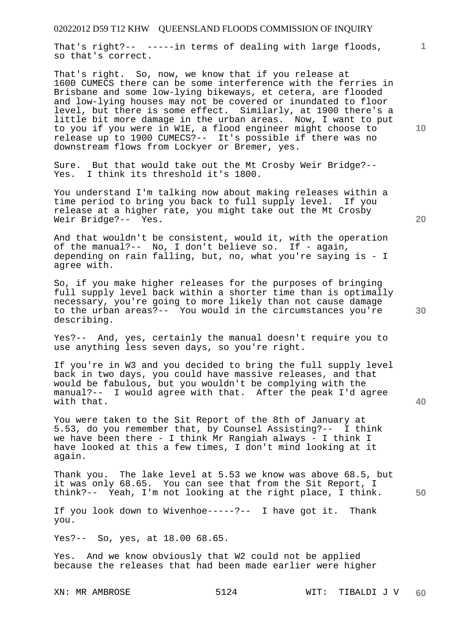That's right?-- -----in terms of dealing with large floods, so that's correct.

That's right. So, now, we know that if you release at 1600 CUMECS there can be some interference with the ferries in Brisbane and some low-lying bikeways, et cetera, are flooded and low-lying houses may not be covered or inundated to floor level, but there is some effect. Similarly, at 1900 there's a little bit more damage in the urban areas. Now, I want to put to you if you were in W1E, a flood engineer might choose to release up to 1900 CUMECS?-- It's possible if there was no downstream flows from Lockyer or Bremer, yes.

Sure. But that would take out the Mt Crosby Weir Bridge?-- Yes. I think its threshold it's 1800.

You understand I'm talking now about making releases within a time period to bring you back to full supply level. If you release at a higher rate, you might take out the Mt Crosby Weir Bridge?-- Yes.

And that wouldn't be consistent, would it, with the operation of the manual?-- No, I don't believe so. If - again, depending on rain falling, but, no, what you're saying is - I agree with.

So, if you make higher releases for the purposes of bringing full supply level back within a shorter time than is optimally necessary, you're going to more likely than not cause damage to the urban areas?-- You would in the circumstances you're describing.

Yes?-- And, yes, certainly the manual doesn't require you to use anything less seven days, so you're right.

If you're in W3 and you decided to bring the full supply level back in two days, you could have massive releases, and that would be fabulous, but you wouldn't be complying with the manual?-- I would agree with that. After the peak I'd agree with that.

You were taken to the Sit Report of the 8th of January at 5.53, do you remember that, by Counsel Assisting?-- I think we have been there - I think Mr Rangiah always - I think I have looked at this a few times, I don't mind looking at it again.

Thank you. The lake level at 5.53 we know was above 68.5, but it was only 68.65. You can see that from the Sit Report, I think?-- Yeah, I'm not looking at the right place, I think.

If you look down to Wivenhoe-----?-- I have got it. Thank you.

Yes?-- So, yes, at 18.00 68.65.

Yes. And we know obviously that W2 could not be applied because the releases that had been made earlier were higher

**10** 

**1**

**20** 

**40**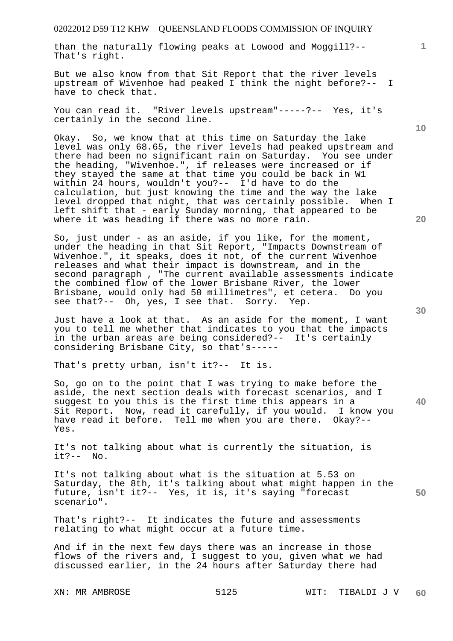than the naturally flowing peaks at Lowood and Moggill?-- That's right.

But we also know from that Sit Report that the river levels upstream of Wivenhoe had peaked I think the night before?-- I have to check that.

You can read it. "River levels upstream"-----?-- Yes, it's certainly in the second line.

Okay. So, we know that at this time on Saturday the lake level was only 68.65, the river levels had peaked upstream and there had been no significant rain on Saturday. You see under the heading, "Wivenhoe.", if releases were increased or if they stayed the same at that time you could be back in W1 within 24 hours, wouldn't you?-- I'd have to do the calculation, but just knowing the time and the way the lake level dropped that night, that was certainly possible. When I left shift that - early Sunday morning, that appeared to be where it was heading if there was no more rain.

So, just under - as an aside, if you like, for the moment, under the heading in that Sit Report, "Impacts Downstream of Wivenhoe.", it speaks, does it not, of the current Wivenhoe releases and what their impact is downstream, and in the second paragraph , "The current available assessments indicate the combined flow of the lower Brisbane River, the lower Brisbane, would only had 50 millimetres", et cetera. Do you see that?-- Oh, yes, I see that. Sorry. Yep.

Just have a look at that. As an aside for the moment, I want you to tell me whether that indicates to you that the impacts in the urban areas are being considered?-- It's certainly considering Brisbane City, so that's-----

That's pretty urban, isn't it?-- It is.

So, go on to the point that I was trying to make before the aside, the next section deals with forecast scenarios, and I suggest to you this is the first time this appears in a Sit Report. Now, read it carefully, if you would. I know you have read it before. Tell me when you are there. Okay?-- Yes.

It's not talking about what is currently the situation, is it?-- No.

It's not talking about what is the situation at 5.53 on Saturday, the 8th, it's talking about what might happen in the future, isn't it?-- Yes, it is, it's saying "forecast scenario".

That's right?-- It indicates the future and assessments relating to what might occur at a future time.

And if in the next few days there was an increase in those flows of the rivers and, I suggest to you, given what we had discussed earlier, in the 24 hours after Saturday there had

**10** 

**1**

**30** 

**40** 

**50**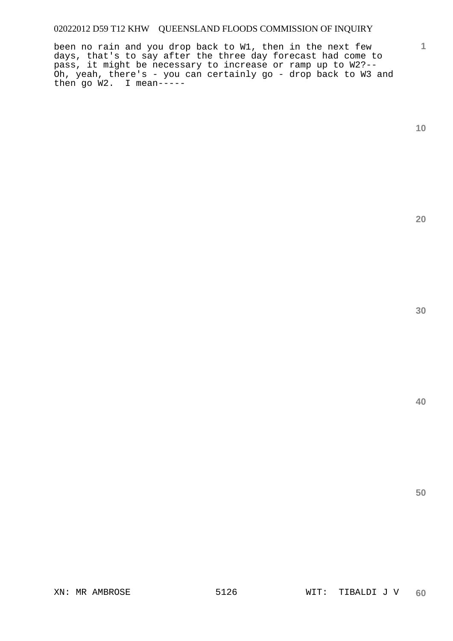been no rain and you drop back to W1, then in the next few days, that's to say after the three day forecast had come to pass, it might be necessary to increase or ramp up to W2?-- Oh, yeah, there's - you can certainly go - drop back to W3 and then go W2. I mean-----

**1**

**20**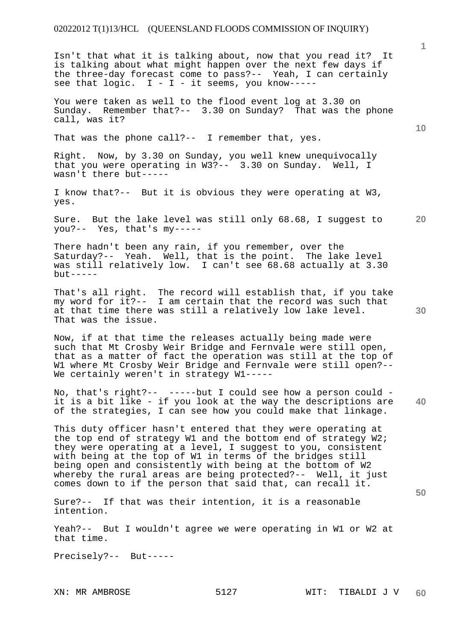## 02022012 T(1)13/HCL (QUEENSLAND FLOODS COMMISSION OF INQUIRY)

Isn't that what it is talking about, now that you read it? It is talking about what might happen over the next few days if the three-day forecast come to pass?-- Yeah, I can certainly see that logic.  $I - I - it$  seems, you know-----I - I - it seems, you know-----

You were taken as well to the flood event log at 3.30 on Sunday. Remember that?-- 3.30 on Sunday? That was the phone call, was it?

That was the phone call?-- I remember that, yes.

Right. Now, by 3.30 on Sunday, you well knew unequivocally that you were operating in W3?-- 3.30 on Sunday. Well, I wasn't there but-----

I know that?-- But it is obvious they were operating at W3, yes.

**20**  Sure. But the lake level was still only 68.68, I suggest to you?-- Yes, that's my-----

There hadn't been any rain, if you remember, over the Saturday?-- Yeah. Well, that is the point. The lake level was still relatively low. I can't see 68.68 actually at 3.30  $but --- -$ 

That's all right. The record will establish that, if you take my word for it?-- I am certain that the record was such that at that time there was still a relatively low lake level. That was the issue.

Now, if at that time the releases actually being made were such that Mt Crosby Weir Bridge and Fernvale were still open, that as a matter of fact the operation was still at the top of W1 where Mt Crosby Weir Bridge and Fernvale were still open?-- We certainly weren't in strategy W1-----

**40**  No, that's right?-- -----but I could see how a person could it is a bit like - if you look at the way the descriptions are of the strategies, I can see how you could make that linkage.

This duty officer hasn't entered that they were operating at the top end of strategy W1 and the bottom end of strategy W2; they were operating at a level, I suggest to you, consistent with being at the top of W1 in terms of the bridges still being open and consistently with being at the bottom of W2 whereby the rural areas are being protected?-- Well, it just comes down to if the person that said that, can recall it.

Sure?-- If that was their intention, it is a reasonable intention.

Yeah?-- But I wouldn't agree we were operating in W1 or W2 at that time.

Precisely?-- But-----

**1**

**10** 

**30**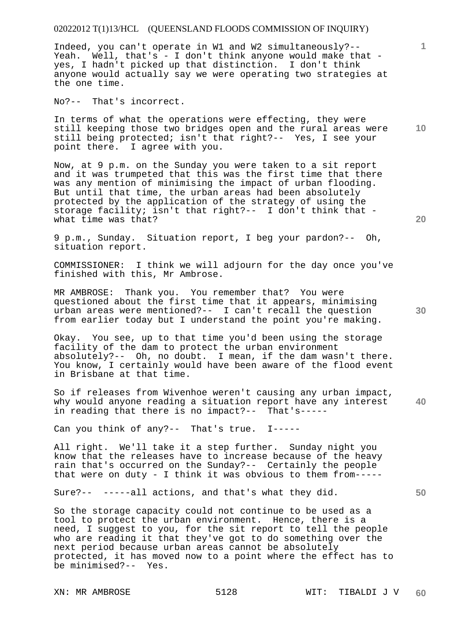### 02022012 T(1)13/HCL (QUEENSLAND FLOODS COMMISSION OF INQUIRY)

Indeed, you can't operate in W1 and W2 simultaneously?-- Yeah. Well, that's - I don't think anyone would make that yes, I hadn't picked up that distinction. I don't think anyone would actually say we were operating two strategies at the one time.

No?-- That's incorrect.

In terms of what the operations were effecting, they were still keeping those two bridges open and the rural areas were still being protected; isn't that right?-- Yes, I see your point there. I agree with you.

Now, at 9 p.m. on the Sunday you were taken to a sit report and it was trumpeted that this was the first time that there was any mention of minimising the impact of urban flooding. But until that time, the urban areas had been absolutely protected by the application of the strategy of using the storage facility; isn't that right?-- I don't think that what time was that?

9 p.m., Sunday. Situation report, I beg your pardon?-- Oh, situation report.

COMMISSIONER: I think we will adjourn for the day once you've finished with this, Mr Ambrose.

MR AMBROSE: Thank you. You remember that? You were questioned about the first time that it appears, minimising urban areas were mentioned?-- I can't recall the question from earlier today but I understand the point you're making.

Okay. You see, up to that time you'd been using the storage facility of the dam to protect the urban environment absolutely?-- Oh, no doubt. I mean, if the dam wasn't there. You know, I certainly would have been aware of the flood event in Brisbane at that time.

**40**  So if releases from Wivenhoe weren't causing any urban impact, why would anyone reading a situation report have any interest in reading that there is no impact?-- That's-----

Can you think of any?-- That's true. I-----

All right. We'll take it a step further. Sunday night you know that the releases have to increase because of the heavy rain that's occurred on the Sunday?-- Certainly the people that were on duty - I think it was obvious to them from-----

Sure?-- -----all actions, and that's what they did.

So the storage capacity could not continue to be used as a tool to protect the urban environment. Hence, there is a need, I suggest to you, for the sit report to tell the people who are reading it that they've got to do something over the next period because urban areas cannot be absolutely protected, it has moved now to a point where the effect has to be minimised?-- Yes.

**20** 

**10** 

**1**